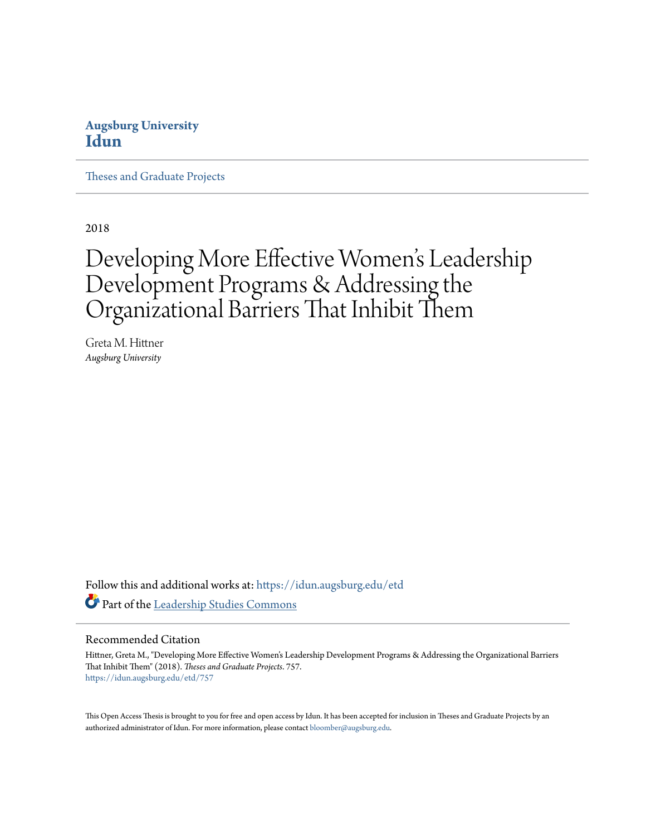### **Augsburg University [Idun](https://idun.augsburg.edu?utm_source=idun.augsburg.edu%2Fetd%2F757&utm_medium=PDF&utm_campaign=PDFCoverPages)**

[Theses and Graduate Projects](https://idun.augsburg.edu/etd?utm_source=idun.augsburg.edu%2Fetd%2F757&utm_medium=PDF&utm_campaign=PDFCoverPages)

2018

# Developing More Effective Women 's Leadership Development Programs & Addressing the Organizational Barriers That Inhibit Them

Greta M. Hittner *Augsburg University*

Follow this and additional works at: [https://idun.augsburg.edu/etd](https://idun.augsburg.edu/etd?utm_source=idun.augsburg.edu%2Fetd%2F757&utm_medium=PDF&utm_campaign=PDFCoverPages) Part of the [Leadership Studies Commons](http://network.bepress.com/hgg/discipline/1250?utm_source=idun.augsburg.edu%2Fetd%2F757&utm_medium=PDF&utm_campaign=PDFCoverPages)

#### Recommended Citation

Hittner, Greta M., "Developing More Effective Women's Leadership Development Programs & Addressing the Organizational Barriers That Inhibit Them" (2018). *Theses and Graduate Projects*. 757. [https://idun.augsburg.edu/etd/757](https://idun.augsburg.edu/etd/757?utm_source=idun.augsburg.edu%2Fetd%2F757&utm_medium=PDF&utm_campaign=PDFCoverPages)

This Open Access Thesis is brought to you for free and open access by Idun. It has been accepted for inclusion in Theses and Graduate Projects by an authorized administrator of Idun. For more information, please contact [bloomber@augsburg.edu.](mailto:bloomber@augsburg.edu)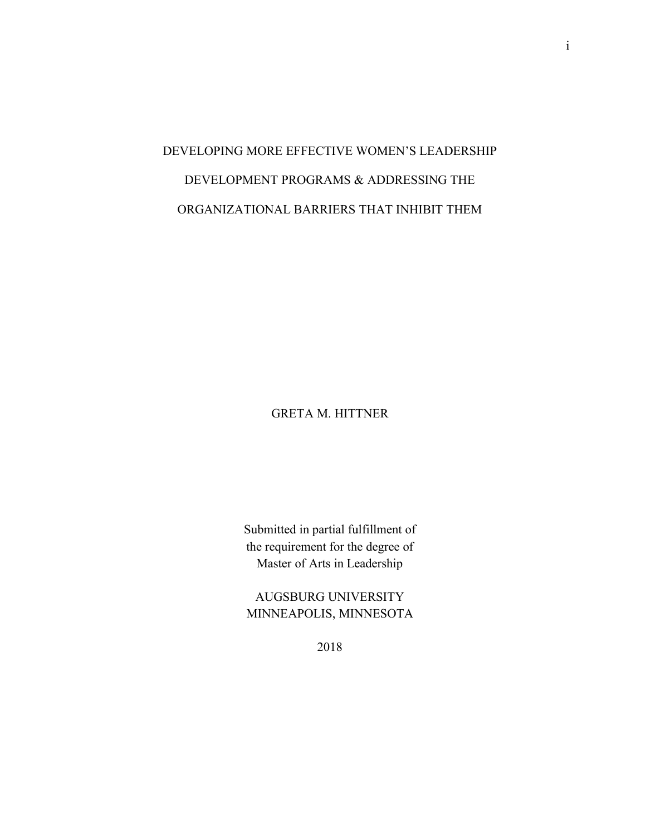## DEVELOPING MORE EFFECTIVE WOMEN'S LEADERSHIP DEVELOPMENT PROGRAMS & ADDRESSING THE ORGANIZATIONAL BARRIERS THAT INHIBIT THEM

GRETA M. HITTNER

Submitted in partial fulfillment of the requirement for the degree of Master of Arts in Leadership

AUGSBURG UNIVERSITY MINNEAPOLIS, MINNESOTA

2018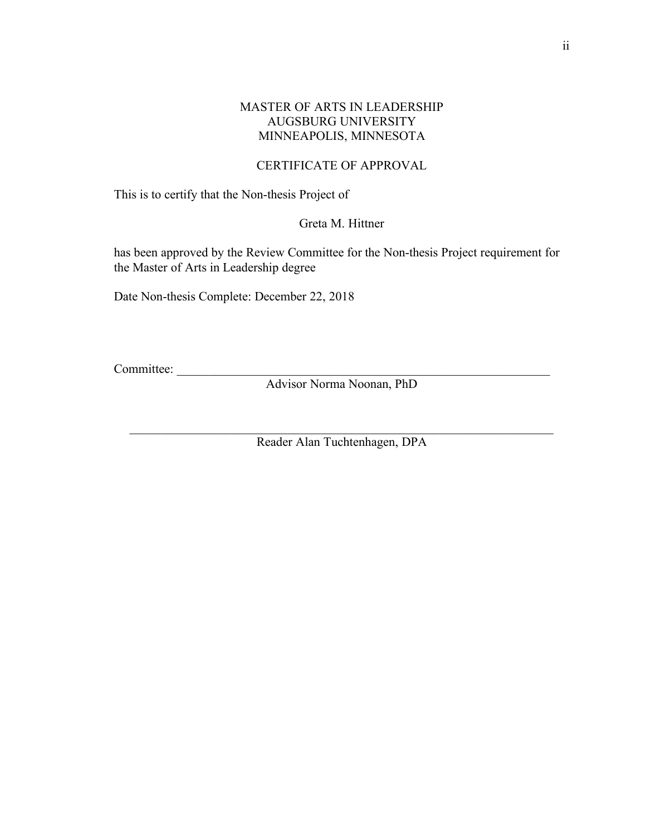#### MASTER OF ARTS IN LEADERSHIP AUGSBURG UNIVERSITY MINNEAPOLIS, MINNESOTA

#### CERTIFICATE OF APPROVAL

This is to certify that the Non-thesis Project of

Greta M. Hittner

has been approved by the Review Committee for the Non-thesis Project requirement for the Master of Arts in Leadership degree

Date Non-thesis Complete: December 22, 2018

Committee:

Advisor Norma Noonan, PhD

 $\_$  , and the set of the set of the set of the set of the set of the set of the set of the set of the set of the set of the set of the set of the set of the set of the set of the set of the set of the set of the set of th Reader Alan Tuchtenhagen, DPA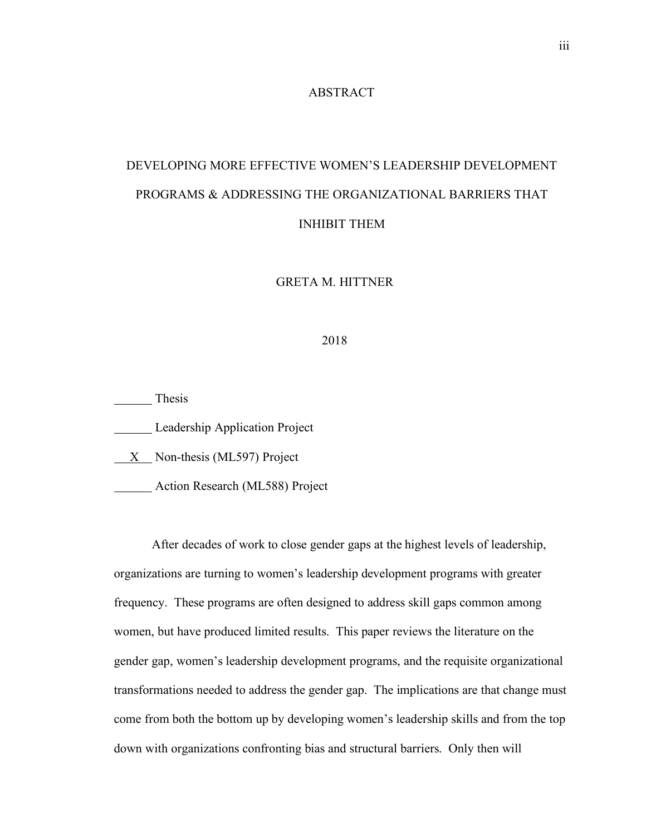#### ABSTRACT

## DEVELOPING MORE EFFECTIVE WOMEN'S LEADERSHIP DEVELOPMENT PROGRAMS & ADDRESSING THE ORGANIZATIONAL BARRIERS THAT INHIBIT THEM

GRETA M. HITTNER

#### 2018

Thesis **Leadership Application Project**  $X$  Non-thesis (ML597) Project Action Research (ML588) Project

After decades of work to close gender gaps at the highest levels of leadership, organizations are turning to women's leadership development programs with greater frequency. These programs are often designed to address skill gaps common among women, but have produced limited results. This paper reviews the literature on the gender gap, women's leadership development programs, and the requisite organizational transformations needed to address the gender gap. The implications are that change must come from both the bottom up by developing women's leadership skills and from the top down with organizations confronting bias and structural barriers. Only then will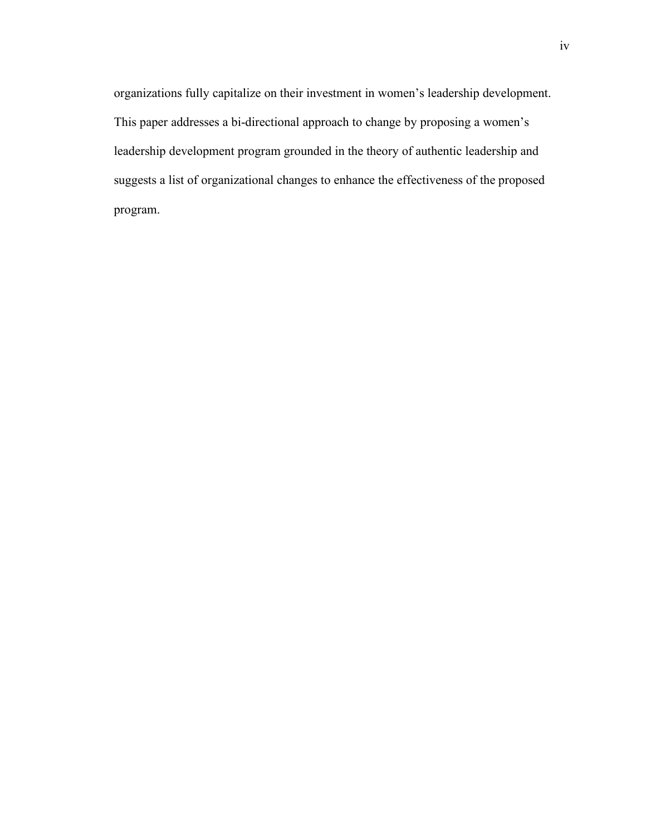organizations fully capitalize on their investment in women's leadership development. This paper addresses a bi-directional approach to change by proposing a women's leadership development program grounded in the theory of authentic leadership and suggests a list of organizational changes to enhance the effectiveness of the proposed program.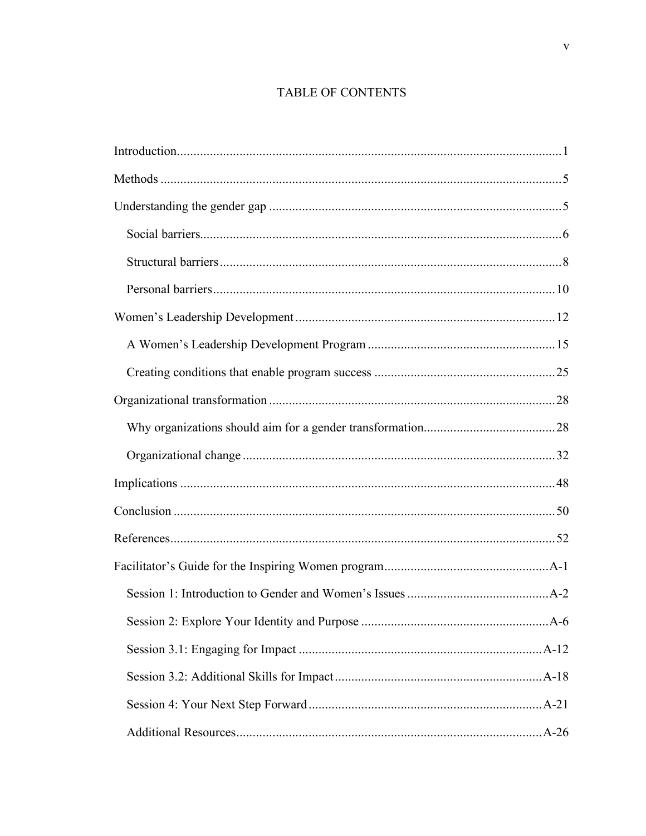## TABLE OF CONTENTS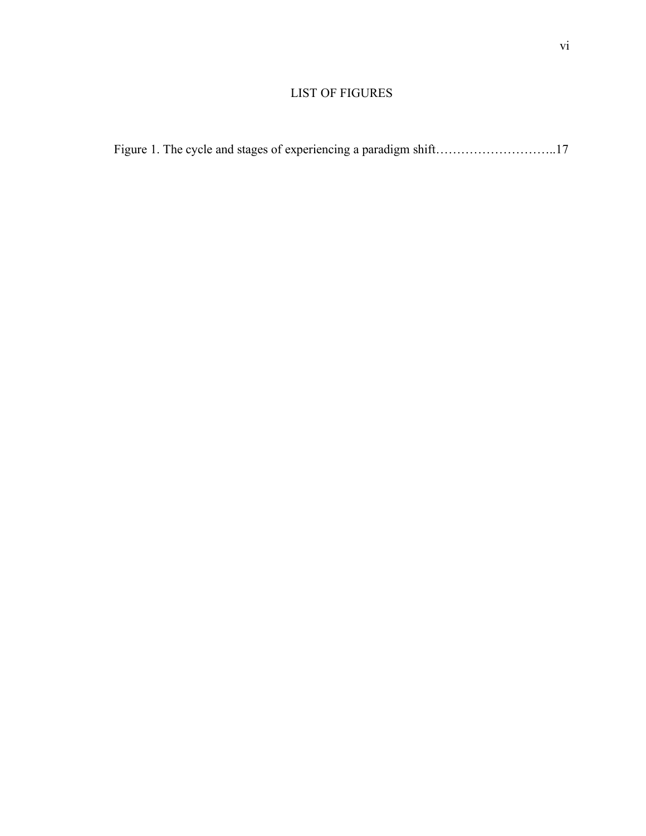### LIST OF FIGURES

|  |  |  | Figure 1. The cycle and stages of experiencing a paradigm shift17 |  |
|--|--|--|-------------------------------------------------------------------|--|
|  |  |  |                                                                   |  |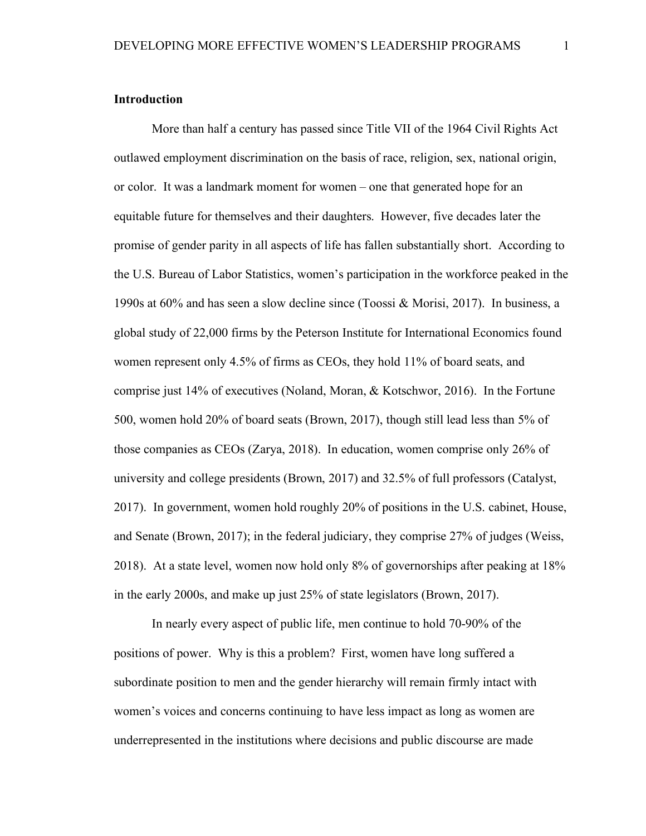#### **Introduction**

More than half a century has passed since Title VII of the 1964 Civil Rights Act outlawed employment discrimination on the basis of race, religion, sex, national origin, or color. It was a landmark moment for women – one that generated hope for an equitable future for themselves and their daughters. However, five decades later the promise of gender parity in all aspects of life has fallen substantially short. According to the U.S. Bureau of Labor Statistics, women's participation in the workforce peaked in the 1990s at 60% and has seen a slow decline since (Toossi & Morisi, 2017). In business, a global study of 22,000 firms by the Peterson Institute for International Economics found women represent only 4.5% of firms as CEOs, they hold 11% of board seats, and comprise just 14% of executives (Noland, Moran, & Kotschwor, 2016). In the Fortune 500, women hold 20% of board seats (Brown, 2017), though still lead less than 5% of those companies as CEOs (Zarya, 2018). In education, women comprise only 26% of university and college presidents (Brown, 2017) and 32.5% of full professors (Catalyst, 2017). In government, women hold roughly 20% of positions in the U.S. cabinet, House, and Senate (Brown, 2017); in the federal judiciary, they comprise 27% of judges (Weiss, 2018). At a state level, women now hold only 8% of governorships after peaking at 18% in the early 2000s, and make up just 25% of state legislators (Brown, 2017).

In nearly every aspect of public life, men continue to hold 70-90% of the positions of power. Why is this a problem? First, women have long suffered a subordinate position to men and the gender hierarchy will remain firmly intact with women's voices and concerns continuing to have less impact as long as women are underrepresented in the institutions where decisions and public discourse are made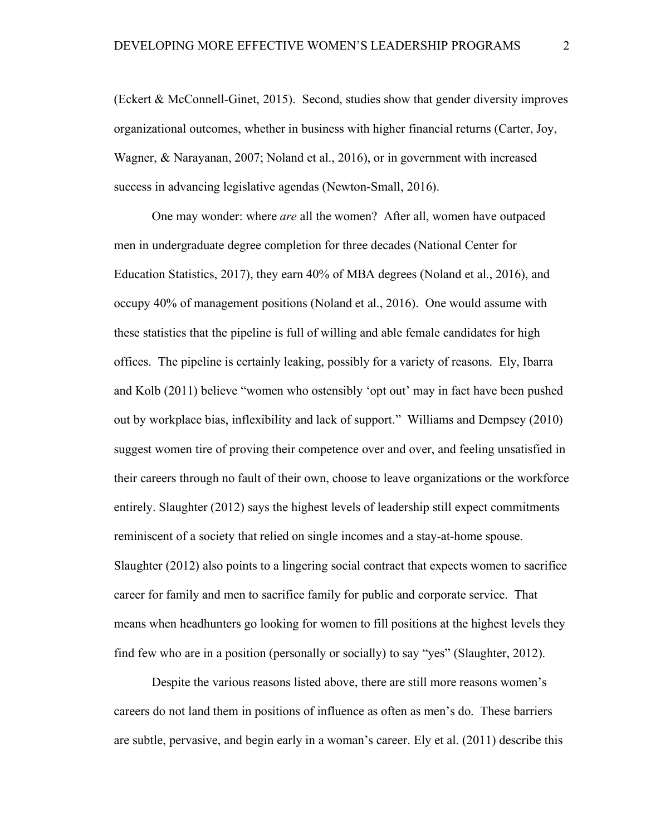(Eckert & McConnell-Ginet, 2015). Second, studies show that gender diversity improves organizational outcomes, whether in business with higher financial returns (Carter, Joy, Wagner, & Narayanan, 2007; Noland et al., 2016), or in government with increased success in advancing legislative agendas (Newton-Small, 2016).

One may wonder: where *are* all the women? After all, women have outpaced men in undergraduate degree completion for three decades (National Center for Education Statistics, 2017), they earn 40% of MBA degrees (Noland et al., 2016), and occupy 40% of management positions (Noland et al., 2016). One would assume with these statistics that the pipeline is full of willing and able female candidates for high offices. The pipeline is certainly leaking, possibly for a variety of reasons. Ely, Ibarra and Kolb (2011) believe "women who ostensibly 'opt out' may in fact have been pushed out by workplace bias, inflexibility and lack of support." Williams and Dempsey (2010) suggest women tire of proving their competence over and over, and feeling unsatisfied in their careers through no fault of their own, choose to leave organizations or the workforce entirely. Slaughter (2012) says the highest levels of leadership still expect commitments reminiscent of a society that relied on single incomes and a stay-at-home spouse. Slaughter (2012) also points to a lingering social contract that expects women to sacrifice career for family and men to sacrifice family for public and corporate service. That means when headhunters go looking for women to fill positions at the highest levels they find few who are in a position (personally or socially) to say "yes" (Slaughter, 2012).

Despite the various reasons listed above, there are still more reasons women's careers do not land them in positions of influence as often as men's do. These barriers are subtle, pervasive, and begin early in a woman's career. Ely et al. (2011) describe this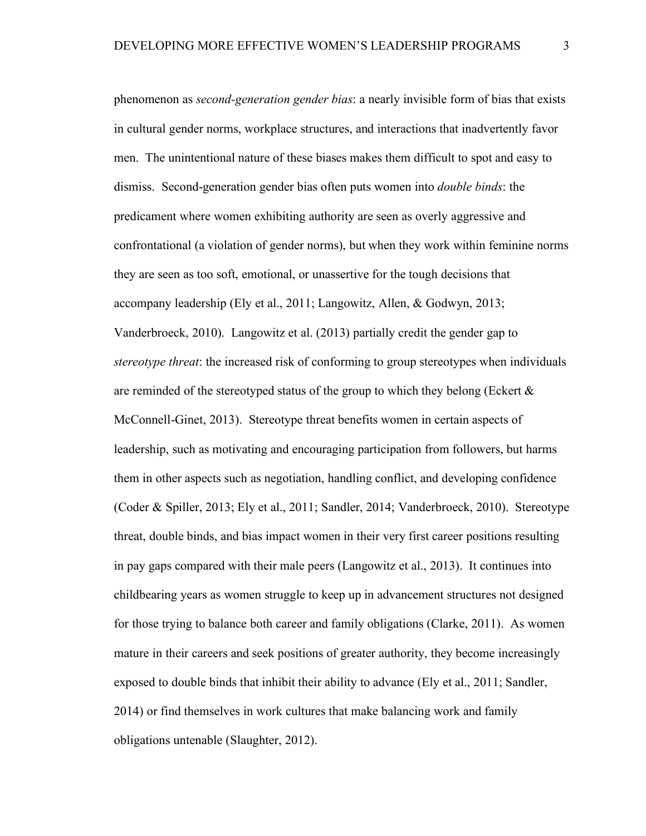phenomenon as *second-generation gender bias*: a nearly invisible form of bias that exists in cultural gender norms, workplace structures, and interactions that inadvertently favor men. The unintentional nature of these biases makes them difficult to spot and easy to dismiss. Second-generation gender bias often puts women into *double binds*: the predicament where women exhibiting authority are seen as overly aggressive and confrontational (a violation of gender norms), but when they work within feminine norms they are seen as too soft, emotional, or unassertive for the tough decisions that accompany leadership (Ely et al., 2011; Langowitz, Allen, & Godwyn, 2013; Vanderbroeck, 2010). Langowitz et al. (2013) partially credit the gender gap to *stereotype threat*: the increased risk of conforming to group stereotypes when individuals are reminded of the stereotyped status of the group to which they belong (Eckert  $\&$ McConnell-Ginet, 2013). Stereotype threat benefits women in certain aspects of leadership, such as motivating and encouraging participation from followers, but harms them in other aspects such as negotiation, handling conflict, and developing confidence (Coder & Spiller, 2013; Ely et al., 2011; Sandler, 2014; Vanderbroeck, 2010). Stereotype threat, double binds, and bias impact women in their very first career positions resulting in pay gaps compared with their male peers (Langowitz et al., 2013). It continues into childbearing years as women struggle to keep up in advancement structures not designed for those trying to balance both career and family obligations (Clarke, 2011). As women mature in their careers and seek positions of greater authority, they become increasingly exposed to double binds that inhibit their ability to advance (Ely et al., 2011; Sandler, 2014) or find themselves in work cultures that make balancing work and family obligations untenable (Slaughter, 2012).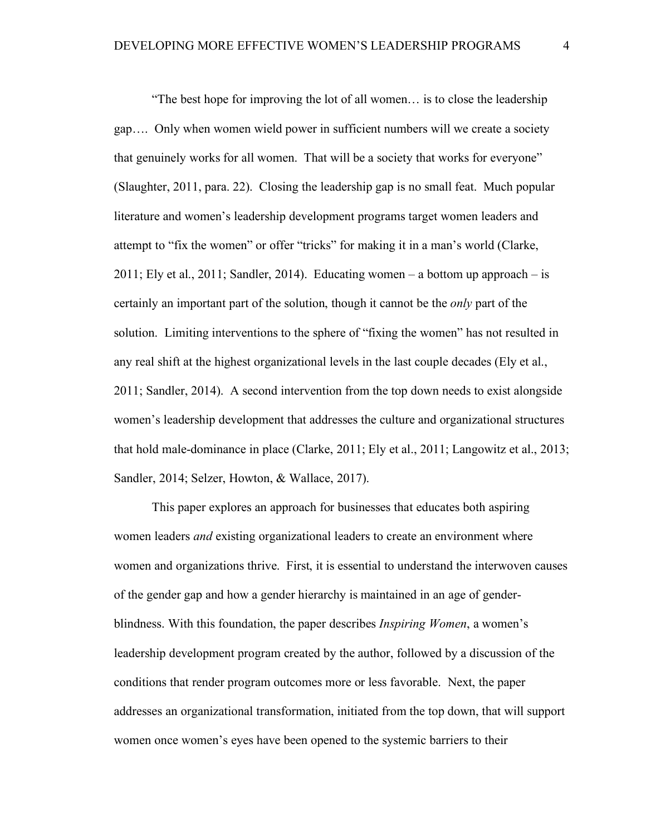"The best hope for improving the lot of all women… is to close the leadership gap…. Only when women wield power in sufficient numbers will we create a society that genuinely works for all women. That will be a society that works for everyone" (Slaughter, 2011, para. 22). Closing the leadership gap is no small feat. Much popular literature and women's leadership development programs target women leaders and attempt to "fix the women" or offer "tricks" for making it in a man's world (Clarke, 2011; Ely et al., 2011; Sandler, 2014). Educating women – a bottom up approach – is certainly an important part of the solution, though it cannot be the *only* part of the solution. Limiting interventions to the sphere of "fixing the women" has not resulted in any real shift at the highest organizational levels in the last couple decades (Ely et al., 2011; Sandler, 2014). A second intervention from the top down needs to exist alongside women's leadership development that addresses the culture and organizational structures that hold male-dominance in place (Clarke, 2011; Ely et al., 2011; Langowitz et al., 2013; Sandler, 2014; Selzer, Howton, & Wallace, 2017).

This paper explores an approach for businesses that educates both aspiring women leaders *and* existing organizational leaders to create an environment where women and organizations thrive. First, it is essential to understand the interwoven causes of the gender gap and how a gender hierarchy is maintained in an age of genderblindness. With this foundation, the paper describes *Inspiring Women*, a women's leadership development program created by the author, followed by a discussion of the conditions that render program outcomes more or less favorable. Next, the paper addresses an organizational transformation, initiated from the top down, that will support women once women's eyes have been opened to the systemic barriers to their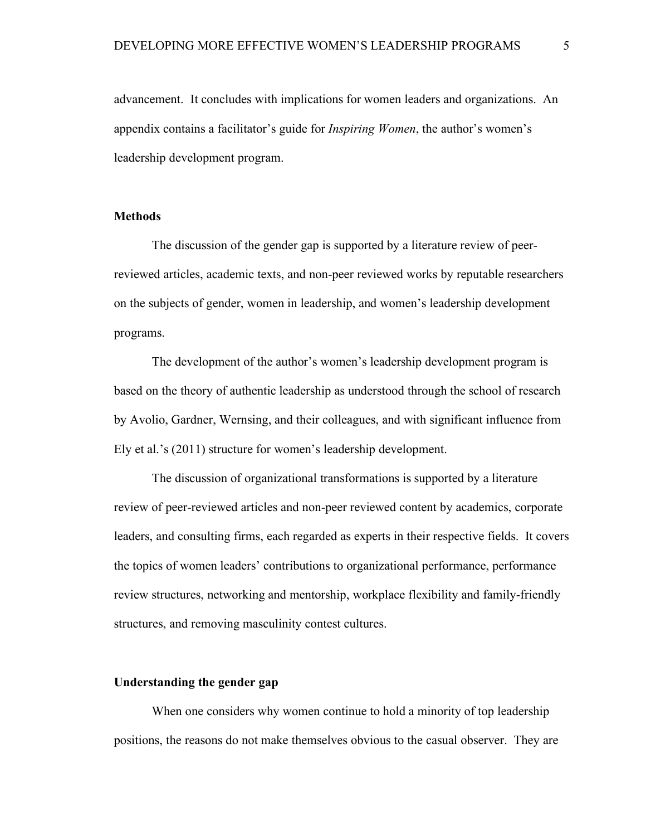advancement. It concludes with implications for women leaders and organizations. An appendix contains a facilitator's guide for *Inspiring Women*, the author's women's leadership development program.

#### **Methods**

The discussion of the gender gap is supported by a literature review of peerreviewed articles, academic texts, and non-peer reviewed works by reputable researchers on the subjects of gender, women in leadership, and women's leadership development programs.

The development of the author's women's leadership development program is based on the theory of authentic leadership as understood through the school of research by Avolio, Gardner, Wernsing, and their colleagues, and with significant influence from Ely et al.'s (2011) structure for women's leadership development.

The discussion of organizational transformations is supported by a literature review of peer-reviewed articles and non-peer reviewed content by academics, corporate leaders, and consulting firms, each regarded as experts in their respective fields. It covers the topics of women leaders' contributions to organizational performance, performance review structures, networking and mentorship, workplace flexibility and family-friendly structures, and removing masculinity contest cultures.

#### **Understanding the gender gap**

When one considers why women continue to hold a minority of top leadership positions, the reasons do not make themselves obvious to the casual observer. They are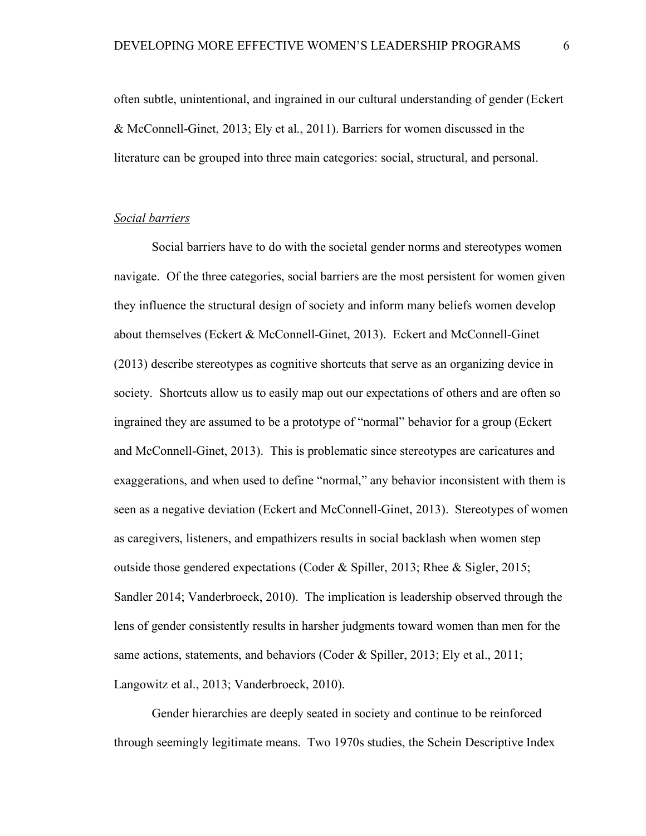often subtle, unintentional, and ingrained in our cultural understanding of gender (Eckert & McConnell-Ginet, 2013; Ely et al., 2011). Barriers for women discussed in the literature can be grouped into three main categories: social, structural, and personal.

#### *Social barriers*

Social barriers have to do with the societal gender norms and stereotypes women navigate. Of the three categories, social barriers are the most persistent for women given they influence the structural design of society and inform many beliefs women develop about themselves (Eckert & McConnell-Ginet, 2013). Eckert and McConnell-Ginet (2013) describe stereotypes as cognitive shortcuts that serve as an organizing device in society. Shortcuts allow us to easily map out our expectations of others and are often so ingrained they are assumed to be a prototype of "normal" behavior for a group (Eckert and McConnell-Ginet, 2013). This is problematic since stereotypes are caricatures and exaggerations, and when used to define "normal," any behavior inconsistent with them is seen as a negative deviation (Eckert and McConnell-Ginet, 2013). Stereotypes of women as caregivers, listeners, and empathizers results in social backlash when women step outside those gendered expectations (Coder & Spiller, 2013; Rhee & Sigler, 2015; Sandler 2014; Vanderbroeck, 2010). The implication is leadership observed through the lens of gender consistently results in harsher judgments toward women than men for the same actions, statements, and behaviors (Coder & Spiller, 2013; Ely et al., 2011; Langowitz et al., 2013; Vanderbroeck, 2010).

Gender hierarchies are deeply seated in society and continue to be reinforced through seemingly legitimate means. Two 1970s studies, the Schein Descriptive Index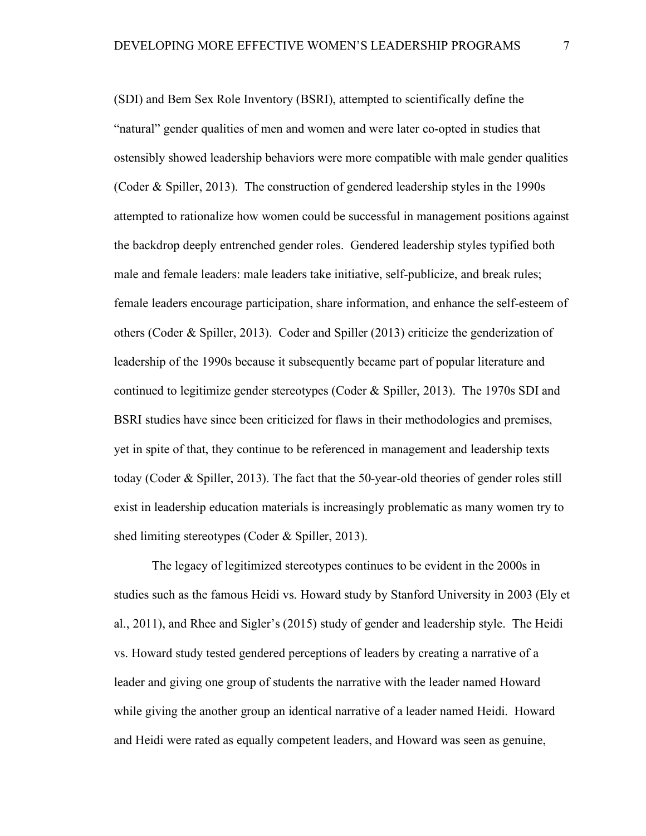(SDI) and Bem Sex Role Inventory (BSRI), attempted to scientifically define the "natural" gender qualities of men and women and were later co-opted in studies that ostensibly showed leadership behaviors were more compatible with male gender qualities (Coder & Spiller, 2013). The construction of gendered leadership styles in the 1990s attempted to rationalize how women could be successful in management positions against the backdrop deeply entrenched gender roles. Gendered leadership styles typified both male and female leaders: male leaders take initiative, self-publicize, and break rules; female leaders encourage participation, share information, and enhance the self-esteem of others (Coder & Spiller, 2013). Coder and Spiller (2013) criticize the genderization of leadership of the 1990s because it subsequently became part of popular literature and continued to legitimize gender stereotypes (Coder & Spiller, 2013). The 1970s SDI and BSRI studies have since been criticized for flaws in their methodologies and premises, yet in spite of that, they continue to be referenced in management and leadership texts today (Coder & Spiller, 2013). The fact that the 50-year-old theories of gender roles still exist in leadership education materials is increasingly problematic as many women try to shed limiting stereotypes (Coder & Spiller, 2013).

The legacy of legitimized stereotypes continues to be evident in the 2000s in studies such as the famous Heidi vs. Howard study by Stanford University in 2003 (Ely et al., 2011), and Rhee and Sigler's (2015) study of gender and leadership style. The Heidi vs. Howard study tested gendered perceptions of leaders by creating a narrative of a leader and giving one group of students the narrative with the leader named Howard while giving the another group an identical narrative of a leader named Heidi. Howard and Heidi were rated as equally competent leaders, and Howard was seen as genuine,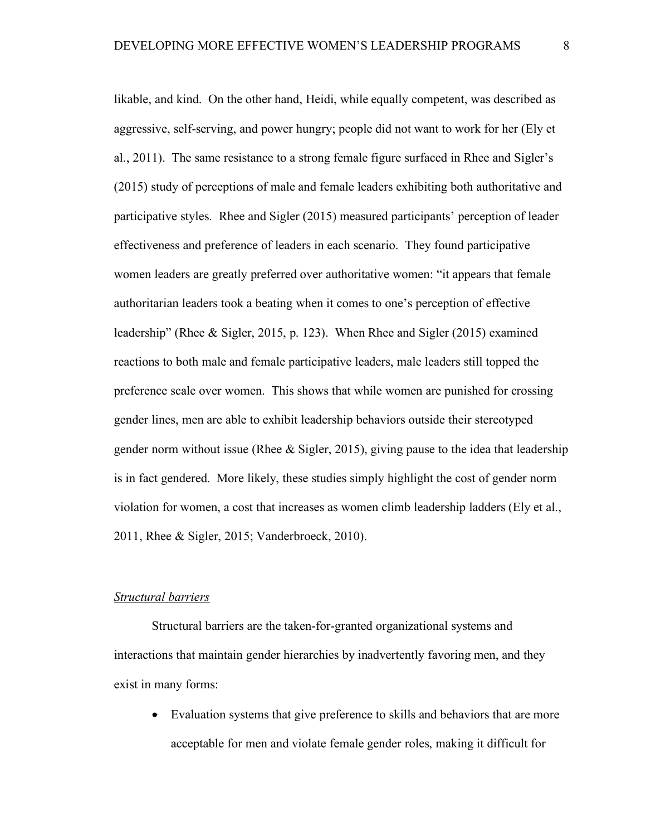likable, and kind. On the other hand, Heidi, while equally competent, was described as aggressive, self-serving, and power hungry; people did not want to work for her (Ely et al., 2011). The same resistance to a strong female figure surfaced in Rhee and Sigler's (2015) study of perceptions of male and female leaders exhibiting both authoritative and participative styles. Rhee and Sigler (2015) measured participants' perception of leader effectiveness and preference of leaders in each scenario. They found participative women leaders are greatly preferred over authoritative women: "it appears that female authoritarian leaders took a beating when it comes to one's perception of effective leadership" (Rhee & Sigler, 2015, p. 123). When Rhee and Sigler (2015) examined reactions to both male and female participative leaders, male leaders still topped the preference scale over women. This shows that while women are punished for crossing gender lines, men are able to exhibit leadership behaviors outside their stereotyped gender norm without issue (Rhee & Sigler, 2015), giving pause to the idea that leadership is in fact gendered. More likely, these studies simply highlight the cost of gender norm violation for women, a cost that increases as women climb leadership ladders (Ely et al., 2011, Rhee & Sigler, 2015; Vanderbroeck, 2010).

#### *Structural barriers*

Structural barriers are the taken-for-granted organizational systems and interactions that maintain gender hierarchies by inadvertently favoring men, and they exist in many forms:

• Evaluation systems that give preference to skills and behaviors that are more acceptable for men and violate female gender roles, making it difficult for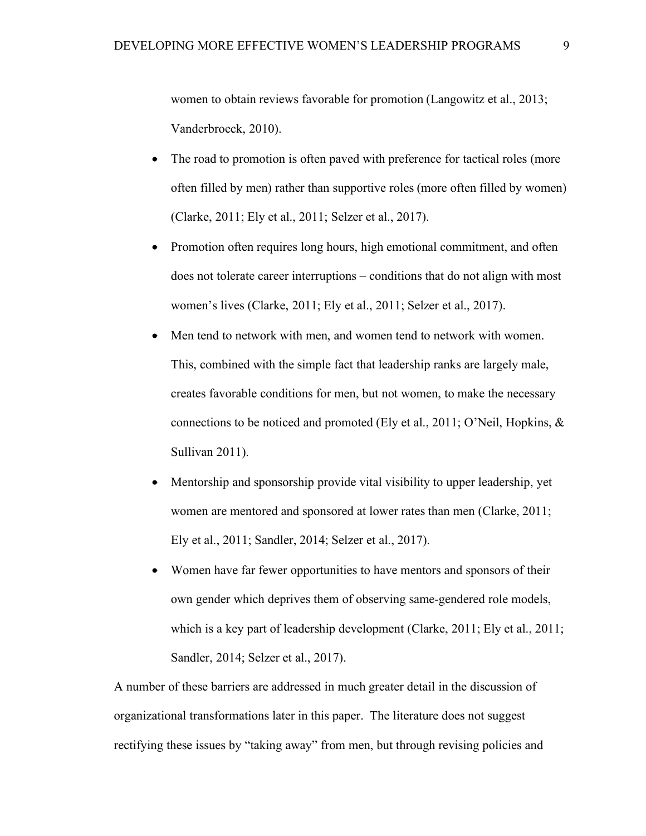women to obtain reviews favorable for promotion (Langowitz et al., 2013; Vanderbroeck, 2010).

- The road to promotion is often paved with preference for tactical roles (more often filled by men) rather than supportive roles (more often filled by women) (Clarke, 2011; Ely et al., 2011; Selzer et al., 2017).
- Promotion often requires long hours, high emotional commitment, and often does not tolerate career interruptions – conditions that do not align with most women's lives (Clarke, 2011; Ely et al., 2011; Selzer et al., 2017).
- Men tend to network with men, and women tend to network with women. This, combined with the simple fact that leadership ranks are largely male, creates favorable conditions for men, but not women, to make the necessary connections to be noticed and promoted (Ely et al., 2011; O'Neil, Hopkins, & Sullivan 2011).
- Mentorship and sponsorship provide vital visibility to upper leadership, yet women are mentored and sponsored at lower rates than men (Clarke, 2011; Ely et al., 2011; Sandler, 2014; Selzer et al., 2017).
- Women have far fewer opportunities to have mentors and sponsors of their own gender which deprives them of observing same-gendered role models, which is a key part of leadership development (Clarke, 2011; Ely et al., 2011; Sandler, 2014; Selzer et al., 2017).

A number of these barriers are addressed in much greater detail in the discussion of organizational transformations later in this paper. The literature does not suggest rectifying these issues by "taking away" from men, but through revising policies and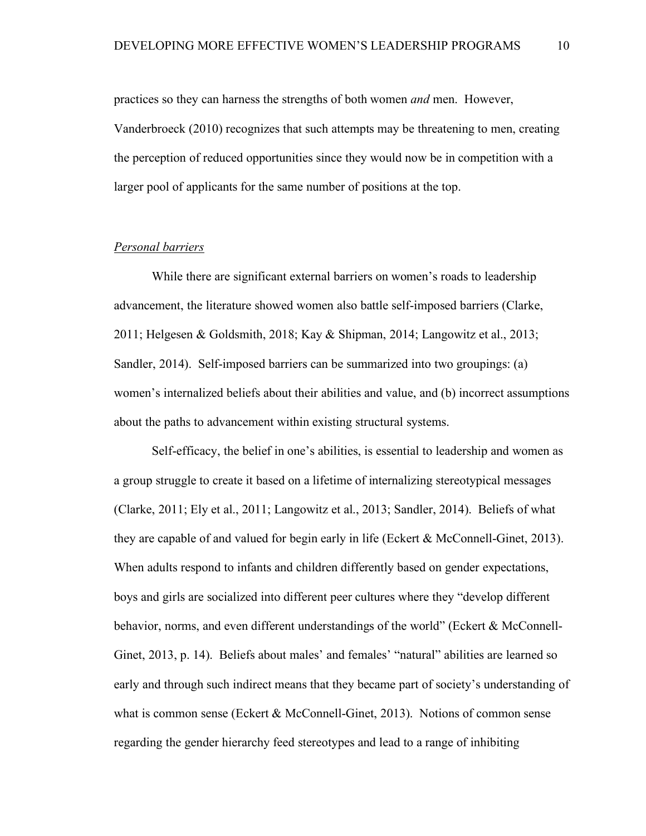practices so they can harness the strengths of both women *and* men. However, Vanderbroeck (2010) recognizes that such attempts may be threatening to men, creating the perception of reduced opportunities since they would now be in competition with a larger pool of applicants for the same number of positions at the top.

#### *Personal barriers*

While there are significant external barriers on women's roads to leadership advancement, the literature showed women also battle self-imposed barriers (Clarke, 2011; Helgesen & Goldsmith, 2018; Kay & Shipman, 2014; Langowitz et al., 2013; Sandler, 2014). Self-imposed barriers can be summarized into two groupings: (a) women's internalized beliefs about their abilities and value, and (b) incorrect assumptions about the paths to advancement within existing structural systems.

Self-efficacy, the belief in one's abilities, is essential to leadership and women as a group struggle to create it based on a lifetime of internalizing stereotypical messages (Clarke, 2011; Ely et al., 2011; Langowitz et al., 2013; Sandler, 2014). Beliefs of what they are capable of and valued for begin early in life (Eckert & McConnell-Ginet, 2013). When adults respond to infants and children differently based on gender expectations, boys and girls are socialized into different peer cultures where they "develop different behavior, norms, and even different understandings of the world" (Eckert & McConnell-Ginet, 2013, p. 14). Beliefs about males' and females' "natural" abilities are learned so early and through such indirect means that they became part of society's understanding of what is common sense (Eckert & McConnell-Ginet, 2013). Notions of common sense regarding the gender hierarchy feed stereotypes and lead to a range of inhibiting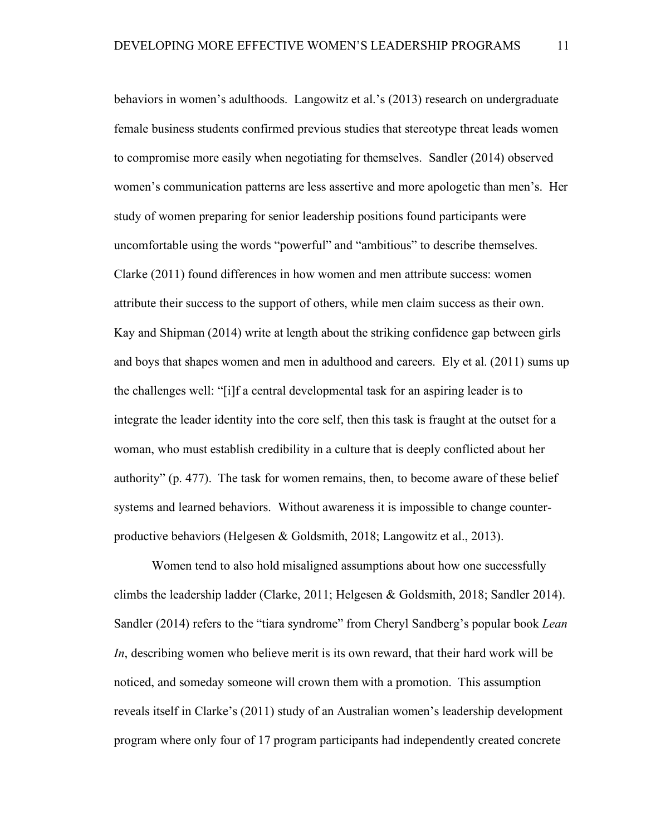behaviors in women's adulthoods. Langowitz et al.'s (2013) research on undergraduate female business students confirmed previous studies that stereotype threat leads women to compromise more easily when negotiating for themselves. Sandler (2014) observed women's communication patterns are less assertive and more apologetic than men's. Her study of women preparing for senior leadership positions found participants were uncomfortable using the words "powerful" and "ambitious" to describe themselves. Clarke (2011) found differences in how women and men attribute success: women attribute their success to the support of others, while men claim success as their own. Kay and Shipman (2014) write at length about the striking confidence gap between girls and boys that shapes women and men in adulthood and careers. Ely et al. (2011) sums up the challenges well: "[i]f a central developmental task for an aspiring leader is to integrate the leader identity into the core self, then this task is fraught at the outset for a woman, who must establish credibility in a culture that is deeply conflicted about her authority" (p. 477). The task for women remains, then, to become aware of these belief systems and learned behaviors. Without awareness it is impossible to change counterproductive behaviors (Helgesen & Goldsmith, 2018; Langowitz et al., 2013).

Women tend to also hold misaligned assumptions about how one successfully climbs the leadership ladder (Clarke, 2011; Helgesen & Goldsmith, 2018; Sandler 2014). Sandler (2014) refers to the "tiara syndrome" from Cheryl Sandberg's popular book *Lean In*, describing women who believe merit is its own reward, that their hard work will be noticed, and someday someone will crown them with a promotion. This assumption reveals itself in Clarke's (2011) study of an Australian women's leadership development program where only four of 17 program participants had independently created concrete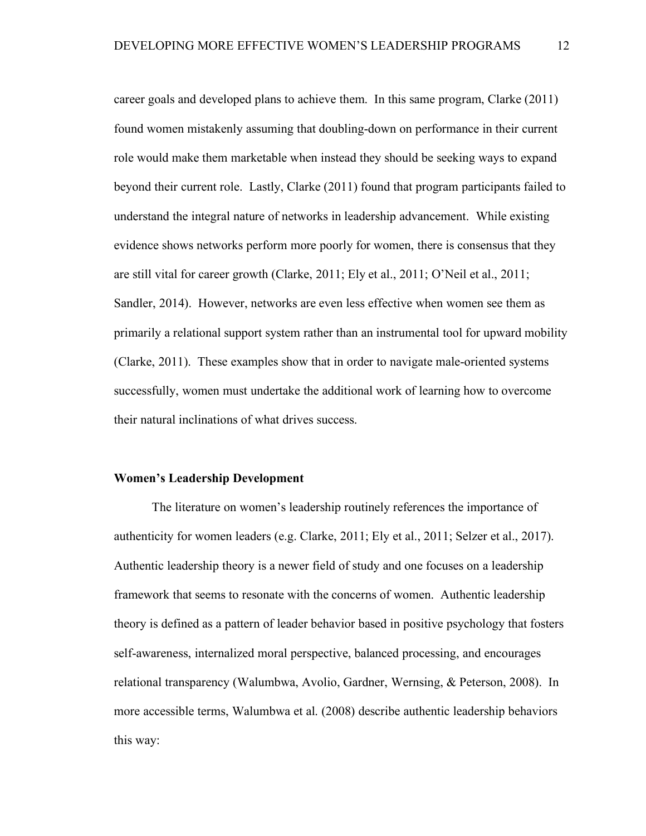career goals and developed plans to achieve them. In this same program, Clarke (2011) found women mistakenly assuming that doubling-down on performance in their current role would make them marketable when instead they should be seeking ways to expand beyond their current role. Lastly, Clarke (2011) found that program participants failed to understand the integral nature of networks in leadership advancement. While existing evidence shows networks perform more poorly for women, there is consensus that they are still vital for career growth (Clarke, 2011; Ely et al., 2011; O'Neil et al., 2011; Sandler, 2014). However, networks are even less effective when women see them as primarily a relational support system rather than an instrumental tool for upward mobility (Clarke, 2011). These examples show that in order to navigate male-oriented systems successfully, women must undertake the additional work of learning how to overcome their natural inclinations of what drives success.

#### **Women's Leadership Development**

The literature on women's leadership routinely references the importance of authenticity for women leaders (e.g. Clarke, 2011; Ely et al., 2011; Selzer et al., 2017). Authentic leadership theory is a newer field of study and one focuses on a leadership framework that seems to resonate with the concerns of women. Authentic leadership theory is defined as a pattern of leader behavior based in positive psychology that fosters self-awareness, internalized moral perspective, balanced processing, and encourages relational transparency (Walumbwa, Avolio, Gardner, Wernsing, & Peterson, 2008). In more accessible terms, Walumbwa et al. (2008) describe authentic leadership behaviors this way: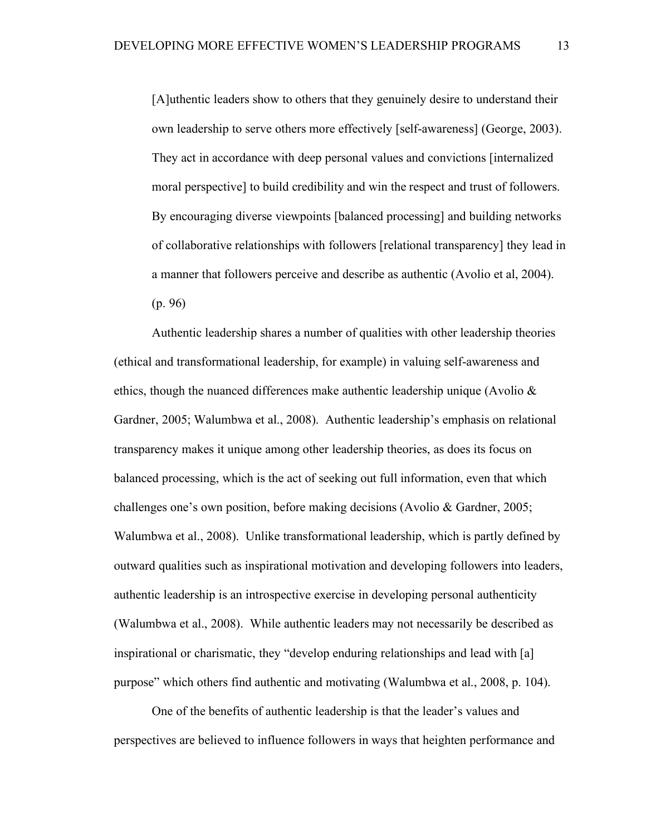[A]uthentic leaders show to others that they genuinely desire to understand their own leadership to serve others more effectively [self-awareness] (George, 2003). They act in accordance with deep personal values and convictions [internalized moral perspective] to build credibility and win the respect and trust of followers. By encouraging diverse viewpoints [balanced processing] and building networks of collaborative relationships with followers [relational transparency] they lead in a manner that followers perceive and describe as authentic (Avolio et al, 2004). (p. 96)

Authentic leadership shares a number of qualities with other leadership theories (ethical and transformational leadership, for example) in valuing self-awareness and ethics, though the nuanced differences make authentic leadership unique (Avolio  $\&$ Gardner, 2005; Walumbwa et al., 2008). Authentic leadership's emphasis on relational transparency makes it unique among other leadership theories, as does its focus on balanced processing, which is the act of seeking out full information, even that which challenges one's own position, before making decisions (Avolio & Gardner, 2005; Walumbwa et al., 2008). Unlike transformational leadership, which is partly defined by outward qualities such as inspirational motivation and developing followers into leaders, authentic leadership is an introspective exercise in developing personal authenticity (Walumbwa et al., 2008). While authentic leaders may not necessarily be described as inspirational or charismatic, they "develop enduring relationships and lead with [a] purpose" which others find authentic and motivating (Walumbwa et al., 2008, p. 104).

One of the benefits of authentic leadership is that the leader's values and perspectives are believed to influence followers in ways that heighten performance and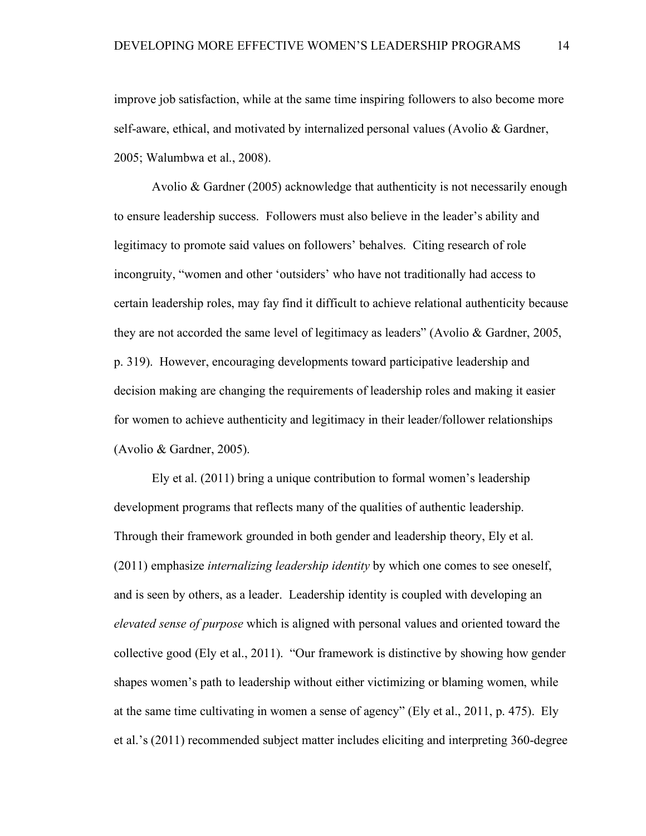improve job satisfaction, while at the same time inspiring followers to also become more self-aware, ethical, and motivated by internalized personal values (Avolio & Gardner, 2005; Walumbwa et al., 2008).

Avolio & Gardner (2005) acknowledge that authenticity is not necessarily enough to ensure leadership success. Followers must also believe in the leader's ability and legitimacy to promote said values on followers' behalves. Citing research of role incongruity, "women and other 'outsiders' who have not traditionally had access to certain leadership roles, may fay find it difficult to achieve relational authenticity because they are not accorded the same level of legitimacy as leaders" (Avolio & Gardner, 2005, p. 319). However, encouraging developments toward participative leadership and decision making are changing the requirements of leadership roles and making it easier for women to achieve authenticity and legitimacy in their leader/follower relationships (Avolio & Gardner, 2005).

Ely et al. (2011) bring a unique contribution to formal women's leadership development programs that reflects many of the qualities of authentic leadership. Through their framework grounded in both gender and leadership theory, Ely et al. (2011) emphasize *internalizing leadership identity* by which one comes to see oneself, and is seen by others, as a leader. Leadership identity is coupled with developing an *elevated sense of purpose* which is aligned with personal values and oriented toward the collective good (Ely et al., 2011). "Our framework is distinctive by showing how gender shapes women's path to leadership without either victimizing or blaming women, while at the same time cultivating in women a sense of agency" (Ely et al., 2011, p. 475). Ely et al.'s (2011) recommended subject matter includes eliciting and interpreting 360-degree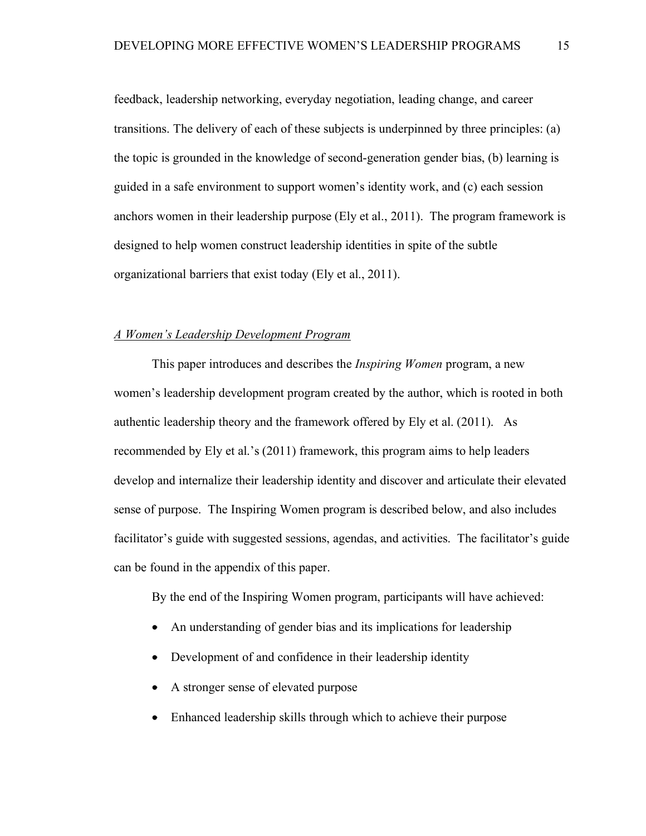feedback, leadership networking, everyday negotiation, leading change, and career transitions. The delivery of each of these subjects is underpinned by three principles: (a) the topic is grounded in the knowledge of second-generation gender bias, (b) learning is guided in a safe environment to support women's identity work, and (c) each session anchors women in their leadership purpose (Ely et al., 2011). The program framework is designed to help women construct leadership identities in spite of the subtle organizational barriers that exist today (Ely et al., 2011).

#### *A Women's Leadership Development Program*

This paper introduces and describes the *Inspiring Women* program, a new women's leadership development program created by the author, which is rooted in both authentic leadership theory and the framework offered by Ely et al. (2011). As recommended by Ely et al.'s (2011) framework, this program aims to help leaders develop and internalize their leadership identity and discover and articulate their elevated sense of purpose. The Inspiring Women program is described below, and also includes facilitator's guide with suggested sessions, agendas, and activities. The facilitator's guide can be found in the appendix of this paper.

By the end of the Inspiring Women program, participants will have achieved:

- An understanding of gender bias and its implications for leadership
- Development of and confidence in their leadership identity
- A stronger sense of elevated purpose
- Enhanced leadership skills through which to achieve their purpose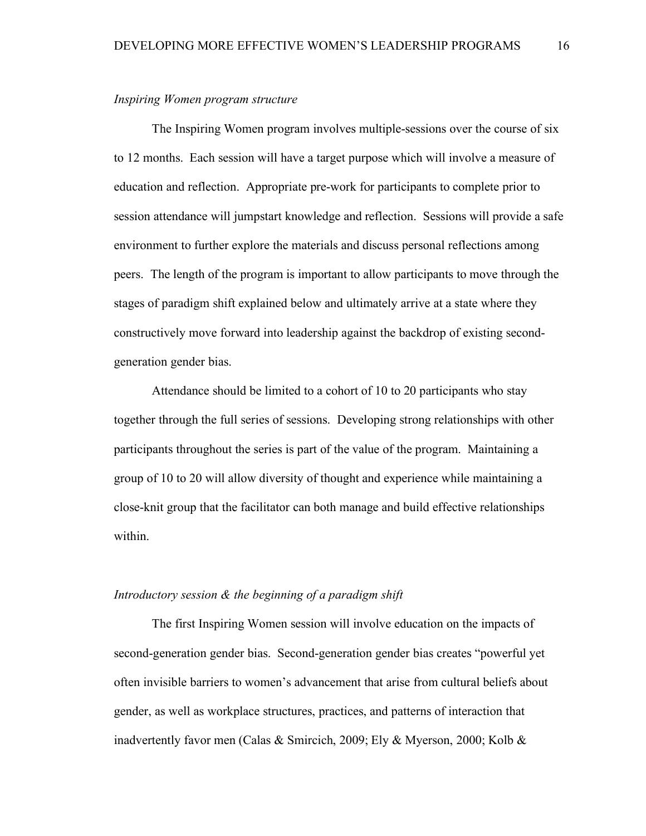#### *Inspiring Women program structure*

The Inspiring Women program involves multiple-sessions over the course of six to 12 months. Each session will have a target purpose which will involve a measure of education and reflection. Appropriate pre-work for participants to complete prior to session attendance will jumpstart knowledge and reflection. Sessions will provide a safe environment to further explore the materials and discuss personal reflections among peers. The length of the program is important to allow participants to move through the stages of paradigm shift explained below and ultimately arrive at a state where they constructively move forward into leadership against the backdrop of existing secondgeneration gender bias.

Attendance should be limited to a cohort of 10 to 20 participants who stay together through the full series of sessions. Developing strong relationships with other participants throughout the series is part of the value of the program. Maintaining a group of 10 to 20 will allow diversity of thought and experience while maintaining a close-knit group that the facilitator can both manage and build effective relationships within.

#### *Introductory session & the beginning of a paradigm shift*

The first Inspiring Women session will involve education on the impacts of second-generation gender bias. Second-generation gender bias creates "powerful yet often invisible barriers to women's advancement that arise from cultural beliefs about gender, as well as workplace structures, practices, and patterns of interaction that inadvertently favor men (Calas & Smircich, 2009; Ely & Myerson, 2000; Kolb &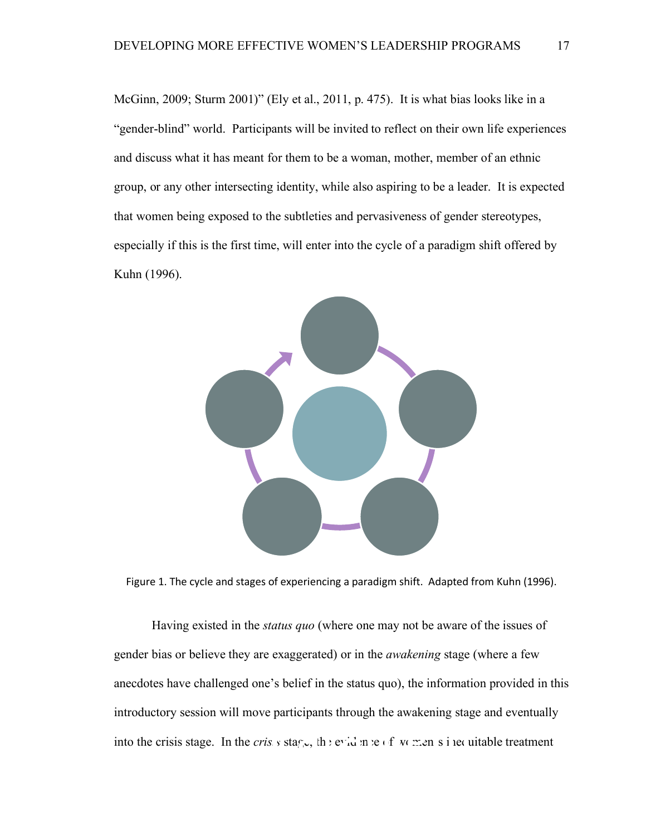McGinn, 2009; Sturm 2001)" (Ely et al., 2011, p. 475). It is what bias looks like in a "gender-blind" world. Participants will be invited to reflect on their own life experiences and discuss what it has meant for them to be a woman, mother, member of an ethnic group, or any other intersecting identity, while also aspiring to be a leader. It is expected that women being exposed to the subtleties and pervasiveness of gender stereotypes, especially if this is the first time, will enter into the cycle of a paradigm shift offered by Kuhn (1996).



Figure 1. The cycle and stages of experiencing a paradigm shift. Adapted from Kuhn (1996).

Having existed in the *status quo* (where one may not be aware of the issues of gender bias or believe they are exaggerated) or in the *awakening* stage (where a few anecdotes have challenged one's belief in the status quo), the information provided in this introductory session will move participants through the awakening stage and eventually into the crisis stage. In the *crisis* stage, the evidence of women's inequitable treatment  $\sum_{s \in S}$  is stag<sub>1</sub>, the evidence of *v* means income is the contract to the evidence of *v* means income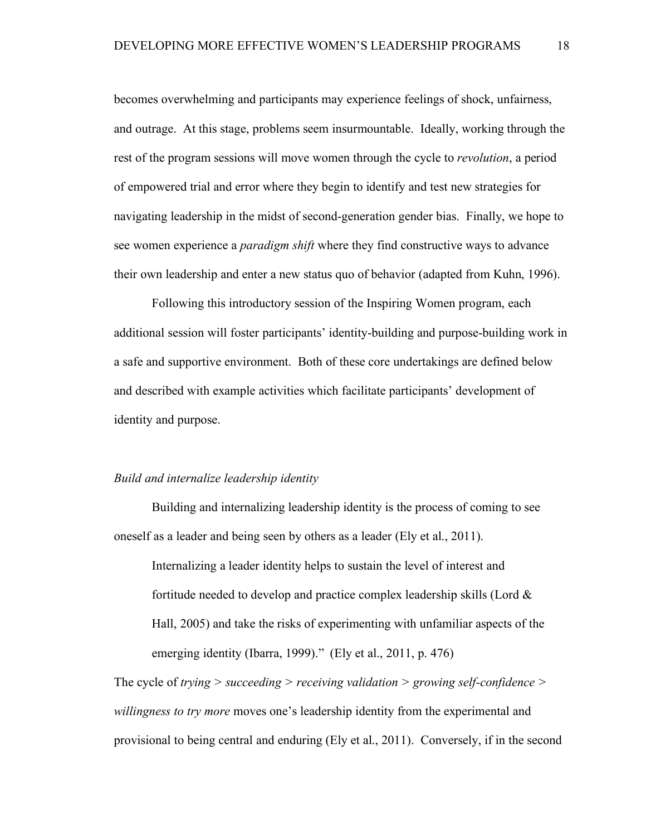becomes overwhelming and participants may experience feelings of shock, unfairness, and outrage. At this stage, problems seem insurmountable. Ideally, working through the rest of the program sessions will move women through the cycle to *revolution*, a period of empowered trial and error where they begin to identify and test new strategies for navigating leadership in the midst of second-generation gender bias. Finally, we hope to see women experience a *paradigm shift* where they find constructive ways to advance their own leadership and enter a new status quo of behavior (adapted from Kuhn, 1996).

Following this introductory session of the Inspiring Women program, each additional session will foster participants' identity-building and purpose-building work in a safe and supportive environment. Both of these core undertakings are defined below and described with example activities which facilitate participants' development of identity and purpose.

#### *Build and internalize leadership identity*

Building and internalizing leadership identity is the process of coming to see oneself as a leader and being seen by others as a leader (Ely et al., 2011).

Internalizing a leader identity helps to sustain the level of interest and fortitude needed to develop and practice complex leadership skills (Lord & Hall, 2005) and take the risks of experimenting with unfamiliar aspects of the emerging identity (Ibarra, 1999)." (Ely et al., 2011, p. 476)

The cycle of *trying > succeeding > receiving validation > growing self-confidence > willingness to try more* moves one's leadership identity from the experimental and provisional to being central and enduring (Ely et al., 2011). Conversely, if in the second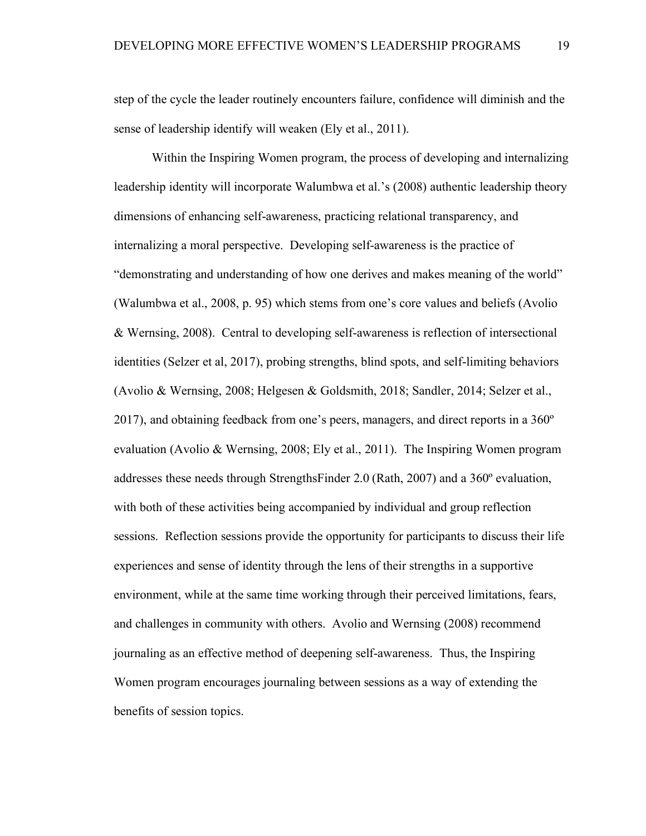step of the cycle the leader routinely encounters failure, confidence will diminish and the sense of leadership identify will weaken (Ely et al., 2011).

Within the Inspiring Women program, the process of developing and internalizing leadership identity will incorporate Walumbwa et al.'s (2008) authentic leadership theory dimensions of enhancing self-awareness, practicing relational transparency, and internalizing a moral perspective. Developing self-awareness is the practice of "demonstrating and understanding of how one derives and makes meaning of the world" (Walumbwa et al., 2008, p. 95) which stems from one's core values and beliefs (Avolio & Wernsing, 2008). Central to developing self-awareness is reflection of intersectional identities (Selzer et al, 2017), probing strengths, blind spots, and self-limiting behaviors (Avolio & Wernsing, 2008; Helgesen & Goldsmith, 2018; Sandler, 2014; Selzer et al., 2017), and obtaining feedback from one's peers, managers, and direct reports in a  $360^{\circ}$ evaluation (Avolio & Wernsing, 2008; Ely et al., 2011). The Inspiring Women program addresses these needs through StrengthsFinder 2.0 (Rath, 2007) and a 360º evaluation, with both of these activities being accompanied by individual and group reflection sessions. Reflection sessions provide the opportunity for participants to discuss their life experiences and sense of identity through the lens of their strengths in a supportive environment, while at the same time working through their perceived limitations, fears, and challenges in community with others. Avolio and Wernsing (2008) recommend journaling as an effective method of deepening self-awareness. Thus, the Inspiring Women program encourages journaling between sessions as a way of extending the benefits of session topics.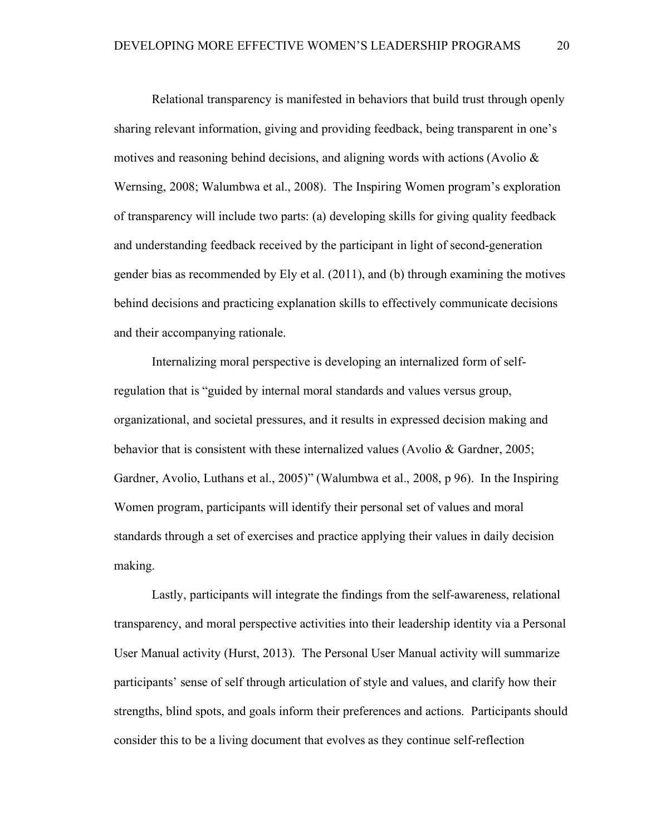Relational transparency is manifested in behaviors that build trust through openly sharing relevant information, giving and providing feedback, being transparent in one's motives and reasoning behind decisions, and aligning words with actions (Avolio  $\&$ Wernsing, 2008; Walumbwa et al., 2008). The Inspiring Women program's exploration of transparency will include two parts: (a) developing skills for giving quality feedback and understanding feedback received by the participant in light of second-generation gender bias as recommended by Ely et al. (2011), and (b) through examining the motives behind decisions and practicing explanation skills to effectively communicate decisions and their accompanying rationale.

Internalizing moral perspective is developing an internalized form of selfregulation that is "guided by internal moral standards and values versus group, organizational, and societal pressures, and it results in expressed decision making and behavior that is consistent with these internalized values (Avolio & Gardner, 2005; Gardner, Avolio, Luthans et al., 2005)" (Walumbwa et al., 2008, p 96). In the Inspiring Women program, participants will identify their personal set of values and moral standards through a set of exercises and practice applying their values in daily decision making.

Lastly, participants will integrate the findings from the self-awareness, relational transparency, and moral perspective activities into their leadership identity via a Personal User Manual activity (Hurst, 2013). The Personal User Manual activity will summarize participants' sense of self through articulation of style and values, and clarify how their strengths, blind spots, and goals inform their preferences and actions. Participants should consider this to be a living document that evolves as they continue self-reflection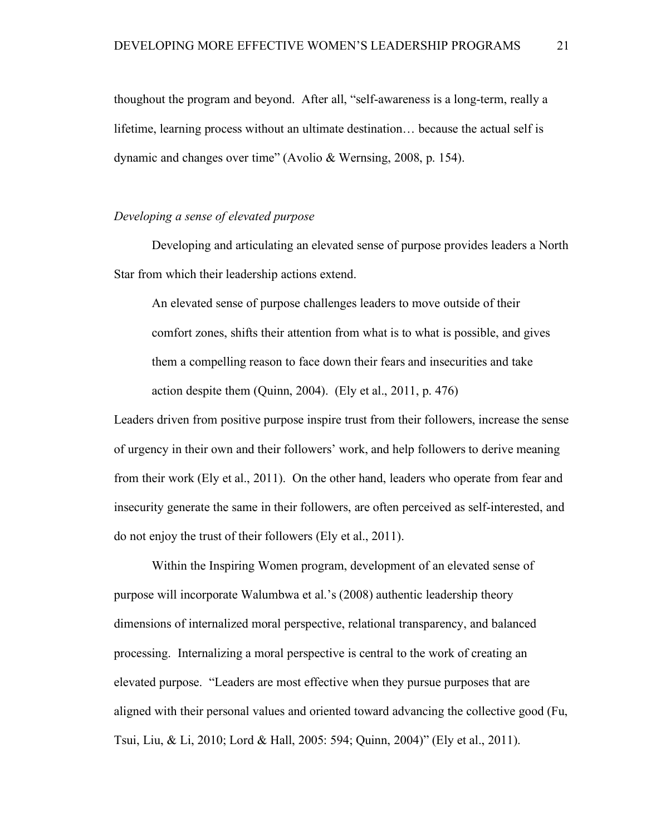thoughout the program and beyond. After all, "self-awareness is a long-term, really a lifetime, learning process without an ultimate destination… because the actual self is dynamic and changes over time" (Avolio & Wernsing, 2008, p. 154).

#### *Developing a sense of elevated purpose*

Developing and articulating an elevated sense of purpose provides leaders a North Star from which their leadership actions extend.

An elevated sense of purpose challenges leaders to move outside of their comfort zones, shifts their attention from what is to what is possible, and gives them a compelling reason to face down their fears and insecurities and take action despite them (Quinn, 2004). (Ely et al., 2011, p. 476)

Leaders driven from positive purpose inspire trust from their followers, increase the sense of urgency in their own and their followers' work, and help followers to derive meaning from their work (Ely et al., 2011). On the other hand, leaders who operate from fear and insecurity generate the same in their followers, are often perceived as self-interested, and do not enjoy the trust of their followers (Ely et al., 2011).

Within the Inspiring Women program, development of an elevated sense of purpose will incorporate Walumbwa et al.'s (2008) authentic leadership theory dimensions of internalized moral perspective, relational transparency, and balanced processing. Internalizing a moral perspective is central to the work of creating an elevated purpose. "Leaders are most effective when they pursue purposes that are aligned with their personal values and oriented toward advancing the collective good (Fu, Tsui, Liu, & Li, 2010; Lord & Hall, 2005: 594; Quinn, 2004)" (Ely et al., 2011).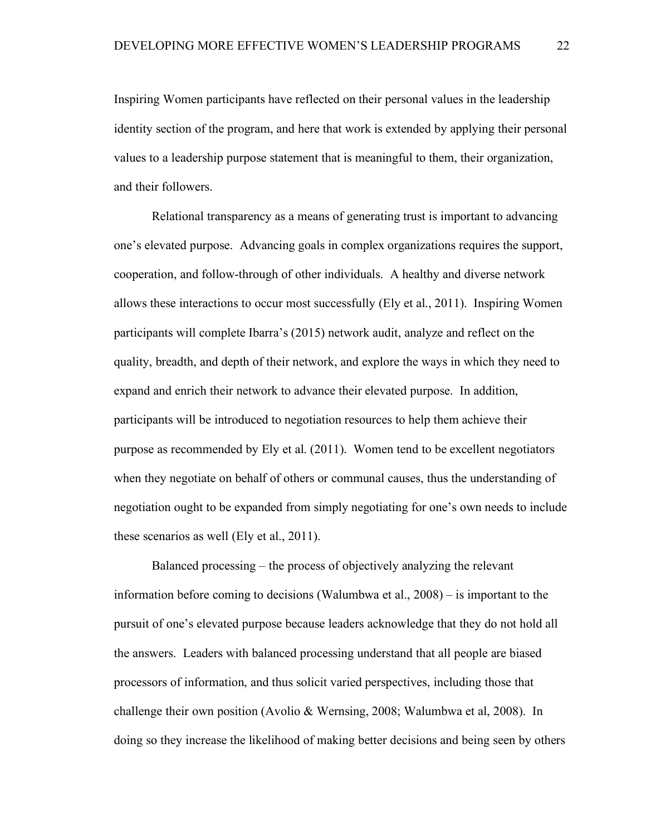Inspiring Women participants have reflected on their personal values in the leadership identity section of the program, and here that work is extended by applying their personal values to a leadership purpose statement that is meaningful to them, their organization, and their followers.

Relational transparency as a means of generating trust is important to advancing one's elevated purpose. Advancing goals in complex organizations requires the support, cooperation, and follow-through of other individuals. A healthy and diverse network allows these interactions to occur most successfully (Ely et al., 2011). Inspiring Women participants will complete Ibarra's (2015) network audit, analyze and reflect on the quality, breadth, and depth of their network, and explore the ways in which they need to expand and enrich their network to advance their elevated purpose. In addition, participants will be introduced to negotiation resources to help them achieve their purpose as recommended by Ely et al. (2011). Women tend to be excellent negotiators when they negotiate on behalf of others or communal causes, thus the understanding of negotiation ought to be expanded from simply negotiating for one's own needs to include these scenarios as well (Ely et al., 2011).

Balanced processing – the process of objectively analyzing the relevant information before coming to decisions (Walumbwa et al., 2008) – is important to the pursuit of one's elevated purpose because leaders acknowledge that they do not hold all the answers. Leaders with balanced processing understand that all people are biased processors of information, and thus solicit varied perspectives, including those that challenge their own position (Avolio & Wernsing, 2008; Walumbwa et al, 2008). In doing so they increase the likelihood of making better decisions and being seen by others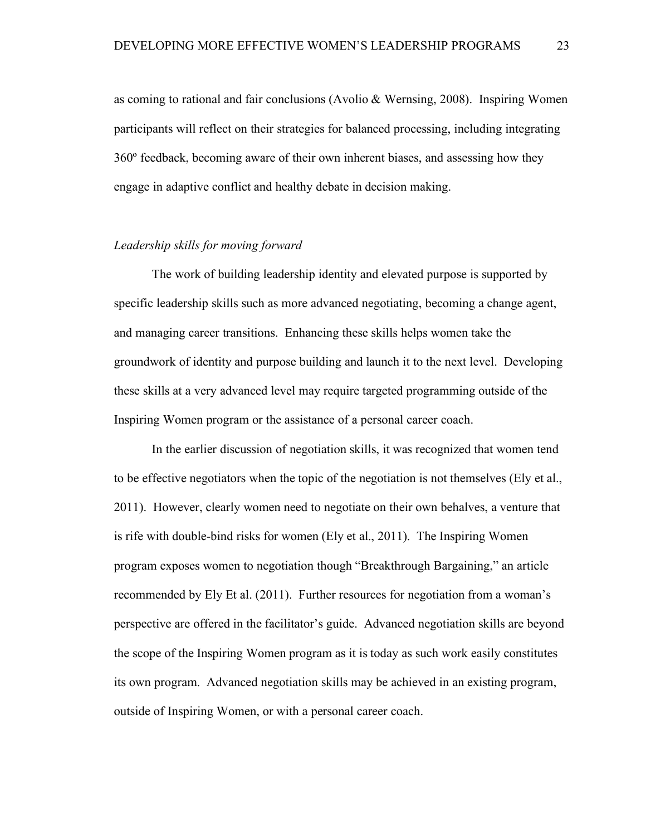as coming to rational and fair conclusions (Avolio & Wernsing, 2008). Inspiring Women participants will reflect on their strategies for balanced processing, including integrating 360º feedback, becoming aware of their own inherent biases, and assessing how they engage in adaptive conflict and healthy debate in decision making.

#### *Leadership skills for moving forward*

The work of building leadership identity and elevated purpose is supported by specific leadership skills such as more advanced negotiating, becoming a change agent, and managing career transitions. Enhancing these skills helps women take the groundwork of identity and purpose building and launch it to the next level. Developing these skills at a very advanced level may require targeted programming outside of the Inspiring Women program or the assistance of a personal career coach.

In the earlier discussion of negotiation skills, it was recognized that women tend to be effective negotiators when the topic of the negotiation is not themselves (Ely et al., 2011). However, clearly women need to negotiate on their own behalves, a venture that is rife with double-bind risks for women (Ely et al., 2011). The Inspiring Women program exposes women to negotiation though "Breakthrough Bargaining," an article recommended by Ely Et al. (2011). Further resources for negotiation from a woman's perspective are offered in the facilitator's guide. Advanced negotiation skills are beyond the scope of the Inspiring Women program as it is today as such work easily constitutes its own program. Advanced negotiation skills may be achieved in an existing program, outside of Inspiring Women, or with a personal career coach.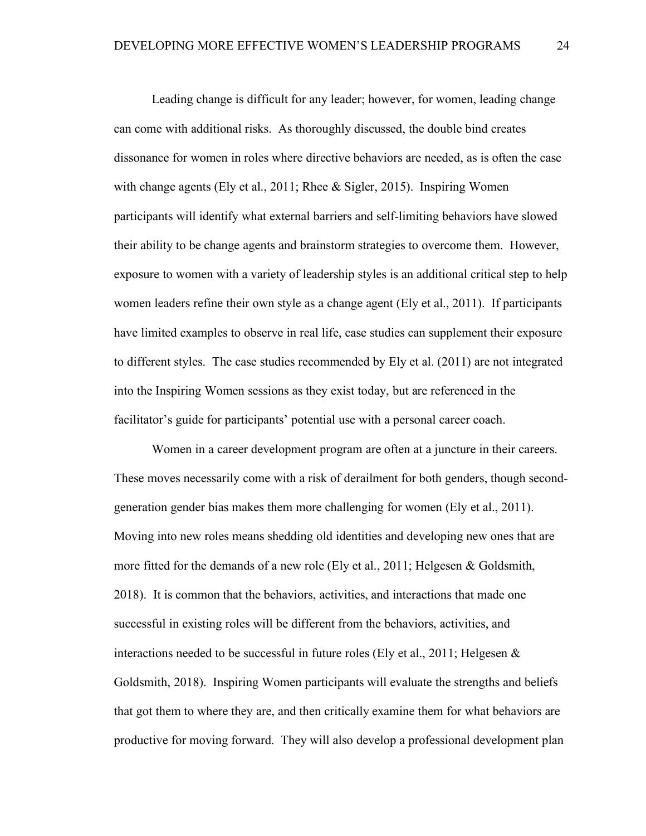Leading change is difficult for any leader; however, for women, leading change can come with additional risks. As thoroughly discussed, the double bind creates dissonance for women in roles where directive behaviors are needed, as is often the case with change agents (Ely et al., 2011; Rhee  $&$  Sigler, 2015). Inspiring Women participants will identify what external barriers and self-limiting behaviors have slowed their ability to be change agents and brainstorm strategies to overcome them. However, exposure to women with a variety of leadership styles is an additional critical step to help women leaders refine their own style as a change agent (Ely et al., 2011). If participants have limited examples to observe in real life, case studies can supplement their exposure to different styles. The case studies recommended by Ely et al. (2011) are not integrated into the Inspiring Women sessions as they exist today, but are referenced in the facilitator's guide for participants' potential use with a personal career coach.

Women in a career development program are often at a juncture in their careers. These moves necessarily come with a risk of derailment for both genders, though secondgeneration gender bias makes them more challenging for women (Ely et al., 2011). Moving into new roles means shedding old identities and developing new ones that are more fitted for the demands of a new role (Ely et al., 2011; Helgesen & Goldsmith, 2018). It is common that the behaviors, activities, and interactions that made one successful in existing roles will be different from the behaviors, activities, and interactions needed to be successful in future roles (Ely et al., 2011; Helgesen  $\&$ Goldsmith, 2018). Inspiring Women participants will evaluate the strengths and beliefs that got them to where they are, and then critically examine them for what behaviors are productive for moving forward. They will also develop a professional development plan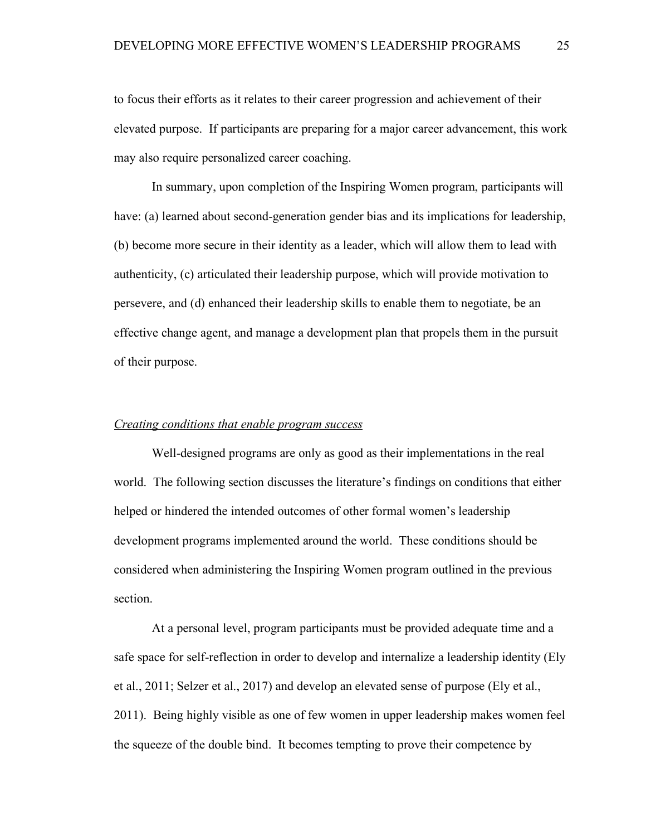to focus their efforts as it relates to their career progression and achievement of their elevated purpose. If participants are preparing for a major career advancement, this work may also require personalized career coaching.

In summary, upon completion of the Inspiring Women program, participants will have: (a) learned about second-generation gender bias and its implications for leadership, (b) become more secure in their identity as a leader, which will allow them to lead with authenticity, (c) articulated their leadership purpose, which will provide motivation to persevere, and (d) enhanced their leadership skills to enable them to negotiate, be an effective change agent, and manage a development plan that propels them in the pursuit of their purpose.

#### *Creating conditions that enable program success*

Well-designed programs are only as good as their implementations in the real world. The following section discusses the literature's findings on conditions that either helped or hindered the intended outcomes of other formal women's leadership development programs implemented around the world. These conditions should be considered when administering the Inspiring Women program outlined in the previous section.

At a personal level, program participants must be provided adequate time and a safe space for self-reflection in order to develop and internalize a leadership identity (Ely et al., 2011; Selzer et al., 2017) and develop an elevated sense of purpose (Ely et al., 2011). Being highly visible as one of few women in upper leadership makes women feel the squeeze of the double bind. It becomes tempting to prove their competence by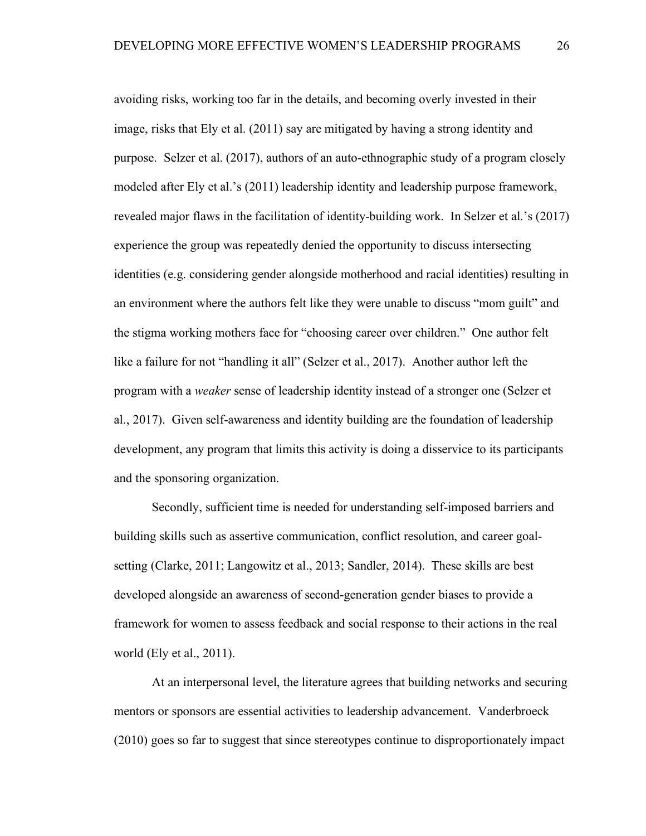avoiding risks, working too far in the details, and becoming overly invested in their image, risks that Ely et al. (2011) say are mitigated by having a strong identity and purpose. Selzer et al. (2017), authors of an auto-ethnographic study of a program closely modeled after Ely et al.'s (2011) leadership identity and leadership purpose framework, revealed major flaws in the facilitation of identity-building work. In Selzer et al.'s (2017) experience the group was repeatedly denied the opportunity to discuss intersecting identities (e.g. considering gender alongside motherhood and racial identities) resulting in an environment where the authors felt like they were unable to discuss "mom guilt" and the stigma working mothers face for "choosing career over children." One author felt like a failure for not "handling it all" (Selzer et al., 2017). Another author left the program with a *weaker* sense of leadership identity instead of a stronger one (Selzer et al., 2017). Given self-awareness and identity building are the foundation of leadership development, any program that limits this activity is doing a disservice to its participants and the sponsoring organization.

Secondly, sufficient time is needed for understanding self-imposed barriers and building skills such as assertive communication, conflict resolution, and career goalsetting (Clarke, 2011; Langowitz et al., 2013; Sandler, 2014). These skills are best developed alongside an awareness of second-generation gender biases to provide a framework for women to assess feedback and social response to their actions in the real world (Ely et al., 2011).

At an interpersonal level, the literature agrees that building networks and securing mentors or sponsors are essential activities to leadership advancement. Vanderbroeck (2010) goes so far to suggest that since stereotypes continue to disproportionately impact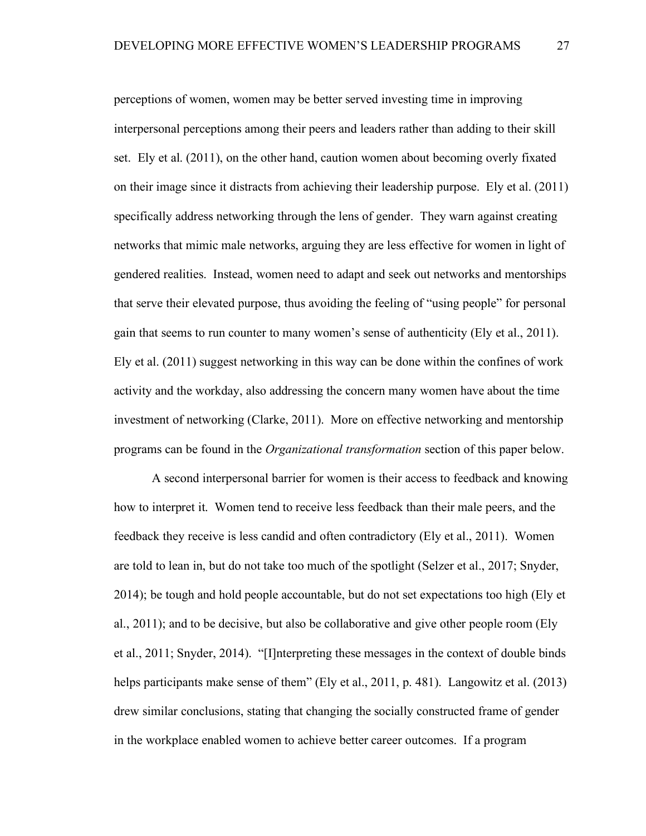perceptions of women, women may be better served investing time in improving interpersonal perceptions among their peers and leaders rather than adding to their skill set. Ely et al. (2011), on the other hand, caution women about becoming overly fixated on their image since it distracts from achieving their leadership purpose. Ely et al. (2011) specifically address networking through the lens of gender. They warn against creating networks that mimic male networks, arguing they are less effective for women in light of gendered realities. Instead, women need to adapt and seek out networks and mentorships that serve their elevated purpose, thus avoiding the feeling of "using people" for personal gain that seems to run counter to many women's sense of authenticity (Ely et al., 2011). Ely et al. (2011) suggest networking in this way can be done within the confines of work activity and the workday, also addressing the concern many women have about the time investment of networking (Clarke, 2011). More on effective networking and mentorship programs can be found in the *Organizational transformation* section of this paper below.

A second interpersonal barrier for women is their access to feedback and knowing how to interpret it. Women tend to receive less feedback than their male peers, and the feedback they receive is less candid and often contradictory (Ely et al., 2011). Women are told to lean in, but do not take too much of the spotlight (Selzer et al., 2017; Snyder, 2014); be tough and hold people accountable, but do not set expectations too high (Ely et al., 2011); and to be decisive, but also be collaborative and give other people room (Ely et al., 2011; Snyder, 2014). "[I]nterpreting these messages in the context of double binds helps participants make sense of them" (Ely et al., 2011, p. 481). Langowitz et al. (2013) drew similar conclusions, stating that changing the socially constructed frame of gender in the workplace enabled women to achieve better career outcomes. If a program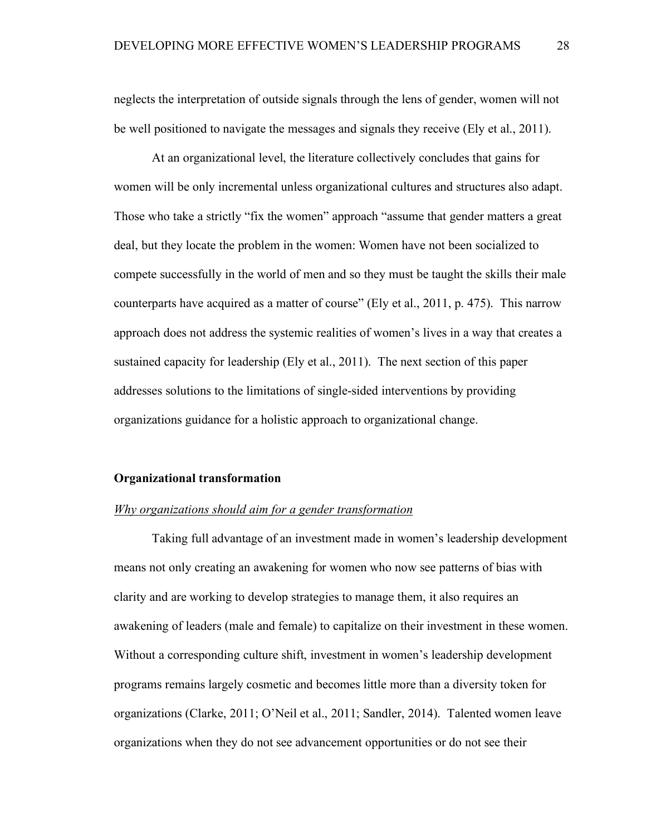neglects the interpretation of outside signals through the lens of gender, women will not be well positioned to navigate the messages and signals they receive (Ely et al., 2011).

At an organizational level, the literature collectively concludes that gains for women will be only incremental unless organizational cultures and structures also adapt. Those who take a strictly "fix the women" approach "assume that gender matters a great deal, but they locate the problem in the women: Women have not been socialized to compete successfully in the world of men and so they must be taught the skills their male counterparts have acquired as a matter of course" (Ely et al., 2011, p. 475). This narrow approach does not address the systemic realities of women's lives in a way that creates a sustained capacity for leadership (Ely et al., 2011). The next section of this paper addresses solutions to the limitations of single-sided interventions by providing organizations guidance for a holistic approach to organizational change.

#### **Organizational transformation**

#### *Why organizations should aim for a gender transformation*

Taking full advantage of an investment made in women's leadership development means not only creating an awakening for women who now see patterns of bias with clarity and are working to develop strategies to manage them, it also requires an awakening of leaders (male and female) to capitalize on their investment in these women. Without a corresponding culture shift, investment in women's leadership development programs remains largely cosmetic and becomes little more than a diversity token for organizations (Clarke, 2011; O'Neil et al., 2011; Sandler, 2014). Talented women leave organizations when they do not see advancement opportunities or do not see their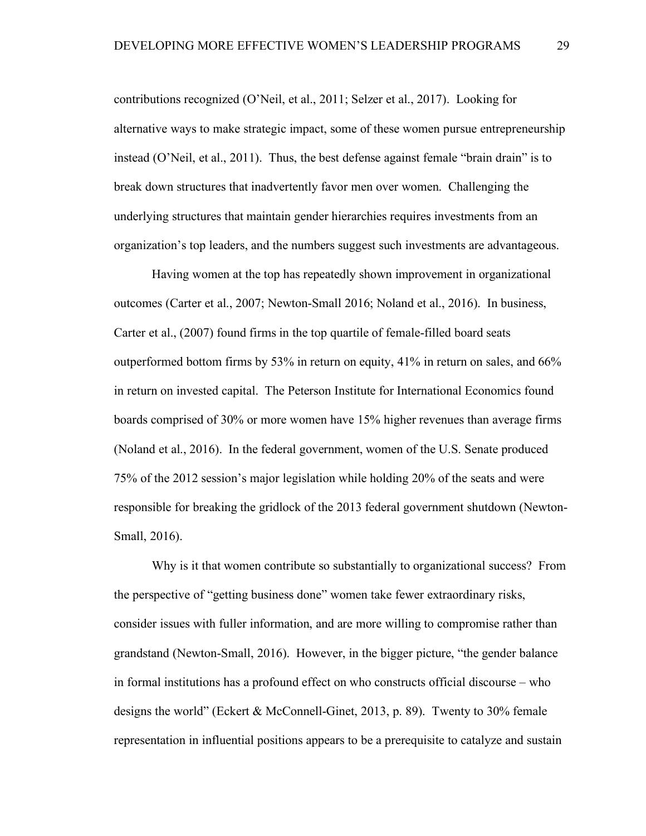contributions recognized (O'Neil, et al., 2011; Selzer et al., 2017). Looking for alternative ways to make strategic impact, some of these women pursue entrepreneurship instead (O'Neil, et al., 2011). Thus, the best defense against female "brain drain" is to break down structures that inadvertently favor men over women. Challenging the underlying structures that maintain gender hierarchies requires investments from an organization's top leaders, and the numbers suggest such investments are advantageous.

Having women at the top has repeatedly shown improvement in organizational outcomes (Carter et al., 2007; Newton-Small 2016; Noland et al., 2016). In business, Carter et al., (2007) found firms in the top quartile of female-filled board seats outperformed bottom firms by 53% in return on equity, 41% in return on sales, and 66% in return on invested capital. The Peterson Institute for International Economics found boards comprised of 30% or more women have 15% higher revenues than average firms (Noland et al., 2016). In the federal government, women of the U.S. Senate produced 75% of the 2012 session's major legislation while holding 20% of the seats and were responsible for breaking the gridlock of the 2013 federal government shutdown (Newton-Small, 2016).

Why is it that women contribute so substantially to organizational success? From the perspective of "getting business done" women take fewer extraordinary risks, consider issues with fuller information, and are more willing to compromise rather than grandstand (Newton-Small, 2016). However, in the bigger picture, "the gender balance in formal institutions has a profound effect on who constructs official discourse – who designs the world" (Eckert & McConnell-Ginet, 2013, p. 89). Twenty to 30% female representation in influential positions appears to be a prerequisite to catalyze and sustain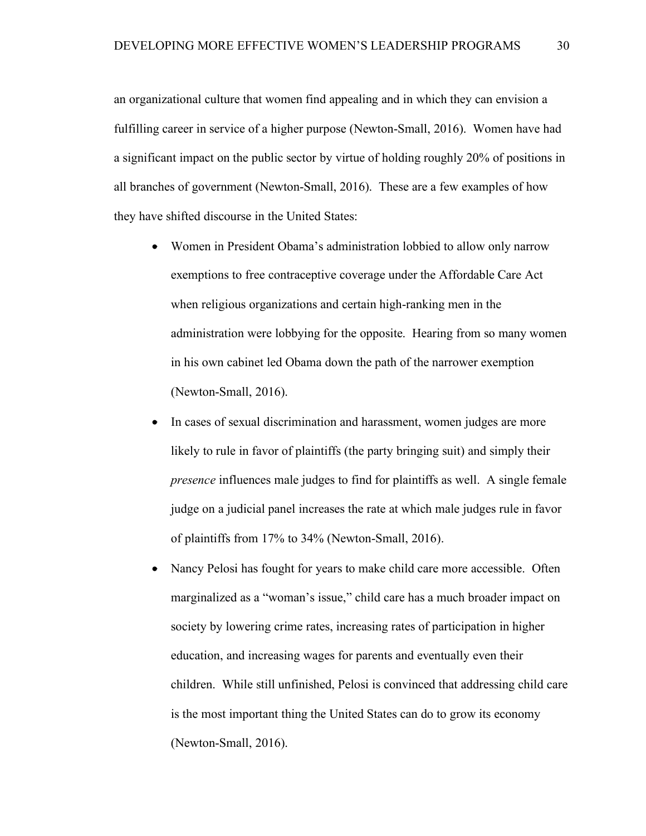an organizational culture that women find appealing and in which they can envision a fulfilling career in service of a higher purpose (Newton-Small, 2016). Women have had a significant impact on the public sector by virtue of holding roughly 20% of positions in all branches of government (Newton-Small, 2016). These are a few examples of how they have shifted discourse in the United States:

- Women in President Obama's administration lobbied to allow only narrow exemptions to free contraceptive coverage under the Affordable Care Act when religious organizations and certain high-ranking men in the administration were lobbying for the opposite. Hearing from so many women in his own cabinet led Obama down the path of the narrower exemption (Newton-Small, 2016).
- In cases of sexual discrimination and harassment, women judges are more likely to rule in favor of plaintiffs (the party bringing suit) and simply their *presence* influences male judges to find for plaintiffs as well. A single female judge on a judicial panel increases the rate at which male judges rule in favor of plaintiffs from 17% to 34% (Newton-Small, 2016).
- Nancy Pelosi has fought for years to make child care more accessible. Often marginalized as a "woman's issue," child care has a much broader impact on society by lowering crime rates, increasing rates of participation in higher education, and increasing wages for parents and eventually even their children. While still unfinished, Pelosi is convinced that addressing child care is the most important thing the United States can do to grow its economy (Newton-Small, 2016).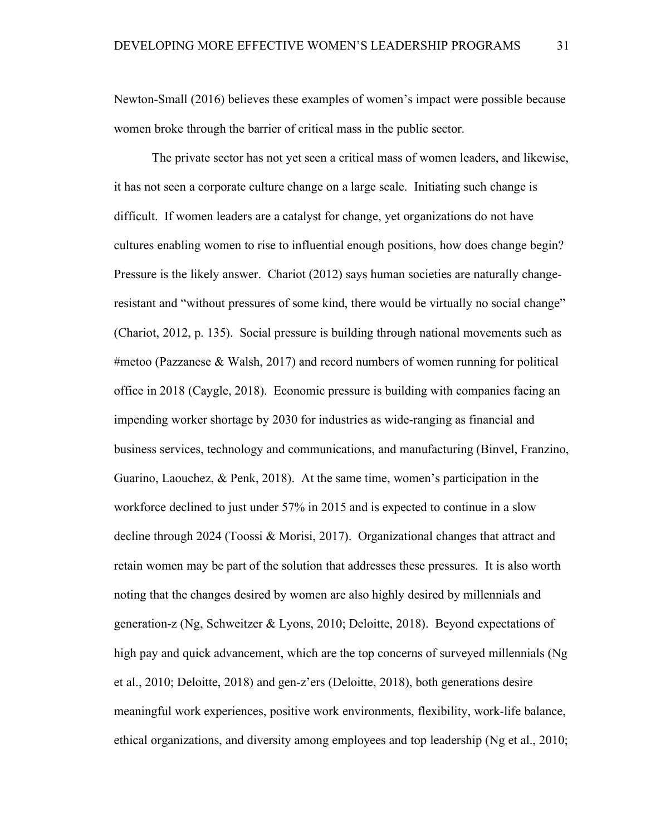Newton-Small (2016) believes these examples of women's impact were possible because women broke through the barrier of critical mass in the public sector.

The private sector has not yet seen a critical mass of women leaders, and likewise, it has not seen a corporate culture change on a large scale. Initiating such change is difficult. If women leaders are a catalyst for change, yet organizations do not have cultures enabling women to rise to influential enough positions, how does change begin? Pressure is the likely answer. Chariot (2012) says human societies are naturally changeresistant and "without pressures of some kind, there would be virtually no social change" (Chariot, 2012, p. 135). Social pressure is building through national movements such as #metoo (Pazzanese & Walsh, 2017) and record numbers of women running for political office in 2018 (Caygle, 2018). Economic pressure is building with companies facing an impending worker shortage by 2030 for industries as wide-ranging as financial and business services, technology and communications, and manufacturing (Binvel, Franzino, Guarino, Laouchez, & Penk, 2018). At the same time, women's participation in the workforce declined to just under 57% in 2015 and is expected to continue in a slow decline through 2024 (Toossi & Morisi, 2017). Organizational changes that attract and retain women may be part of the solution that addresses these pressures. It is also worth noting that the changes desired by women are also highly desired by millennials and generation-z (Ng, Schweitzer & Lyons, 2010; Deloitte, 2018). Beyond expectations of high pay and quick advancement, which are the top concerns of surveyed millennials (Ng et al., 2010; Deloitte, 2018) and gen-z'ers (Deloitte, 2018), both generations desire meaningful work experiences, positive work environments, flexibility, work-life balance, ethical organizations, and diversity among employees and top leadership (Ng et al., 2010;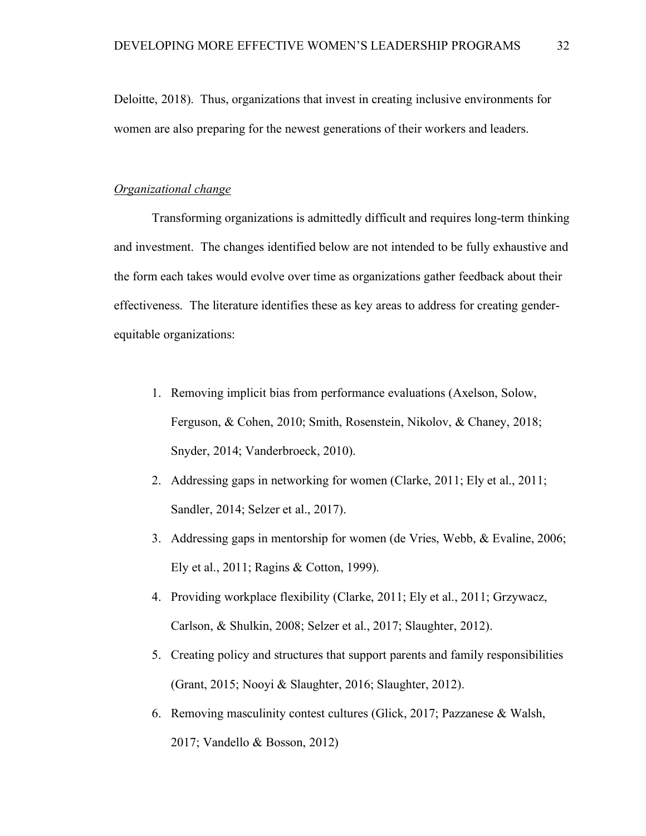Deloitte, 2018). Thus, organizations that invest in creating inclusive environments for women are also preparing for the newest generations of their workers and leaders.

#### *Organizational change*

Transforming organizations is admittedly difficult and requires long-term thinking and investment. The changes identified below are not intended to be fully exhaustive and the form each takes would evolve over time as organizations gather feedback about their effectiveness. The literature identifies these as key areas to address for creating genderequitable organizations:

- 1. Removing implicit bias from performance evaluations (Axelson, Solow, Ferguson, & Cohen, 2010; Smith, Rosenstein, Nikolov, & Chaney, 2018; Snyder, 2014; Vanderbroeck, 2010).
- 2. Addressing gaps in networking for women (Clarke, 2011; Ely et al., 2011; Sandler, 2014; Selzer et al., 2017).
- 3. Addressing gaps in mentorship for women (de Vries, Webb, & Evaline, 2006; Ely et al., 2011; Ragins & Cotton, 1999).
- 4. Providing workplace flexibility (Clarke, 2011; Ely et al., 2011; Grzywacz, Carlson, & Shulkin, 2008; Selzer et al., 2017; Slaughter, 2012).
- 5. Creating policy and structures that support parents and family responsibilities (Grant, 2015; Nooyi & Slaughter, 2016; Slaughter, 2012).
- 6. Removing masculinity contest cultures (Glick, 2017; Pazzanese & Walsh, 2017; Vandello & Bosson, 2012)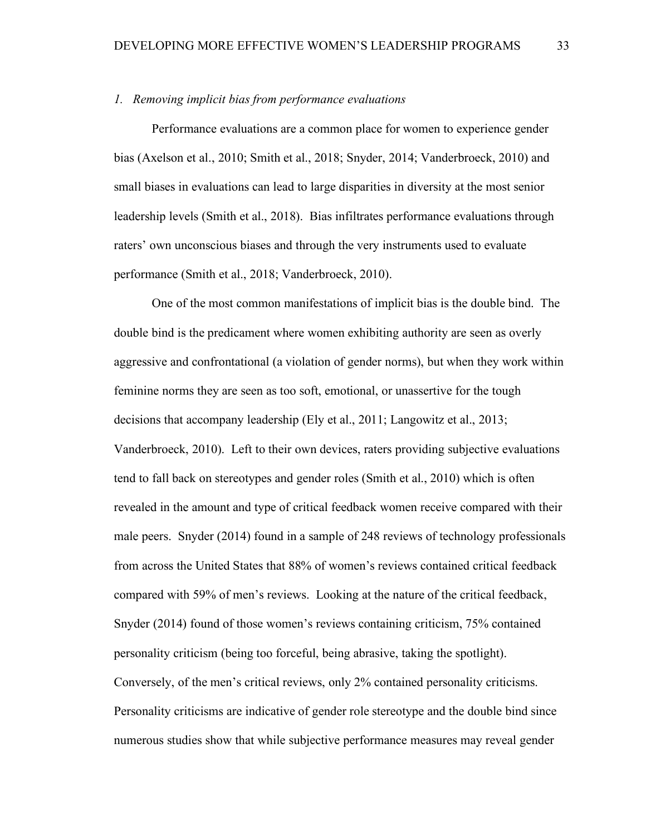#### *1. Removing implicit bias from performance evaluations*

Performance evaluations are a common place for women to experience gender bias (Axelson et al., 2010; Smith et al., 2018; Snyder, 2014; Vanderbroeck, 2010) and small biases in evaluations can lead to large disparities in diversity at the most senior leadership levels (Smith et al., 2018). Bias infiltrates performance evaluations through raters' own unconscious biases and through the very instruments used to evaluate performance (Smith et al., 2018; Vanderbroeck, 2010).

One of the most common manifestations of implicit bias is the double bind. The double bind is the predicament where women exhibiting authority are seen as overly aggressive and confrontational (a violation of gender norms), but when they work within feminine norms they are seen as too soft, emotional, or unassertive for the tough decisions that accompany leadership (Ely et al., 2011; Langowitz et al., 2013; Vanderbroeck, 2010). Left to their own devices, raters providing subjective evaluations tend to fall back on stereotypes and gender roles (Smith et al., 2010) which is often revealed in the amount and type of critical feedback women receive compared with their male peers. Snyder (2014) found in a sample of 248 reviews of technology professionals from across the United States that 88% of women's reviews contained critical feedback compared with 59% of men's reviews. Looking at the nature of the critical feedback, Snyder (2014) found of those women's reviews containing criticism, 75% contained personality criticism (being too forceful, being abrasive, taking the spotlight). Conversely, of the men's critical reviews, only 2% contained personality criticisms. Personality criticisms are indicative of gender role stereotype and the double bind since numerous studies show that while subjective performance measures may reveal gender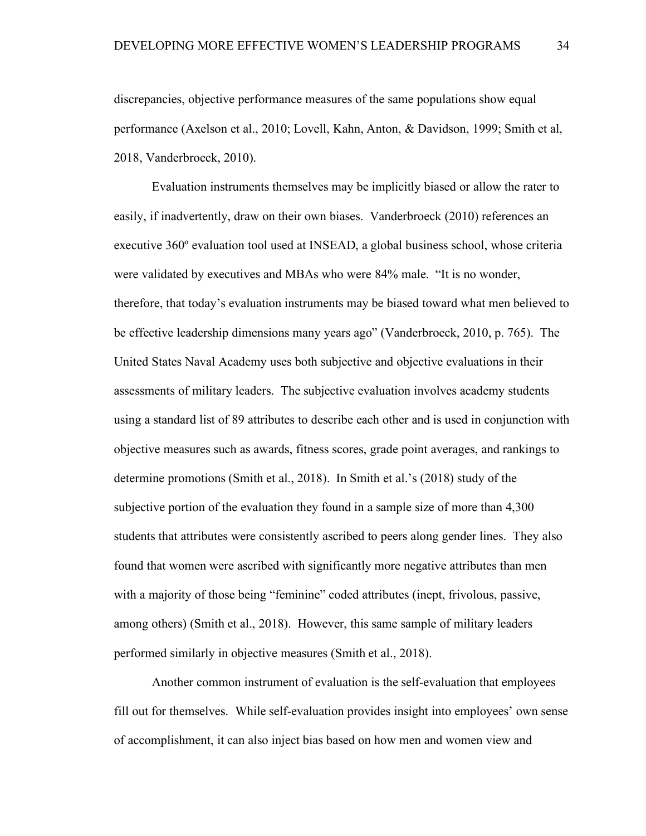discrepancies, objective performance measures of the same populations show equal performance (Axelson et al., 2010; Lovell, Kahn, Anton, & Davidson, 1999; Smith et al, 2018, Vanderbroeck, 2010).

Evaluation instruments themselves may be implicitly biased or allow the rater to easily, if inadvertently, draw on their own biases. Vanderbroeck (2010) references an executive 360º evaluation tool used at INSEAD, a global business school, whose criteria were validated by executives and MBAs who were 84% male. "It is no wonder, therefore, that today's evaluation instruments may be biased toward what men believed to be effective leadership dimensions many years ago" (Vanderbroeck, 2010, p. 765). The United States Naval Academy uses both subjective and objective evaluations in their assessments of military leaders. The subjective evaluation involves academy students using a standard list of 89 attributes to describe each other and is used in conjunction with objective measures such as awards, fitness scores, grade point averages, and rankings to determine promotions (Smith et al., 2018). In Smith et al.'s (2018) study of the subjective portion of the evaluation they found in a sample size of more than 4,300 students that attributes were consistently ascribed to peers along gender lines. They also found that women were ascribed with significantly more negative attributes than men with a majority of those being "feminine" coded attributes (inept, frivolous, passive, among others) (Smith et al., 2018). However, this same sample of military leaders performed similarly in objective measures (Smith et al., 2018).

Another common instrument of evaluation is the self-evaluation that employees fill out for themselves. While self-evaluation provides insight into employees' own sense of accomplishment, it can also inject bias based on how men and women view and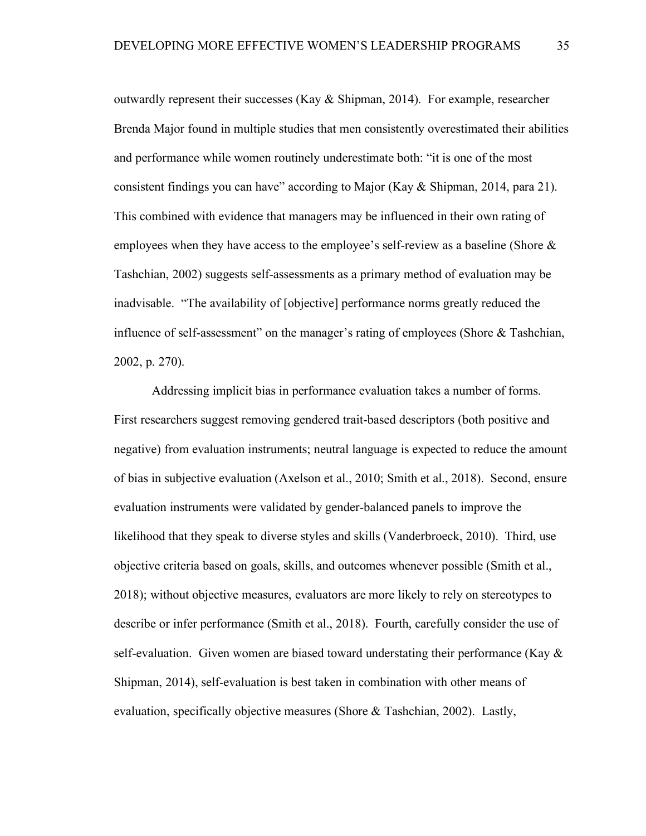outwardly represent their successes (Kay & Shipman, 2014). For example, researcher Brenda Major found in multiple studies that men consistently overestimated their abilities and performance while women routinely underestimate both: "it is one of the most consistent findings you can have" according to Major (Kay & Shipman, 2014, para 21). This combined with evidence that managers may be influenced in their own rating of employees when they have access to the employee's self-review as a baseline (Shore & Tashchian, 2002) suggests self-assessments as a primary method of evaluation may be inadvisable. "The availability of [objective] performance norms greatly reduced the influence of self-assessment" on the manager's rating of employees (Shore & Tashchian, 2002, p. 270).

Addressing implicit bias in performance evaluation takes a number of forms. First researchers suggest removing gendered trait-based descriptors (both positive and negative) from evaluation instruments; neutral language is expected to reduce the amount of bias in subjective evaluation (Axelson et al., 2010; Smith et al., 2018). Second, ensure evaluation instruments were validated by gender-balanced panels to improve the likelihood that they speak to diverse styles and skills (Vanderbroeck, 2010). Third, use objective criteria based on goals, skills, and outcomes whenever possible (Smith et al., 2018); without objective measures, evaluators are more likely to rely on stereotypes to describe or infer performance (Smith et al., 2018). Fourth, carefully consider the use of self-evaluation. Given women are biased toward understating their performance (Kay  $\&$ Shipman, 2014), self-evaluation is best taken in combination with other means of evaluation, specifically objective measures (Shore & Tashchian, 2002). Lastly,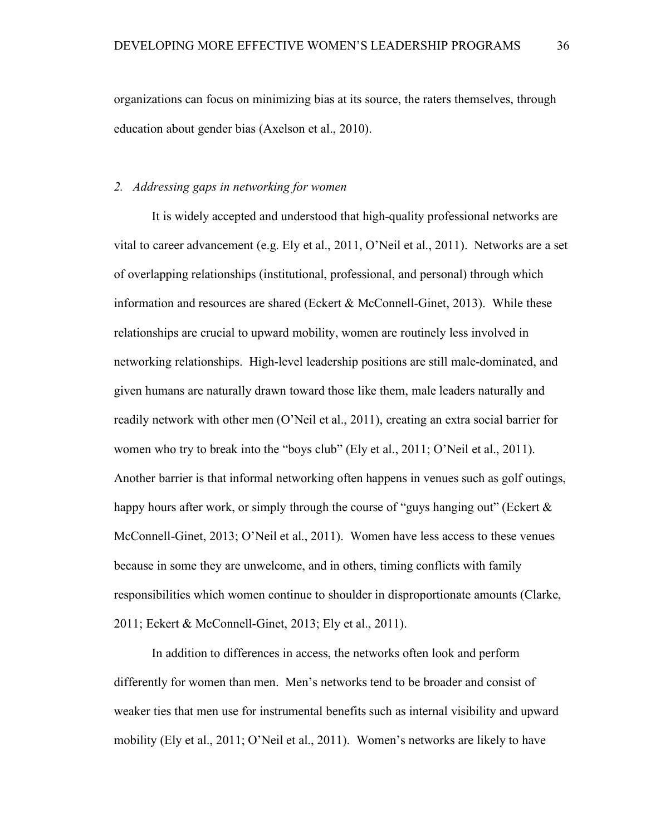organizations can focus on minimizing bias at its source, the raters themselves, through education about gender bias (Axelson et al., 2010).

### *2. Addressing gaps in networking for women*

It is widely accepted and understood that high-quality professional networks are vital to career advancement (e.g. Ely et al., 2011, O'Neil et al., 2011). Networks are a set of overlapping relationships (institutional, professional, and personal) through which information and resources are shared (Eckert & McConnell-Ginet, 2013). While these relationships are crucial to upward mobility, women are routinely less involved in networking relationships. High-level leadership positions are still male-dominated, and given humans are naturally drawn toward those like them, male leaders naturally and readily network with other men (O'Neil et al., 2011), creating an extra social barrier for women who try to break into the "boys club" (Ely et al., 2011; O'Neil et al., 2011). Another barrier is that informal networking often happens in venues such as golf outings, happy hours after work, or simply through the course of "guys hanging out" (Eckert  $\&$ McConnell-Ginet, 2013; O'Neil et al., 2011). Women have less access to these venues because in some they are unwelcome, and in others, timing conflicts with family responsibilities which women continue to shoulder in disproportionate amounts (Clarke, 2011; Eckert & McConnell-Ginet, 2013; Ely et al., 2011).

In addition to differences in access, the networks often look and perform differently for women than men. Men's networks tend to be broader and consist of weaker ties that men use for instrumental benefits such as internal visibility and upward mobility (Ely et al., 2011; O'Neil et al., 2011). Women's networks are likely to have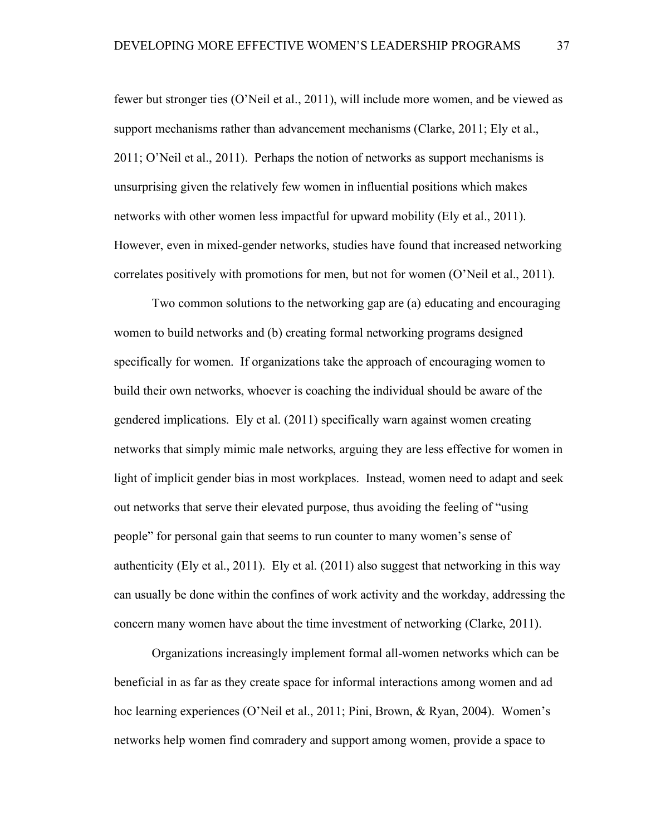fewer but stronger ties (O'Neil et al., 2011), will include more women, and be viewed as support mechanisms rather than advancement mechanisms (Clarke, 2011; Ely et al., 2011; O'Neil et al., 2011). Perhaps the notion of networks as support mechanisms is unsurprising given the relatively few women in influential positions which makes networks with other women less impactful for upward mobility (Ely et al., 2011). However, even in mixed-gender networks, studies have found that increased networking correlates positively with promotions for men, but not for women (O'Neil et al., 2011).

Two common solutions to the networking gap are (a) educating and encouraging women to build networks and (b) creating formal networking programs designed specifically for women. If organizations take the approach of encouraging women to build their own networks, whoever is coaching the individual should be aware of the gendered implications. Ely et al. (2011) specifically warn against women creating networks that simply mimic male networks, arguing they are less effective for women in light of implicit gender bias in most workplaces. Instead, women need to adapt and seek out networks that serve their elevated purpose, thus avoiding the feeling of "using people" for personal gain that seems to run counter to many women's sense of authenticity (Ely et al., 2011). Ely et al. (2011) also suggest that networking in this way can usually be done within the confines of work activity and the workday, addressing the concern many women have about the time investment of networking (Clarke, 2011).

Organizations increasingly implement formal all-women networks which can be beneficial in as far as they create space for informal interactions among women and ad hoc learning experiences (O'Neil et al., 2011; Pini, Brown, & Ryan, 2004). Women's networks help women find comradery and support among women, provide a space to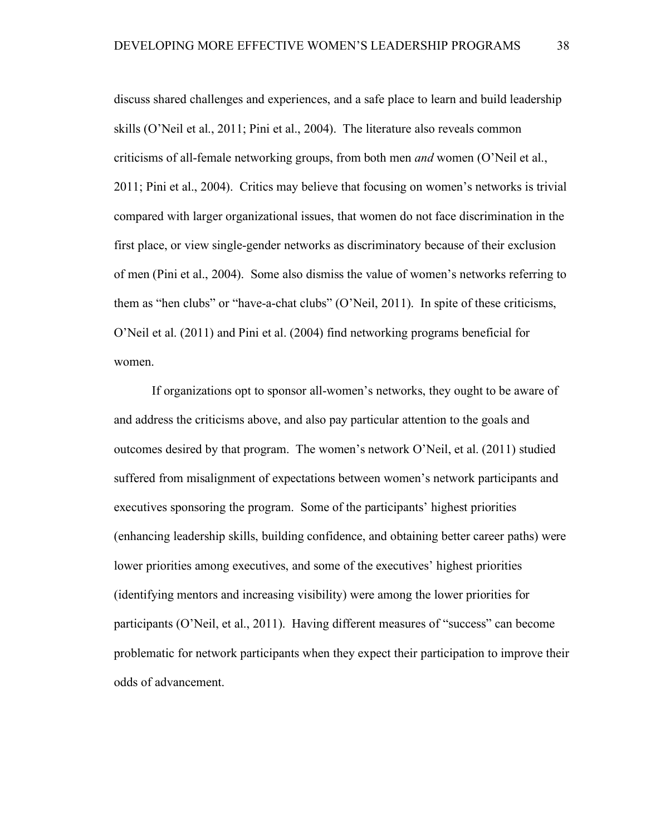discuss shared challenges and experiences, and a safe place to learn and build leadership skills (O'Neil et al., 2011; Pini et al., 2004). The literature also reveals common criticisms of all-female networking groups, from both men *and* women (O'Neil et al., 2011; Pini et al., 2004). Critics may believe that focusing on women's networks is trivial compared with larger organizational issues, that women do not face discrimination in the first place, or view single-gender networks as discriminatory because of their exclusion of men (Pini et al., 2004). Some also dismiss the value of women's networks referring to them as "hen clubs" or "have-a-chat clubs" (O'Neil, 2011). In spite of these criticisms, O'Neil et al. (2011) and Pini et al. (2004) find networking programs beneficial for women.

If organizations opt to sponsor all-women's networks, they ought to be aware of and address the criticisms above, and also pay particular attention to the goals and outcomes desired by that program. The women's network O'Neil, et al. (2011) studied suffered from misalignment of expectations between women's network participants and executives sponsoring the program. Some of the participants' highest priorities (enhancing leadership skills, building confidence, and obtaining better career paths) were lower priorities among executives, and some of the executives' highest priorities (identifying mentors and increasing visibility) were among the lower priorities for participants (O'Neil, et al., 2011). Having different measures of "success" can become problematic for network participants when they expect their participation to improve their odds of advancement.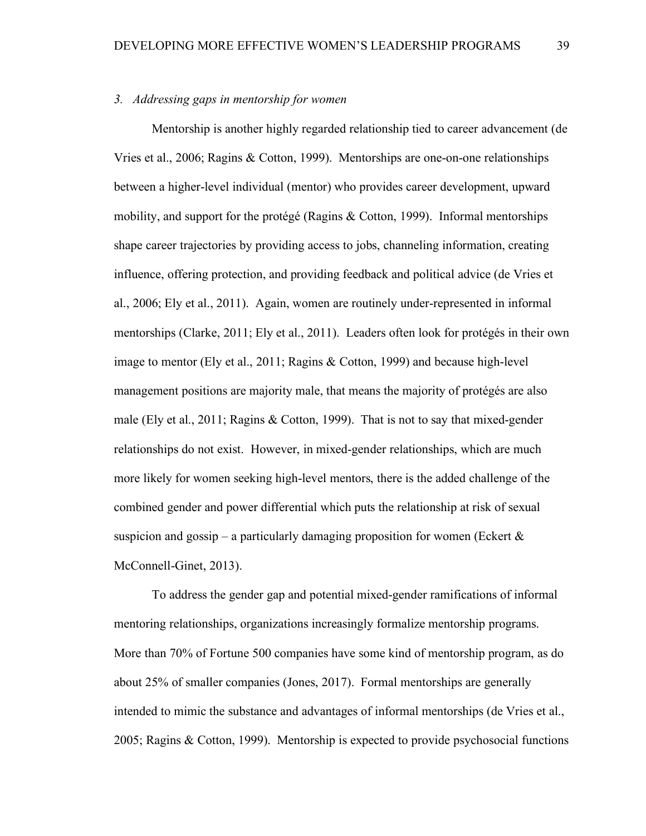### *3. Addressing gaps in mentorship for women*

Mentorship is another highly regarded relationship tied to career advancement (de Vries et al., 2006; Ragins & Cotton, 1999). Mentorships are one-on-one relationships between a higher-level individual (mentor) who provides career development, upward mobility, and support for the protégé (Ragins & Cotton, 1999). Informal mentorships shape career trajectories by providing access to jobs, channeling information, creating influence, offering protection, and providing feedback and political advice (de Vries et al., 2006; Ely et al., 2011). Again, women are routinely under-represented in informal mentorships (Clarke, 2011; Ely et al., 2011). Leaders often look for protégés in their own image to mentor (Ely et al., 2011; Ragins & Cotton, 1999) and because high-level management positions are majority male, that means the majority of protégés are also male (Ely et al., 2011; Ragins & Cotton, 1999). That is not to say that mixed-gender relationships do not exist. However, in mixed-gender relationships, which are much more likely for women seeking high-level mentors, there is the added challenge of the combined gender and power differential which puts the relationship at risk of sexual suspicion and gossip – a particularly damaging proposition for women (Eckert  $\&$ McConnell-Ginet, 2013).

To address the gender gap and potential mixed-gender ramifications of informal mentoring relationships, organizations increasingly formalize mentorship programs. More than 70% of Fortune 500 companies have some kind of mentorship program, as do about 25% of smaller companies (Jones, 2017). Formal mentorships are generally intended to mimic the substance and advantages of informal mentorships (de Vries et al., 2005; Ragins & Cotton, 1999). Mentorship is expected to provide psychosocial functions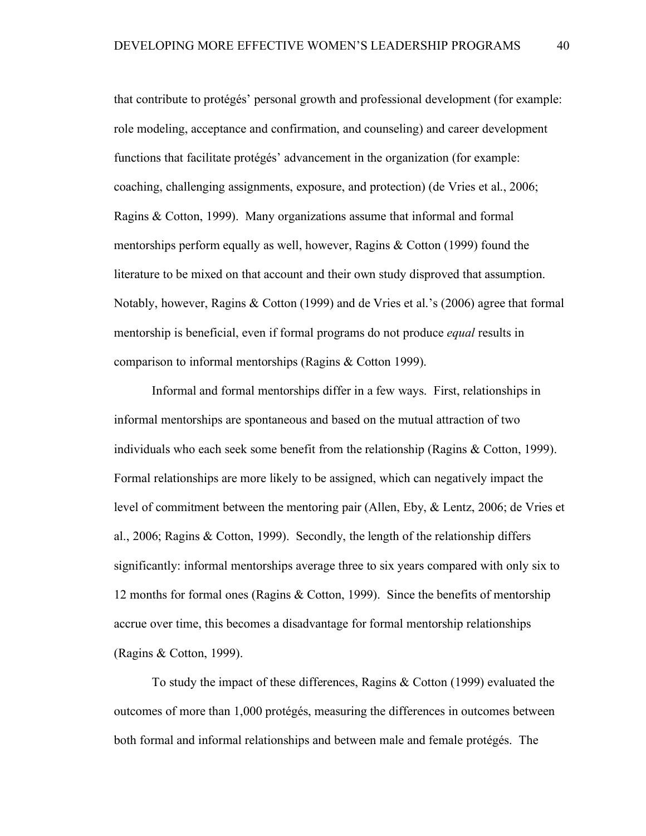that contribute to protégés' personal growth and professional development (for example: role modeling, acceptance and confirmation, and counseling) and career development functions that facilitate protégés' advancement in the organization (for example: coaching, challenging assignments, exposure, and protection) (de Vries et al., 2006; Ragins & Cotton, 1999). Many organizations assume that informal and formal mentorships perform equally as well, however, Ragins & Cotton (1999) found the literature to be mixed on that account and their own study disproved that assumption. Notably, however, Ragins & Cotton (1999) and de Vries et al.'s (2006) agree that formal mentorship is beneficial, even if formal programs do not produce *equal* results in comparison to informal mentorships (Ragins & Cotton 1999).

Informal and formal mentorships differ in a few ways. First, relationships in informal mentorships are spontaneous and based on the mutual attraction of two individuals who each seek some benefit from the relationship (Ragins & Cotton, 1999). Formal relationships are more likely to be assigned, which can negatively impact the level of commitment between the mentoring pair (Allen, Eby, & Lentz, 2006; de Vries et al., 2006; Ragins & Cotton, 1999). Secondly, the length of the relationship differs significantly: informal mentorships average three to six years compared with only six to 12 months for formal ones (Ragins & Cotton, 1999). Since the benefits of mentorship accrue over time, this becomes a disadvantage for formal mentorship relationships (Ragins & Cotton, 1999).

To study the impact of these differences, Ragins & Cotton (1999) evaluated the outcomes of more than 1,000 protégés, measuring the differences in outcomes between both formal and informal relationships and between male and female protégés. The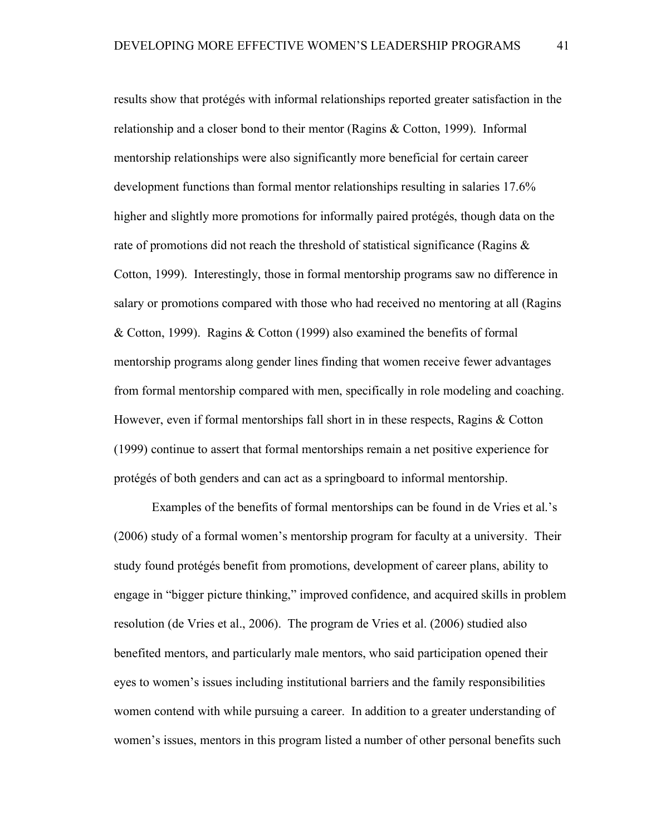results show that protégés with informal relationships reported greater satisfaction in the relationship and a closer bond to their mentor (Ragins & Cotton, 1999). Informal mentorship relationships were also significantly more beneficial for certain career development functions than formal mentor relationships resulting in salaries 17.6% higher and slightly more promotions for informally paired protégés, though data on the rate of promotions did not reach the threshold of statistical significance (Ragins & Cotton, 1999). Interestingly, those in formal mentorship programs saw no difference in salary or promotions compared with those who had received no mentoring at all (Ragins & Cotton, 1999). Ragins & Cotton (1999) also examined the benefits of formal mentorship programs along gender lines finding that women receive fewer advantages from formal mentorship compared with men, specifically in role modeling and coaching. However, even if formal mentorships fall short in in these respects, Ragins & Cotton (1999) continue to assert that formal mentorships remain a net positive experience for protégés of both genders and can act as a springboard to informal mentorship.

Examples of the benefits of formal mentorships can be found in de Vries et al.'s (2006) study of a formal women's mentorship program for faculty at a university. Their study found protégés benefit from promotions, development of career plans, ability to engage in "bigger picture thinking," improved confidence, and acquired skills in problem resolution (de Vries et al., 2006). The program de Vries et al. (2006) studied also benefited mentors, and particularly male mentors, who said participation opened their eyes to women's issues including institutional barriers and the family responsibilities women contend with while pursuing a career. In addition to a greater understanding of women's issues, mentors in this program listed a number of other personal benefits such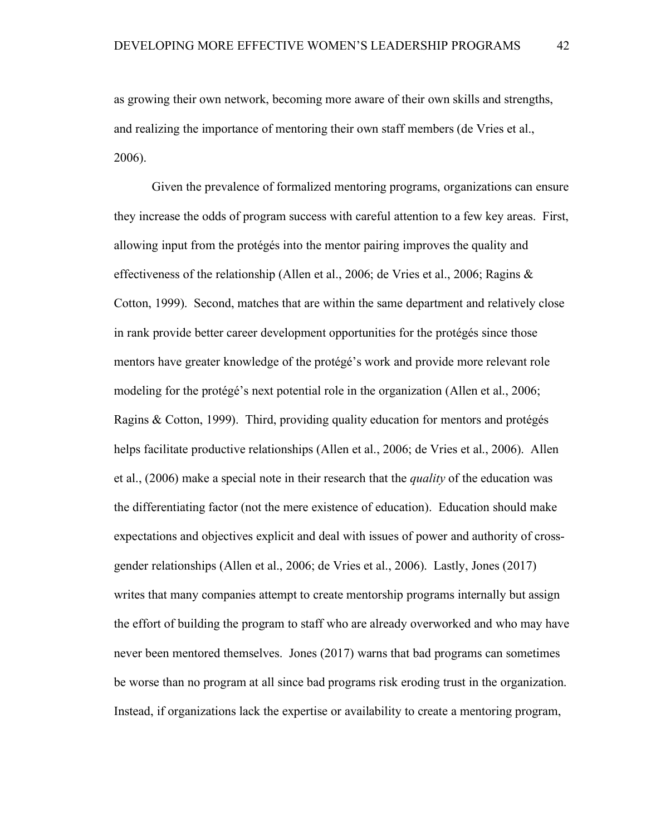as growing their own network, becoming more aware of their own skills and strengths, and realizing the importance of mentoring their own staff members (de Vries et al., 2006).

Given the prevalence of formalized mentoring programs, organizations can ensure they increase the odds of program success with careful attention to a few key areas. First, allowing input from the protégés into the mentor pairing improves the quality and effectiveness of the relationship (Allen et al., 2006; de Vries et al., 2006; Ragins & Cotton, 1999). Second, matches that are within the same department and relatively close in rank provide better career development opportunities for the protégés since those mentors have greater knowledge of the protégé's work and provide more relevant role modeling for the protégé's next potential role in the organization (Allen et al., 2006; Ragins & Cotton, 1999). Third, providing quality education for mentors and protégés helps facilitate productive relationships (Allen et al., 2006; de Vries et al., 2006). Allen et al., (2006) make a special note in their research that the *quality* of the education was the differentiating factor (not the mere existence of education). Education should make expectations and objectives explicit and deal with issues of power and authority of crossgender relationships (Allen et al., 2006; de Vries et al., 2006). Lastly, Jones (2017) writes that many companies attempt to create mentorship programs internally but assign the effort of building the program to staff who are already overworked and who may have never been mentored themselves. Jones (2017) warns that bad programs can sometimes be worse than no program at all since bad programs risk eroding trust in the organization. Instead, if organizations lack the expertise or availability to create a mentoring program,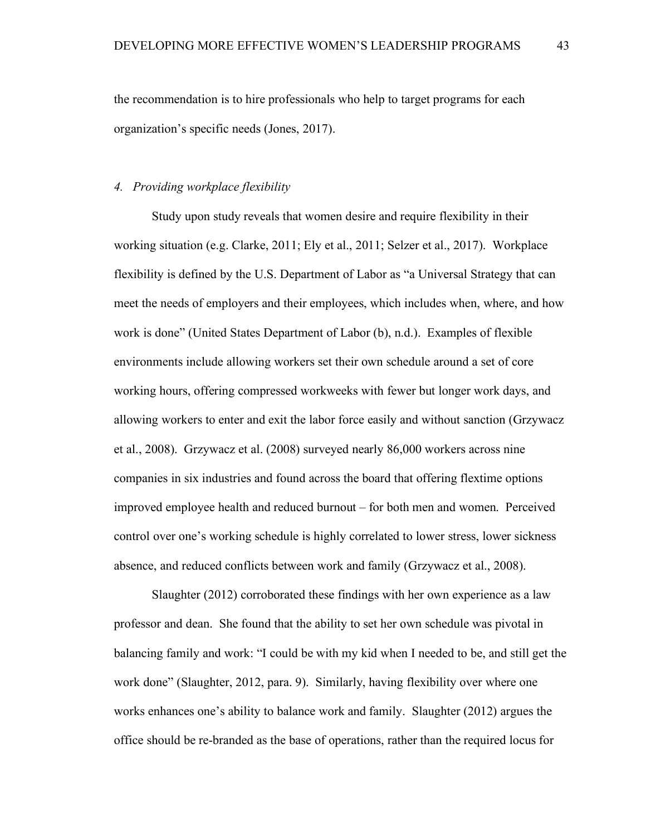the recommendation is to hire professionals who help to target programs for each organization's specific needs (Jones, 2017).

### *4. Providing workplace flexibility*

Study upon study reveals that women desire and require flexibility in their working situation (e.g. Clarke, 2011; Ely et al., 2011; Selzer et al., 2017). Workplace flexibility is defined by the U.S. Department of Labor as "a Universal Strategy that can meet the needs of employers and their employees, which includes when, where, and how work is done" (United States Department of Labor (b), n.d.). Examples of flexible environments include allowing workers set their own schedule around a set of core working hours, offering compressed workweeks with fewer but longer work days, and allowing workers to enter and exit the labor force easily and without sanction (Grzywacz et al., 2008). Grzywacz et al. (2008) surveyed nearly 86,000 workers across nine companies in six industries and found across the board that offering flextime options improved employee health and reduced burnout – for both men and women. Perceived control over one's working schedule is highly correlated to lower stress, lower sickness absence, and reduced conflicts between work and family (Grzywacz et al., 2008).

Slaughter (2012) corroborated these findings with her own experience as a law professor and dean. She found that the ability to set her own schedule was pivotal in balancing family and work: "I could be with my kid when I needed to be, and still get the work done" (Slaughter, 2012, para. 9). Similarly, having flexibility over where one works enhances one's ability to balance work and family. Slaughter (2012) argues the office should be re-branded as the base of operations, rather than the required locus for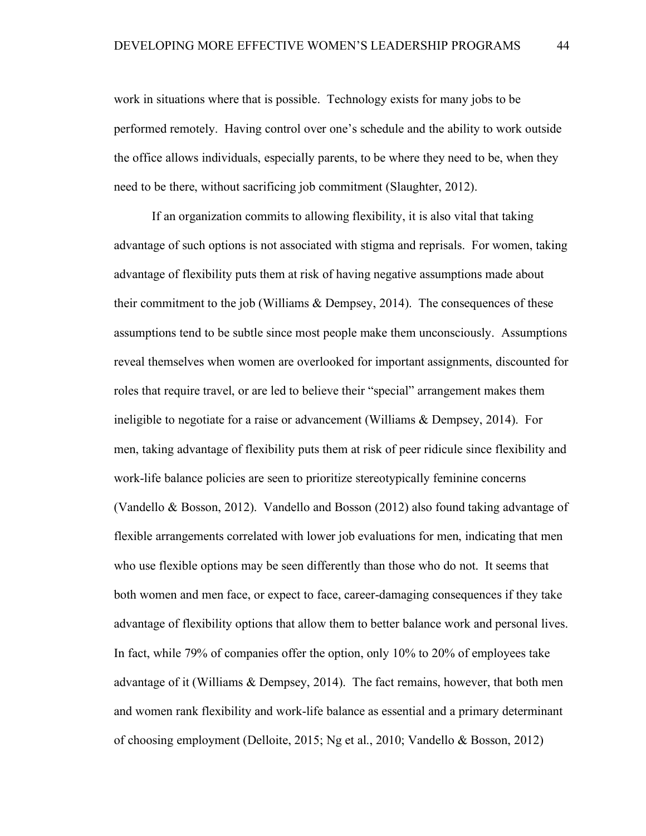work in situations where that is possible. Technology exists for many jobs to be performed remotely. Having control over one's schedule and the ability to work outside the office allows individuals, especially parents, to be where they need to be, when they need to be there, without sacrificing job commitment (Slaughter, 2012).

If an organization commits to allowing flexibility, it is also vital that taking advantage of such options is not associated with stigma and reprisals. For women, taking advantage of flexibility puts them at risk of having negative assumptions made about their commitment to the job (Williams  $&$  Dempsey, 2014). The consequences of these assumptions tend to be subtle since most people make them unconsciously. Assumptions reveal themselves when women are overlooked for important assignments, discounted for roles that require travel, or are led to believe their "special" arrangement makes them ineligible to negotiate for a raise or advancement (Williams & Dempsey, 2014). For men, taking advantage of flexibility puts them at risk of peer ridicule since flexibility and work-life balance policies are seen to prioritize stereotypically feminine concerns (Vandello & Bosson, 2012). Vandello and Bosson (2012) also found taking advantage of flexible arrangements correlated with lower job evaluations for men, indicating that men who use flexible options may be seen differently than those who do not. It seems that both women and men face, or expect to face, career-damaging consequences if they take advantage of flexibility options that allow them to better balance work and personal lives. In fact, while 79% of companies offer the option, only 10% to 20% of employees take advantage of it (Williams & Dempsey, 2014). The fact remains, however, that both men and women rank flexibility and work-life balance as essential and a primary determinant of choosing employment (Delloite, 2015; Ng et al., 2010; Vandello & Bosson, 2012)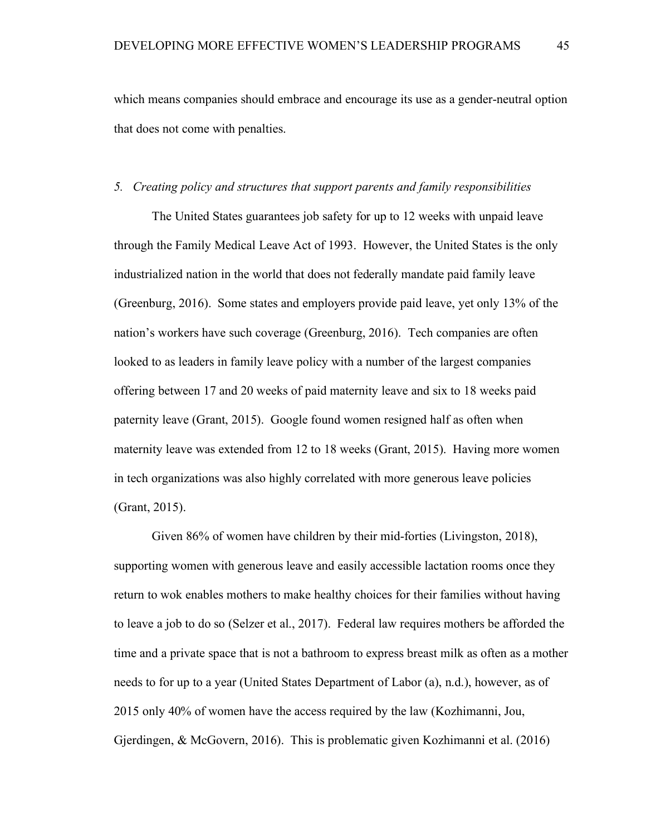which means companies should embrace and encourage its use as a gender-neutral option that does not come with penalties.

#### *5. Creating policy and structures that support parents and family responsibilities*

The United States guarantees job safety for up to 12 weeks with unpaid leave through the Family Medical Leave Act of 1993. However, the United States is the only industrialized nation in the world that does not federally mandate paid family leave (Greenburg, 2016). Some states and employers provide paid leave, yet only 13% of the nation's workers have such coverage (Greenburg, 2016). Tech companies are often looked to as leaders in family leave policy with a number of the largest companies offering between 17 and 20 weeks of paid maternity leave and six to 18 weeks paid paternity leave (Grant, 2015). Google found women resigned half as often when maternity leave was extended from 12 to 18 weeks (Grant, 2015). Having more women in tech organizations was also highly correlated with more generous leave policies (Grant, 2015).

Given 86% of women have children by their mid-forties (Livingston, 2018), supporting women with generous leave and easily accessible lactation rooms once they return to wok enables mothers to make healthy choices for their families without having to leave a job to do so (Selzer et al., 2017). Federal law requires mothers be afforded the time and a private space that is not a bathroom to express breast milk as often as a mother needs to for up to a year (United States Department of Labor (a), n.d.), however, as of 2015 only 40% of women have the access required by the law (Kozhimanni, Jou, Gjerdingen, & McGovern, 2016). This is problematic given Kozhimanni et al. (2016)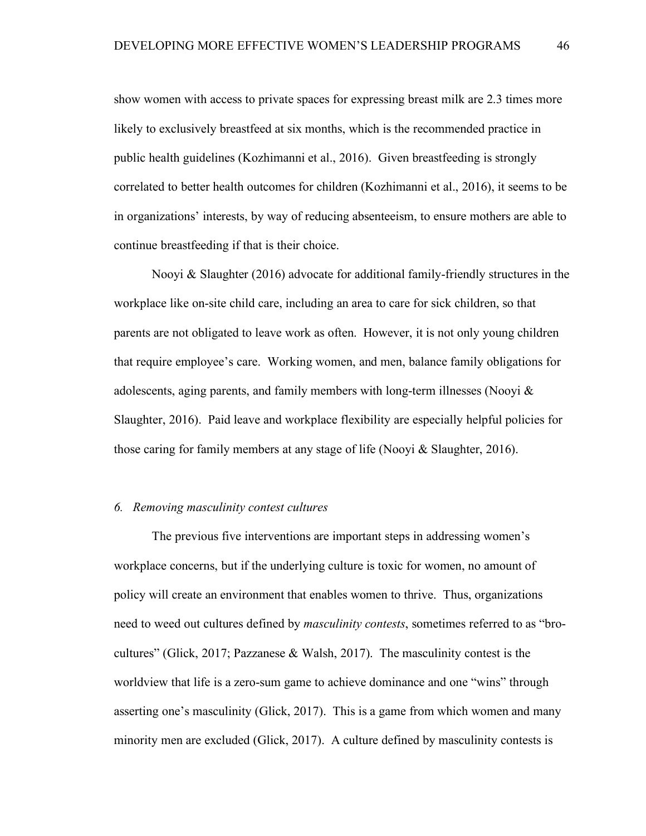show women with access to private spaces for expressing breast milk are 2.3 times more likely to exclusively breastfeed at six months, which is the recommended practice in public health guidelines (Kozhimanni et al., 2016). Given breastfeeding is strongly correlated to better health outcomes for children (Kozhimanni et al., 2016), it seems to be in organizations' interests, by way of reducing absenteeism, to ensure mothers are able to continue breastfeeding if that is their choice.

Nooyi & Slaughter (2016) advocate for additional family-friendly structures in the workplace like on-site child care, including an area to care for sick children, so that parents are not obligated to leave work as often. However, it is not only young children that require employee's care. Working women, and men, balance family obligations for adolescents, aging parents, and family members with long-term illnesses (Nooyi  $\&$ Slaughter, 2016). Paid leave and workplace flexibility are especially helpful policies for those caring for family members at any stage of life (Nooyi & Slaughter, 2016).

#### *6. Removing masculinity contest cultures*

The previous five interventions are important steps in addressing women's workplace concerns, but if the underlying culture is toxic for women, no amount of policy will create an environment that enables women to thrive. Thus, organizations need to weed out cultures defined by *masculinity contests*, sometimes referred to as "brocultures" (Glick, 2017; Pazzanese & Walsh, 2017). The masculinity contest is the worldview that life is a zero-sum game to achieve dominance and one "wins" through asserting one's masculinity (Glick, 2017). This is a game from which women and many minority men are excluded (Glick, 2017). A culture defined by masculinity contests is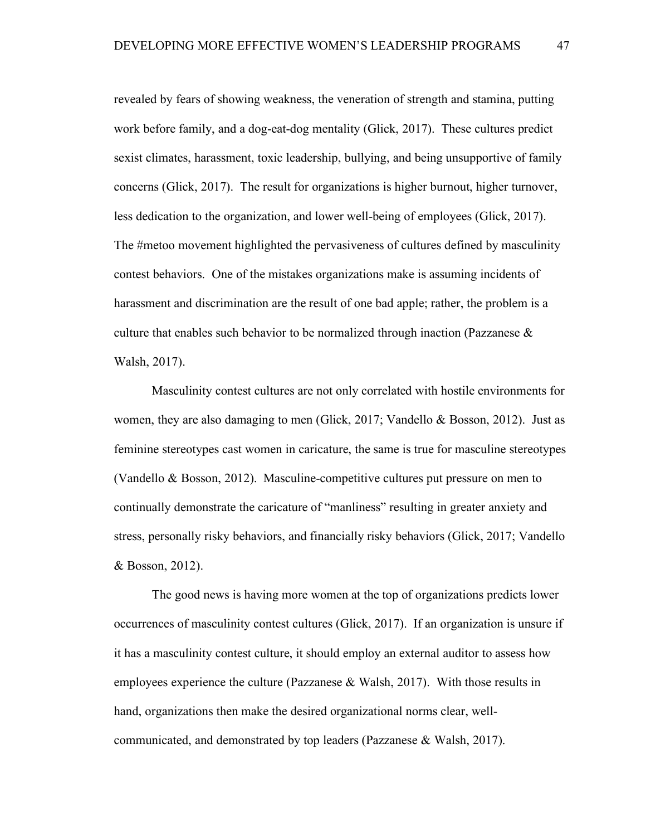revealed by fears of showing weakness, the veneration of strength and stamina, putting work before family, and a dog-eat-dog mentality (Glick, 2017). These cultures predict sexist climates, harassment, toxic leadership, bullying, and being unsupportive of family concerns (Glick, 2017). The result for organizations is higher burnout, higher turnover, less dedication to the organization, and lower well-being of employees (Glick, 2017). The #metoo movement highlighted the pervasiveness of cultures defined by masculinity contest behaviors. One of the mistakes organizations make is assuming incidents of harassment and discrimination are the result of one bad apple; rather, the problem is a culture that enables such behavior to be normalized through inaction (Pazzanese  $\&$ Walsh, 2017).

Masculinity contest cultures are not only correlated with hostile environments for women, they are also damaging to men (Glick, 2017; Vandello & Bosson, 2012). Just as feminine stereotypes cast women in caricature, the same is true for masculine stereotypes (Vandello & Bosson, 2012). Masculine-competitive cultures put pressure on men to continually demonstrate the caricature of "manliness" resulting in greater anxiety and stress, personally risky behaviors, and financially risky behaviors (Glick, 2017; Vandello & Bosson, 2012).

The good news is having more women at the top of organizations predicts lower occurrences of masculinity contest cultures (Glick, 2017). If an organization is unsure if it has a masculinity contest culture, it should employ an external auditor to assess how employees experience the culture (Pazzanese & Walsh, 2017). With those results in hand, organizations then make the desired organizational norms clear, wellcommunicated, and demonstrated by top leaders (Pazzanese & Walsh, 2017).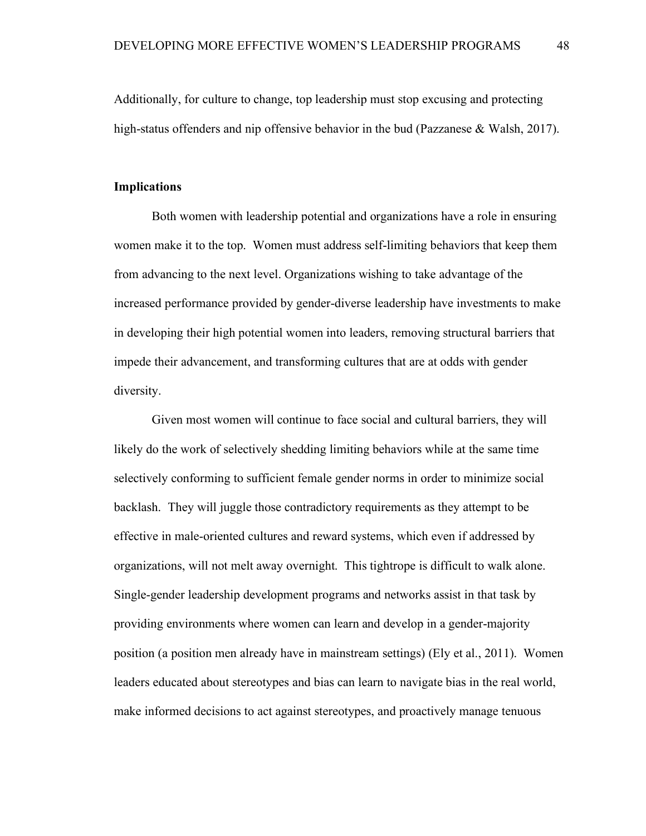Additionally, for culture to change, top leadership must stop excusing and protecting high-status offenders and nip offensive behavior in the bud (Pazzanese  $\&$  Walsh, 2017).

#### **Implications**

Both women with leadership potential and organizations have a role in ensuring women make it to the top. Women must address self-limiting behaviors that keep them from advancing to the next level. Organizations wishing to take advantage of the increased performance provided by gender-diverse leadership have investments to make in developing their high potential women into leaders, removing structural barriers that impede their advancement, and transforming cultures that are at odds with gender diversity.

Given most women will continue to face social and cultural barriers, they will likely do the work of selectively shedding limiting behaviors while at the same time selectively conforming to sufficient female gender norms in order to minimize social backlash. They will juggle those contradictory requirements as they attempt to be effective in male-oriented cultures and reward systems, which even if addressed by organizations, will not melt away overnight. This tightrope is difficult to walk alone. Single-gender leadership development programs and networks assist in that task by providing environments where women can learn and develop in a gender-majority position (a position men already have in mainstream settings) (Ely et al., 2011). Women leaders educated about stereotypes and bias can learn to navigate bias in the real world, make informed decisions to act against stereotypes, and proactively manage tenuous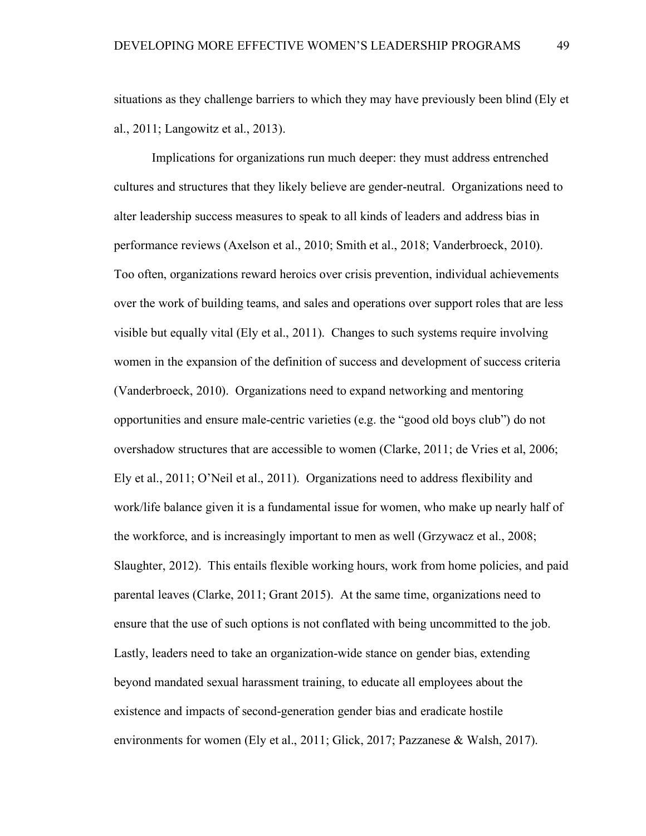situations as they challenge barriers to which they may have previously been blind (Ely et al., 2011; Langowitz et al., 2013).

Implications for organizations run much deeper: they must address entrenched cultures and structures that they likely believe are gender-neutral. Organizations need to alter leadership success measures to speak to all kinds of leaders and address bias in performance reviews (Axelson et al., 2010; Smith et al., 2018; Vanderbroeck, 2010). Too often, organizations reward heroics over crisis prevention, individual achievements over the work of building teams, and sales and operations over support roles that are less visible but equally vital (Ely et al., 2011). Changes to such systems require involving women in the expansion of the definition of success and development of success criteria (Vanderbroeck, 2010). Organizations need to expand networking and mentoring opportunities and ensure male-centric varieties (e.g. the "good old boys club") do not overshadow structures that are accessible to women (Clarke, 2011; de Vries et al, 2006; Ely et al., 2011; O'Neil et al., 2011). Organizations need to address flexibility and work/life balance given it is a fundamental issue for women, who make up nearly half of the workforce, and is increasingly important to men as well (Grzywacz et al., 2008; Slaughter, 2012). This entails flexible working hours, work from home policies, and paid parental leaves (Clarke, 2011; Grant 2015). At the same time, organizations need to ensure that the use of such options is not conflated with being uncommitted to the job. Lastly, leaders need to take an organization-wide stance on gender bias, extending beyond mandated sexual harassment training, to educate all employees about the existence and impacts of second-generation gender bias and eradicate hostile environments for women (Ely et al., 2011; Glick, 2017; Pazzanese & Walsh, 2017).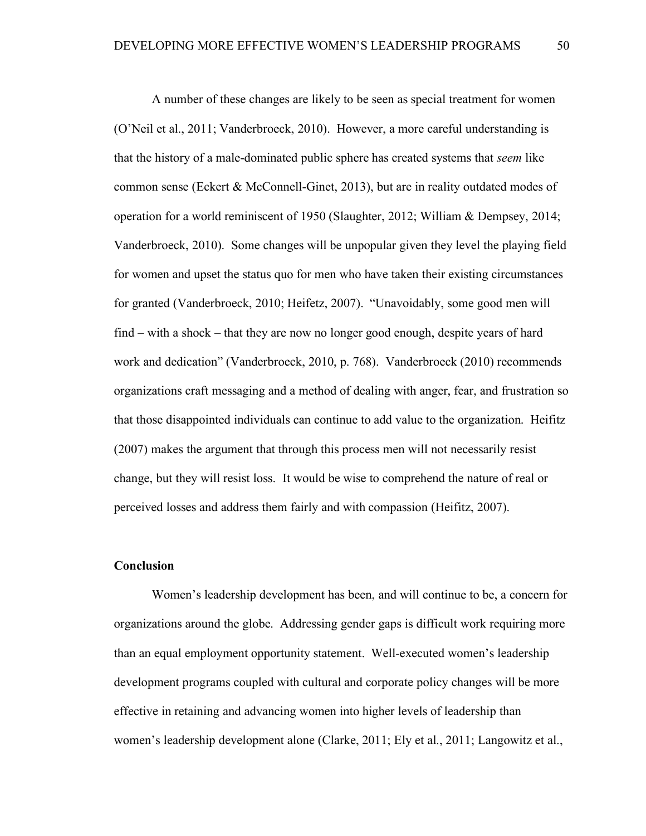A number of these changes are likely to be seen as special treatment for women (O'Neil et al., 2011; Vanderbroeck, 2010). However, a more careful understanding is that the history of a male-dominated public sphere has created systems that *seem* like common sense (Eckert & McConnell-Ginet, 2013), but are in reality outdated modes of operation for a world reminiscent of 1950 (Slaughter, 2012; William & Dempsey, 2014; Vanderbroeck, 2010). Some changes will be unpopular given they level the playing field for women and upset the status quo for men who have taken their existing circumstances for granted (Vanderbroeck, 2010; Heifetz, 2007). "Unavoidably, some good men will find – with a shock – that they are now no longer good enough, despite years of hard work and dedication" (Vanderbroeck, 2010, p. 768). Vanderbroeck (2010) recommends organizations craft messaging and a method of dealing with anger, fear, and frustration so that those disappointed individuals can continue to add value to the organization. Heifitz (2007) makes the argument that through this process men will not necessarily resist change, but they will resist loss. It would be wise to comprehend the nature of real or perceived losses and address them fairly and with compassion (Heifitz, 2007).

### **Conclusion**

Women's leadership development has been, and will continue to be, a concern for organizations around the globe. Addressing gender gaps is difficult work requiring more than an equal employment opportunity statement. Well-executed women's leadership development programs coupled with cultural and corporate policy changes will be more effective in retaining and advancing women into higher levels of leadership than women's leadership development alone (Clarke, 2011; Ely et al., 2011; Langowitz et al.,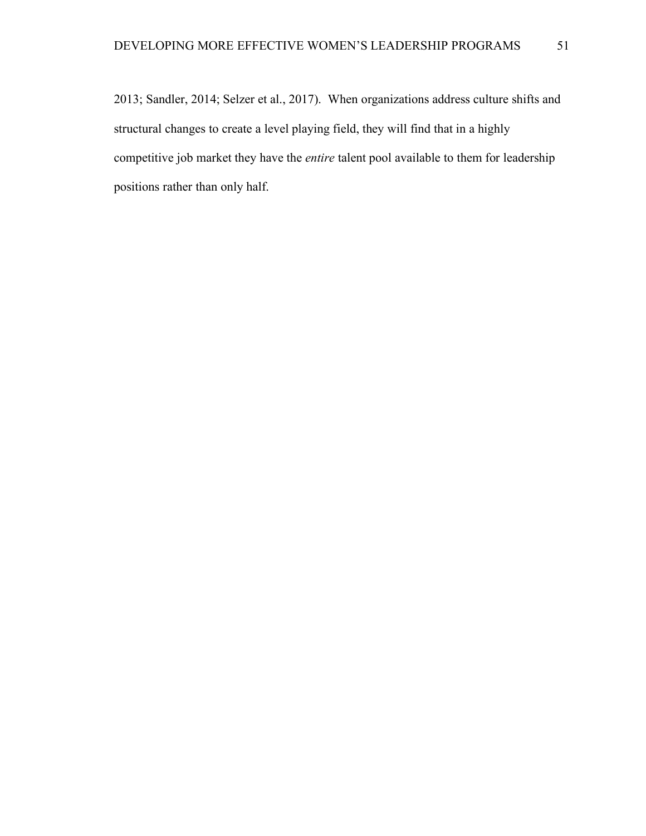2013; Sandler, 2014; Selzer et al., 2017). When organizations address culture shifts and structural changes to create a level playing field, they will find that in a highly competitive job market they have the *entire* talent pool available to them for leadership positions rather than only half.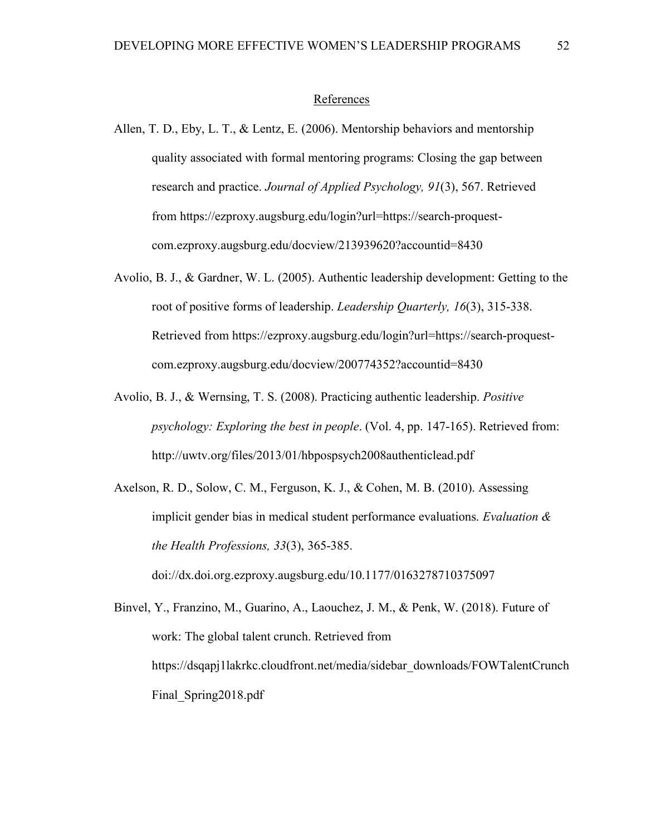#### References

- Allen, T. D., Eby, L. T., & Lentz, E. (2006). Mentorship behaviors and mentorship quality associated with formal mentoring programs: Closing the gap between research and practice. *Journal of Applied Psychology, 91*(3), 567. Retrieved from https://ezproxy.augsburg.edu/login?url=https://search-proquestcom.ezproxy.augsburg.edu/docview/213939620?accountid=8430
- Avolio, B. J., & Gardner, W. L. (2005). Authentic leadership development: Getting to the root of positive forms of leadership. *Leadership Quarterly, 16*(3), 315-338. Retrieved from https://ezproxy.augsburg.edu/login?url=https://search-proquestcom.ezproxy.augsburg.edu/docview/200774352?accountid=8430
- Avolio, B. J., & Wernsing, T. S. (2008). Practicing authentic leadership. *Positive psychology: Exploring the best in people*. (Vol. 4, pp. 147-165). Retrieved from: http://uwtv.org/files/2013/01/hbpospsych2008authenticlead.pdf
- Axelson, R. D., Solow, C. M., Ferguson, K. J., & Cohen, M. B. (2010). Assessing implicit gender bias in medical student performance evaluations. *Evaluation & the Health Professions, 33*(3), 365-385. doi://dx.doi.org.ezproxy.augsburg.edu/10.1177/0163278710375097

Binvel, Y., Franzino, M., Guarino, A., Laouchez, J. M., & Penk, W. (2018). Future of work: The global talent crunch. Retrieved from https://dsqapj1lakrkc.cloudfront.net/media/sidebar\_downloads/FOWTalentCrunch Final\_Spring2018.pdf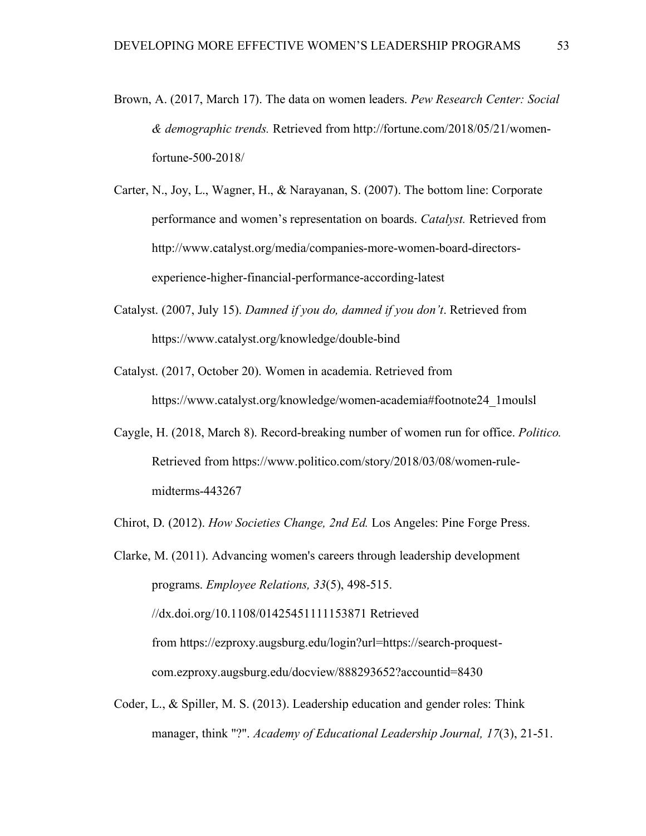- Brown, A. (2017, March 17). The data on women leaders. *Pew Research Center: Social & demographic trends.* Retrieved from http://fortune.com/2018/05/21/womenfortune-500-2018/
- Carter, N., Joy, L., Wagner, H., & Narayanan, S. (2007). The bottom line: Corporate performance and women's representation on boards. *Catalyst.* Retrieved from http://www.catalyst.org/media/companies-more-women-board-directorsexperience-higher-financial-performance-according-latest
- Catalyst. (2007, July 15). *Damned if you do, damned if you don't*. Retrieved from https://www.catalyst.org/knowledge/double-bind
- Catalyst. (2017, October 20). Women in academia. Retrieved from https://www.catalyst.org/knowledge/women-academia#footnote24\_1moulsl
- Caygle, H. (2018, March 8). Record-breaking number of women run for office. *Politico.* Retrieved from https://www.politico.com/story/2018/03/08/women-rulemidterms-443267
- Chirot, D. (2012). *How Societies Change, 2nd Ed.* Los Angeles: Pine Forge Press.

Clarke, M. (2011). Advancing women's careers through leadership development programs. *Employee Relations, 33*(5), 498-515. //dx.doi.org/10.1108/01425451111153871 Retrieved from https://ezproxy.augsburg.edu/login?url=https://search-proquestcom.ezproxy.augsburg.edu/docview/888293652?accountid=8430

Coder, L., & Spiller, M. S. (2013). Leadership education and gender roles: Think manager, think "?". *Academy of Educational Leadership Journal, 17*(3), 21-51.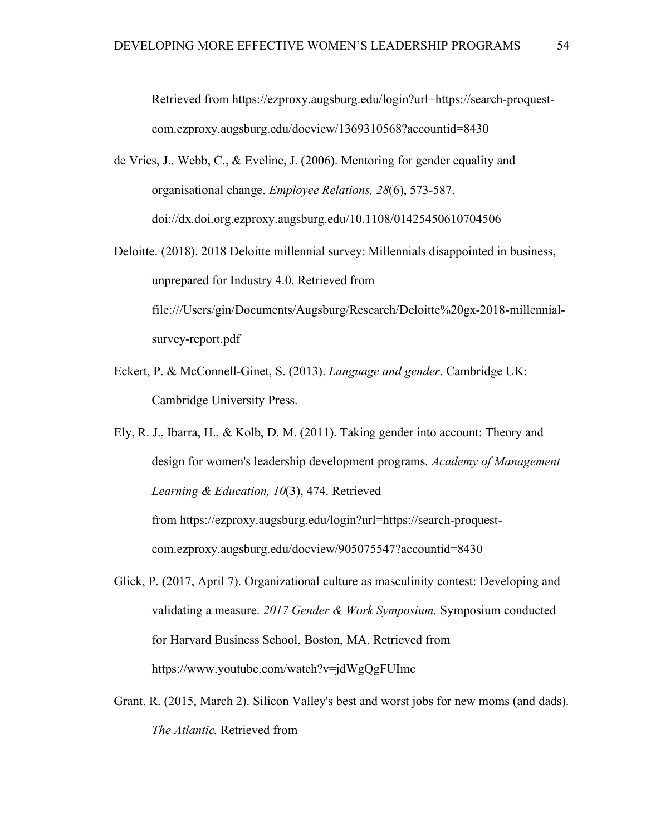Retrieved from https://ezproxy.augsburg.edu/login?url=https://search-proquestcom.ezproxy.augsburg.edu/docview/1369310568?accountid=8430

- de Vries, J., Webb, C., & Eveline, J. (2006). Mentoring for gender equality and organisational change. *Employee Relations, 28*(6), 573-587. doi://dx.doi.org.ezproxy.augsburg.edu/10.1108/01425450610704506
- Deloitte. (2018). 2018 Deloitte millennial survey: Millennials disappointed in business, unprepared for Industry 4.0. Retrieved from file:///Users/gin/Documents/Augsburg/Research/Deloitte%20gx-2018-millennialsurvey-report.pdf
- Eckert, P. & McConnell-Ginet, S. (2013). *Language and gender*. Cambridge UK: Cambridge University Press.
- Ely, R. J., Ibarra, H., & Kolb, D. M. (2011). Taking gender into account: Theory and design for women's leadership development programs. *Academy of Management Learning & Education, 10*(3), 474. Retrieved from https://ezproxy.augsburg.edu/login?url=https://search-proquestcom.ezproxy.augsburg.edu/docview/905075547?accountid=8430
- Glick, P. (2017, April 7). Organizational culture as masculinity contest: Developing and validating a measure. *2017 Gender & Work Symposium.* Symposium conducted for Harvard Business School, Boston, MA. Retrieved from https://www.youtube.com/watch?v=jdWgQgFUImc
- Grant. R. (2015, March 2). Silicon Valley's best and worst jobs for new moms (and dads). *The Atlantic.* Retrieved from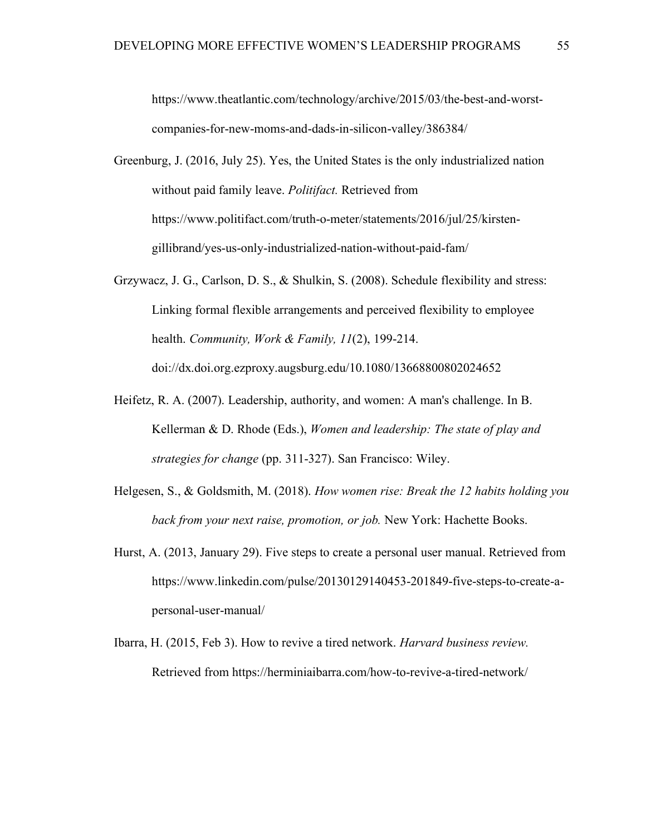https://www.theatlantic.com/technology/archive/2015/03/the-best-and-worstcompanies-for-new-moms-and-dads-in-silicon-valley/386384/

Greenburg, J. (2016, July 25). Yes, the United States is the only industrialized nation without paid family leave. *Politifact.* Retrieved from https://www.politifact.com/truth-o-meter/statements/2016/jul/25/kirstengillibrand/yes-us-only-industrialized-nation-without-paid-fam/

- Grzywacz, J. G., Carlson, D. S., & Shulkin, S. (2008). Schedule flexibility and stress: Linking formal flexible arrangements and perceived flexibility to employee health. *Community, Work & Family, 11*(2), 199-214. doi://dx.doi.org.ezproxy.augsburg.edu/10.1080/13668800802024652
- Heifetz, R. A. (2007). Leadership, authority, and women: A man's challenge. In B. Kellerman & D. Rhode (Eds.), *Women and leadership: The state of play and strategies for change* (pp. 311-327). San Francisco: Wiley.
- Helgesen, S., & Goldsmith, M. (2018). *How women rise: Break the 12 habits holding you back from your next raise, promotion, or job.* New York: Hachette Books.
- Hurst, A. (2013, January 29). Five steps to create a personal user manual. Retrieved from https://www.linkedin.com/pulse/20130129140453-201849-five-steps-to-create-apersonal-user-manual/
- Ibarra, H. (2015, Feb 3). How to revive a tired network. *Harvard business review.* Retrieved from https://herminiaibarra.com/how-to-revive-a-tired-network/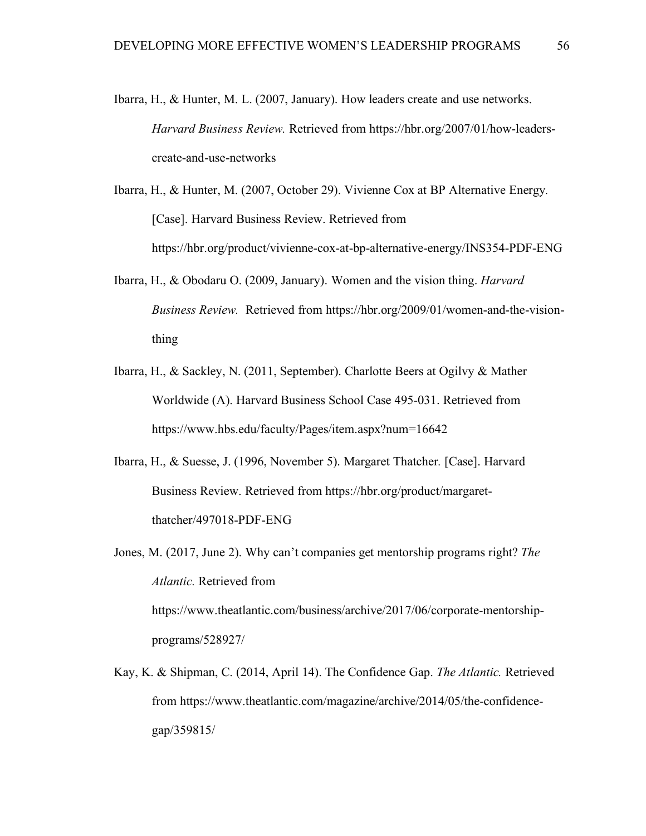- Ibarra, H., & Hunter, M. L. (2007, January). How leaders create and use networks. *Harvard Business Review.* Retrieved from https://hbr.org/2007/01/how-leaderscreate-and-use-networks
- Ibarra, H., & Hunter, M. (2007, October 29). Vivienne Cox at BP Alternative Energy*.* [Case]. Harvard Business Review. Retrieved from https://hbr.org/product/vivienne-cox-at-bp-alternative-energy/INS354-PDF-ENG
- Ibarra, H., & Obodaru O. (2009, January). Women and the vision thing. *Harvard Business Review.* Retrieved from https://hbr.org/2009/01/women-and-the-visionthing
- Ibarra, H., & Sackley, N. (2011, September). Charlotte Beers at Ogilvy & Mather Worldwide (A). Harvard Business School Case 495-031. Retrieved from https://www.hbs.edu/faculty/Pages/item.aspx?num=16642
- Ibarra, H., & Suesse, J. (1996, November 5). Margaret Thatcher*.* [Case]. Harvard Business Review. Retrieved from https://hbr.org/product/margaretthatcher/497018-PDF-ENG
- Jones, M. (2017, June 2). Why can't companies get mentorship programs right? *The Atlantic.* Retrieved from https://www.theatlantic.com/business/archive/2017/06/corporate-mentorshipprograms/528927/
- Kay, K. & Shipman, C. (2014, April 14). The Confidence Gap. *The Atlantic.* Retrieved from https://www.theatlantic.com/magazine/archive/2014/05/the-confidencegap/359815/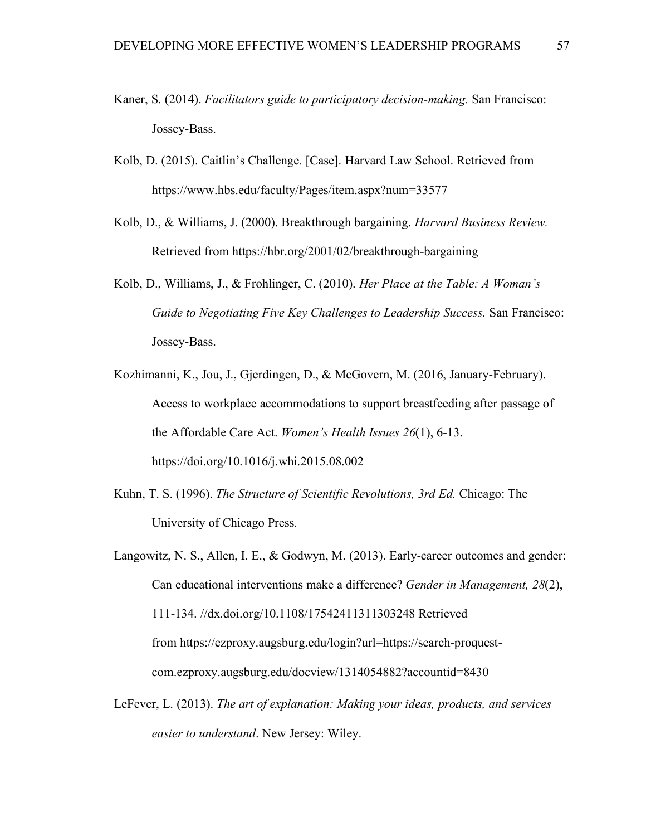- Kaner, S. (2014). *Facilitators guide to participatory decision-making.* San Francisco: Jossey-Bass.
- Kolb, D. (2015). Caitlin's Challenge*.* [Case]. Harvard Law School. Retrieved from https://www.hbs.edu/faculty/Pages/item.aspx?num=33577
- Kolb, D., & Williams, J. (2000). Breakthrough bargaining. *Harvard Business Review.* Retrieved from https://hbr.org/2001/02/breakthrough-bargaining
- Kolb, D., Williams, J., & Frohlinger, C. (2010). *Her Place at the Table: A Woman's Guide to Negotiating Five Key Challenges to Leadership Success.* San Francisco: Jossey-Bass.
- Kozhimanni, K., Jou, J., Gjerdingen, D., & McGovern, M. (2016, January-February). Access to workplace accommodations to support breastfeeding after passage of the Affordable Care Act. *Women's Health Issues 26*(1), 6-13. https://doi.org/10.1016/j.whi.2015.08.002
- Kuhn, T. S. (1996). *The Structure of Scientific Revolutions, 3rd Ed.* Chicago: The University of Chicago Press.
- Langowitz, N. S., Allen, I. E., & Godwyn, M. (2013). Early-career outcomes and gender: Can educational interventions make a difference? *Gender in Management, 28*(2), 111-134. //dx.doi.org/10.1108/17542411311303248 Retrieved from https://ezproxy.augsburg.edu/login?url=https://search-proquestcom.ezproxy.augsburg.edu/docview/1314054882?accountid=8430
- LeFever, L. (2013). *The art of explanation: Making your ideas, products, and services easier to understand*. New Jersey: Wiley.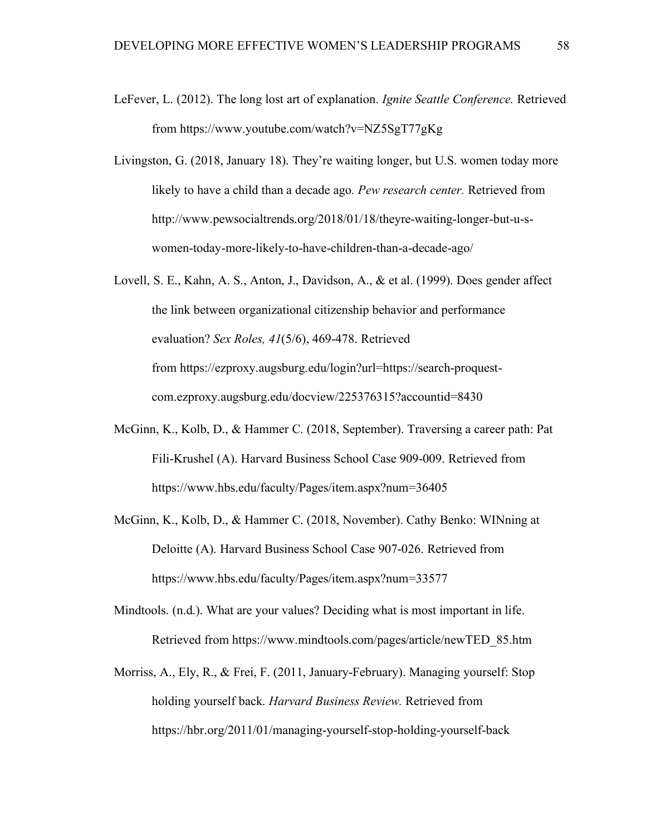- LeFever, L. (2012). The long lost art of explanation. *Ignite Seattle Conference.* Retrieved from https://www.youtube.com/watch?v=NZ5SgT77gKg
- Livingston, G. (2018, January 18). They're waiting longer, but U.S. women today more likely to have a child than a decade ago*. Pew research center.* Retrieved from http://www.pewsocialtrends.org/2018/01/18/theyre-waiting-longer-but-u-swomen-today-more-likely-to-have-children-than-a-decade-ago/
- Lovell, S. E., Kahn, A. S., Anton, J., Davidson, A., & et al. (1999). Does gender affect the link between organizational citizenship behavior and performance evaluation? *Sex Roles, 41*(5/6), 469-478. Retrieved from https://ezproxy.augsburg.edu/login?url=https://search-proquestcom.ezproxy.augsburg.edu/docview/225376315?accountid=8430
- McGinn, K., Kolb, D., & Hammer C. (2018, September). Traversing a career path: Pat Fili-Krushel (A). Harvard Business School Case 909-009. Retrieved from https://www.hbs.edu/faculty/Pages/item.aspx?num=36405
- McGinn, K., Kolb, D., & Hammer C. (2018, November). Cathy Benko: WINning at Deloitte (A). Harvard Business School Case 907-026. Retrieved from https://www.hbs.edu/faculty/Pages/item.aspx?num=33577
- Mindtools. (n.d.). What are your values? Deciding what is most important in life. Retrieved from https://www.mindtools.com/pages/article/newTED\_85.htm
- Morriss, A., Ely, R., & Frei, F. (2011, January-February). Managing yourself: Stop holding yourself back. *Harvard Business Review.* Retrieved from https://hbr.org/2011/01/managing-yourself-stop-holding-yourself-back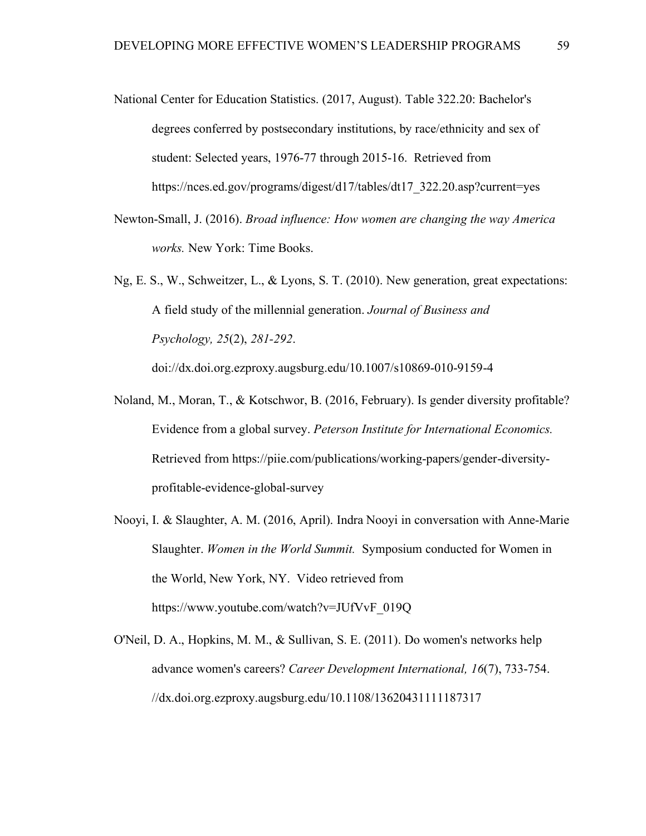- National Center for Education Statistics. (2017, August). Table 322.20: Bachelor's degrees conferred by postsecondary institutions, by race/ethnicity and sex of student: Selected years, 1976-77 through 2015-16. Retrieved from https://nces.ed.gov/programs/digest/d17/tables/dt17\_322.20.asp?current=yes
- Newton-Small, J. (2016). *Broad influence: How women are changing the way America works.* New York: Time Books.
- Ng, E. S., W., Schweitzer, L., & Lyons, S. T. (2010). New generation, great expectations: A field study of the millennial generation. *Journal of Business and Psychology, 25*(2), *281-292*.

doi://dx.doi.org.ezproxy.augsburg.edu/10.1007/s10869-010-9159-4

- Noland, M., Moran, T., & Kotschwor, B. (2016, February). Is gender diversity profitable? Evidence from a global survey. *Peterson Institute for International Economics.* Retrieved from https://piie.com/publications/working-papers/gender-diversityprofitable-evidence-global-survey
- Nooyi, I. & Slaughter, A. M. (2016, April). Indra Nooyi in conversation with Anne-Marie Slaughter. *Women in the World Summit.* Symposium conducted for Women in the World, New York, NY. Video retrieved from https://www.youtube.com/watch?v=JUfVvF\_019Q
- O'Neil, D. A., Hopkins, M. M., & Sullivan, S. E. (2011). Do women's networks help advance women's careers? *Career Development International, 16*(7), 733-754. //dx.doi.org.ezproxy.augsburg.edu/10.1108/13620431111187317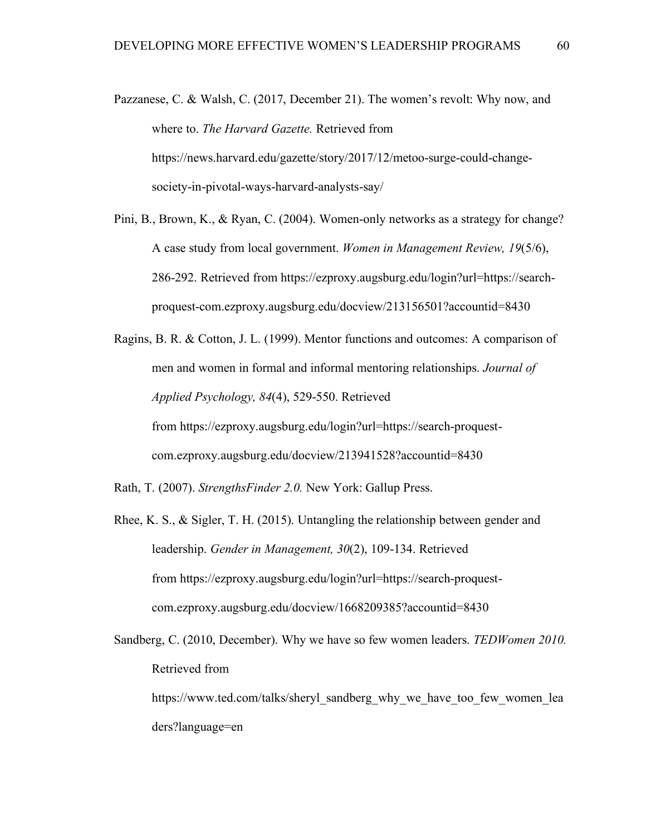- Pazzanese, C. & Walsh, C. (2017, December 21). The women's revolt: Why now, and where to. *The Harvard Gazette.* Retrieved from https://news.harvard.edu/gazette/story/2017/12/metoo-surge-could-changesociety-in-pivotal-ways-harvard-analysts-say/
- Pini, B., Brown, K., & Ryan, C. (2004). Women-only networks as a strategy for change? A case study from local government. *Women in Management Review, 19*(5/6), 286-292. Retrieved from https://ezproxy.augsburg.edu/login?url=https://searchproquest-com.ezproxy.augsburg.edu/docview/213156501?accountid=8430
- Ragins, B. R. & Cotton, J. L. (1999). Mentor functions and outcomes: A comparison of men and women in formal and informal mentoring relationships. *Journal of Applied Psychology, 84*(4), 529-550. Retrieved from https://ezproxy.augsburg.edu/login?url=https://search-proquestcom.ezproxy.augsburg.edu/docview/213941528?accountid=8430
- Rath, T. (2007). *StrengthsFinder 2.0.* New York: Gallup Press.
- Rhee, K. S., & Sigler, T. H. (2015). Untangling the relationship between gender and leadership. *Gender in Management, 30*(2), 109-134. Retrieved from https://ezproxy.augsburg.edu/login?url=https://search-proquestcom.ezproxy.augsburg.edu/docview/1668209385?accountid=8430

Sandberg, C. (2010, December). Why we have so few women leaders. *TEDWomen 2010.* Retrieved from https://www.ted.com/talks/sheryl\_sandberg\_why\_we\_have\_too\_few\_women\_lea

ders?language=en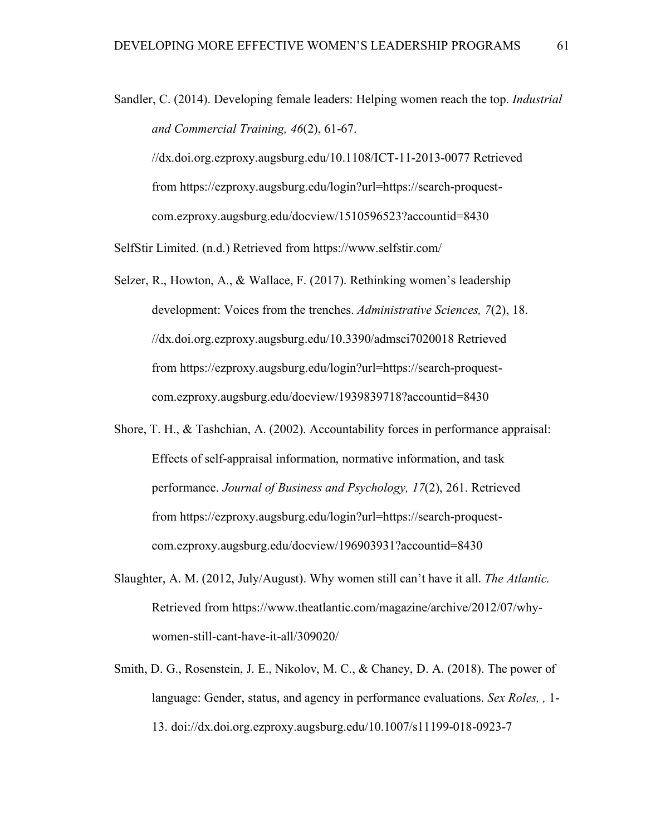```
Sandler, C. (2014). Developing female leaders: Helping women reach the top. Industrial 
and Commercial Training, 46(2), 61-67. 
//dx.doi.org.ezproxy.augsburg.edu/10.1108/ICT-11-2013-0077 Retrieved 
 from https://ezproxy.augsburg.edu/login?url=https://search-proquest-
 com.ezproxy.augsburg.edu/docview/1510596523?accountid=8430
```
SelfStir Limited. (n.d.) Retrieved from https://www.selfstir.com/

- Selzer, R., Howton, A., & Wallace, F. (2017). Rethinking women's leadership development: Voices from the trenches. *Administrative Sciences, 7*(2), 18. //dx.doi.org.ezproxy.augsburg.edu/10.3390/admsci7020018 Retrieved from https://ezproxy.augsburg.edu/login?url=https://search-proquestcom.ezproxy.augsburg.edu/docview/1939839718?accountid=8430
- Shore, T. H., & Tashchian, A. (2002). Accountability forces in performance appraisal: Effects of self-appraisal information, normative information, and task performance. *Journal of Business and Psychology, 17*(2), 261. Retrieved from https://ezproxy.augsburg.edu/login?url=https://search-proquestcom.ezproxy.augsburg.edu/docview/196903931?accountid=8430
- Slaughter, A. M. (2012, July/August). Why women still can't have it all. *The Atlantic.* Retrieved from https://www.theatlantic.com/magazine/archive/2012/07/whywomen-still-cant-have-it-all/309020/
- Smith, D. G., Rosenstein, J. E., Nikolov, M. C., & Chaney, D. A. (2018). The power of language: Gender, status, and agency in performance evaluations. *Sex Roles, ,* 1- 13. doi://dx.doi.org.ezproxy.augsburg.edu/10.1007/s11199-018-0923-7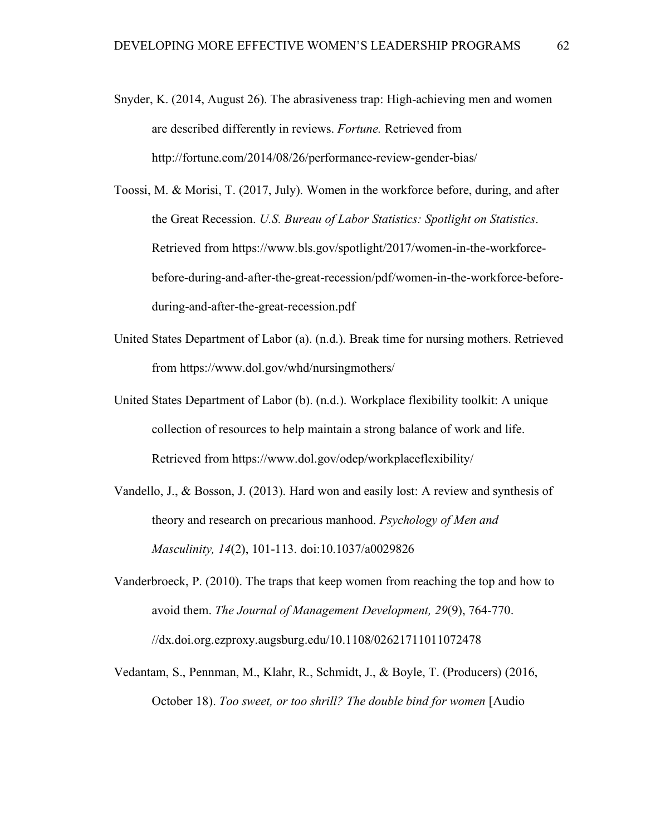- Snyder, K. (2014, August 26). The abrasiveness trap: High-achieving men and women are described differently in reviews. *Fortune.* Retrieved from http://fortune.com/2014/08/26/performance-review-gender-bias/
- Toossi, M. & Morisi, T. (2017, July). Women in the workforce before, during, and after the Great Recession. *U.S. Bureau of Labor Statistics: Spotlight on Statistics*. Retrieved from https://www.bls.gov/spotlight/2017/women-in-the-workforcebefore-during-and-after-the-great-recession/pdf/women-in-the-workforce-beforeduring-and-after-the-great-recession.pdf
- United States Department of Labor (a). (n.d.). Break time for nursing mothers. Retrieved from https://www.dol.gov/whd/nursingmothers/
- United States Department of Labor (b). (n.d.). Workplace flexibility toolkit: A unique collection of resources to help maintain a strong balance of work and life. Retrieved from https://www.dol.gov/odep/workplaceflexibility/
- Vandello, J., & Bosson, J. (2013). Hard won and easily lost: A review and synthesis of theory and research on precarious manhood. *Psychology of Men and Masculinity, 14*(2), 101-113. doi:10.1037/a0029826
- Vanderbroeck, P. (2010). The traps that keep women from reaching the top and how to avoid them. *The Journal of Management Development, 29*(9), 764-770. //dx.doi.org.ezproxy.augsburg.edu/10.1108/02621711011072478
- Vedantam, S., Pennman, M., Klahr, R., Schmidt, J., & Boyle, T. (Producers) (2016, October 18). *Too sweet, or too shrill? The double bind for women* [Audio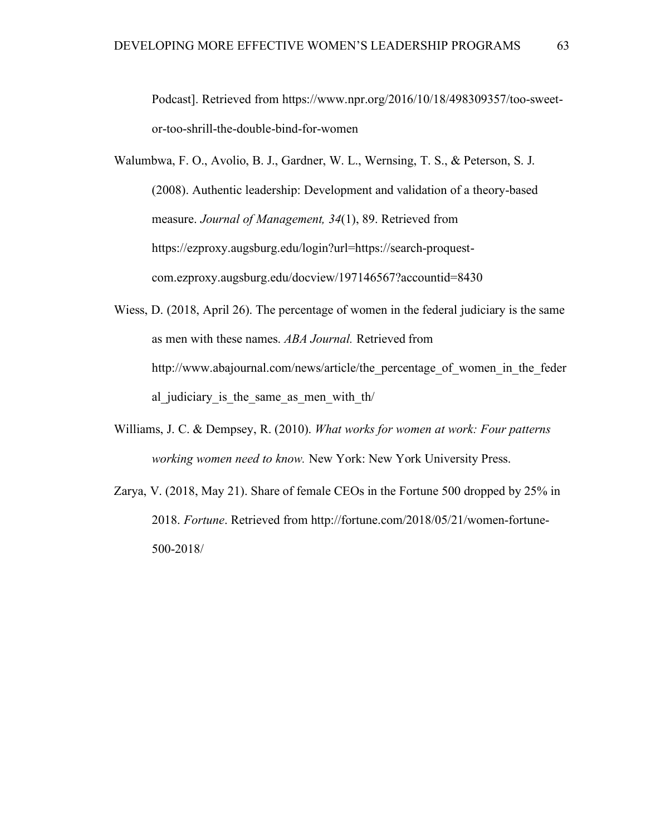Podcast]. Retrieved from https://www.npr.org/2016/10/18/498309357/too-sweetor-too-shrill-the-double-bind-for-women

Walumbwa, F. O., Avolio, B. J., Gardner, W. L., Wernsing, T. S., & Peterson, S. J. (2008). Authentic leadership: Development and validation of a theory-based measure. *Journal of Management, 34*(1), 89. Retrieved from https://ezproxy.augsburg.edu/login?url=https://search-proquestcom.ezproxy.augsburg.edu/docview/197146567?accountid=8430

- Wiess, D. (2018, April 26). The percentage of women in the federal judiciary is the same as men with these names. *ABA Journal.* Retrieved from http://www.abajournal.com/news/article/the\_percentage\_of\_women\_in\_the\_feder al judiciary is the same as men with th/
- Williams, J. C. & Dempsey, R. (2010). *What works for women at work: Four patterns working women need to know.* New York: New York University Press.
- Zarya, V. (2018, May 21). Share of female CEOs in the Fortune 500 dropped by 25% in 2018. *Fortune*. Retrieved from http://fortune.com/2018/05/21/women-fortune-500-2018/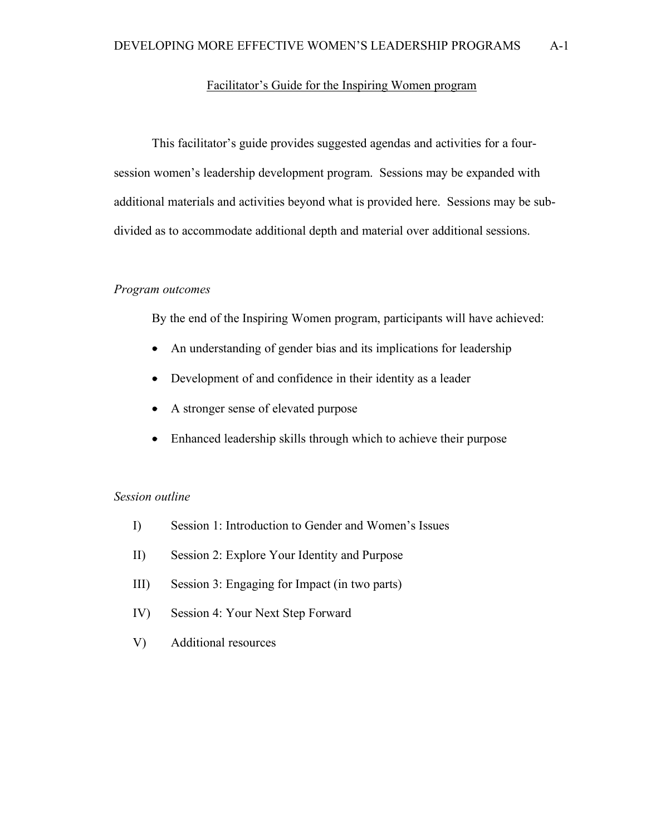# Facilitator's Guide for the Inspiring Women program

This facilitator's guide provides suggested agendas and activities for a foursession women's leadership development program. Sessions may be expanded with additional materials and activities beyond what is provided here. Sessions may be subdivided as to accommodate additional depth and material over additional sessions.

## *Program outcomes*

By the end of the Inspiring Women program, participants will have achieved:

- An understanding of gender bias and its implications for leadership
- Development of and confidence in their identity as a leader
- A stronger sense of elevated purpose
- Enhanced leadership skills through which to achieve their purpose

# *Session outline*

- I) Session 1: Introduction to Gender and Women's Issues
- II) Session 2: Explore Your Identity and Purpose
- III) Session 3: Engaging for Impact (in two parts)
- IV) Session 4: Your Next Step Forward
- V) Additional resources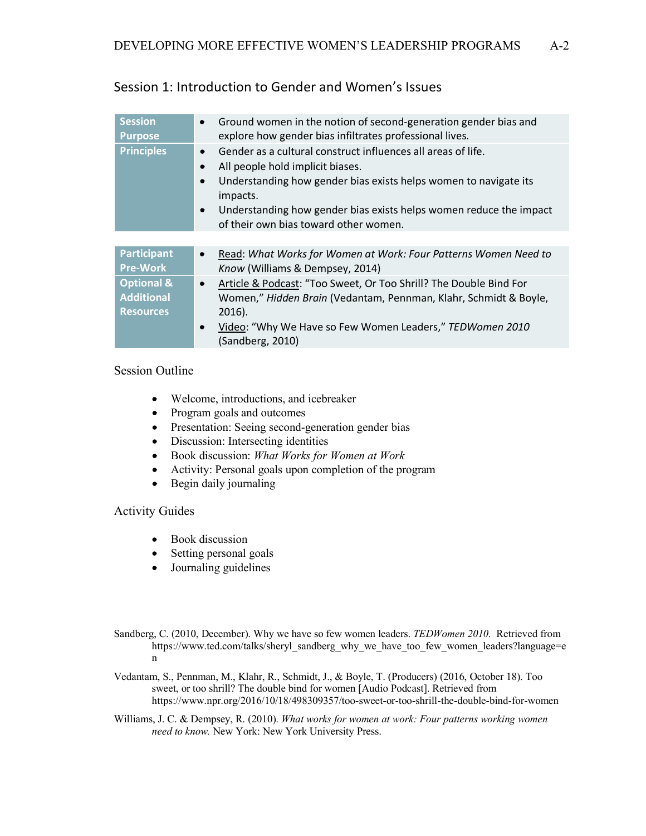| <b>Session</b><br><b>Purpose</b>                               | Ground women in the notion of second-generation gender bias and<br>$\bullet$<br>explore how gender bias infiltrates professional lives.                                                                                                                                                                                                             |
|----------------------------------------------------------------|-----------------------------------------------------------------------------------------------------------------------------------------------------------------------------------------------------------------------------------------------------------------------------------------------------------------------------------------------------|
| <b>Principles</b>                                              | Gender as a cultural construct influences all areas of life.<br>$\bullet$<br>All people hold implicit biases.<br>$\bullet$<br>Understanding how gender bias exists helps women to navigate its<br>$\bullet$<br>impacts.<br>Understanding how gender bias exists helps women reduce the impact<br>$\bullet$<br>of their own bias toward other women. |
|                                                                |                                                                                                                                                                                                                                                                                                                                                     |
| <b>Participant</b><br><b>Pre-Work</b>                          | Read: What Works for Women at Work: Four Patterns Women Need to<br>$\bullet$<br>Know (Williams & Dempsey, 2014)                                                                                                                                                                                                                                     |
| <b>Optional &amp;</b><br><b>Additional</b><br><b>Resources</b> | Article & Podcast: "Too Sweet, Or Too Shrill? The Double Bind For<br>$\bullet$<br>Women," Hidden Brain (Vedantam, Pennman, Klahr, Schmidt & Boyle,<br>$2016$ ).<br>Video: "Why We Have so Few Women Leaders," TEDWomen 2010<br>(Sandberg, 2010)                                                                                                     |

# Session 1: Introduction to Gender and Women's Issues

### Session Outline

- Welcome, introductions, and icebreaker
- Program goals and outcomes
- Presentation: Seeing second-generation gender bias
- Discussion: Intersecting identities
- Book discussion: *What Works for Women at Work*
- Activity: Personal goals upon completion of the program
- Begin daily journaling

# Activity Guides

- Book discussion
- Setting personal goals
- Journaling guidelines
- Sandberg, C. (2010, December). Why we have so few women leaders. *TEDWomen 2010.* Retrieved from https://www.ted.com/talks/sheryl\_sandberg\_why\_we\_have\_too\_few\_women\_leaders?language=e n
- Vedantam, S., Pennman, M., Klahr, R., Schmidt, J., & Boyle, T. (Producers) (2016, October 18). Too sweet, or too shrill? The double bind for women [Audio Podcast]. Retrieved from https://www.npr.org/2016/10/18/498309357/too-sweet-or-too-shrill-the-double-bind-for-women
- Williams, J. C. & Dempsey, R. (2010). *What works for women at work: Four patterns working women need to know.* New York: New York University Press.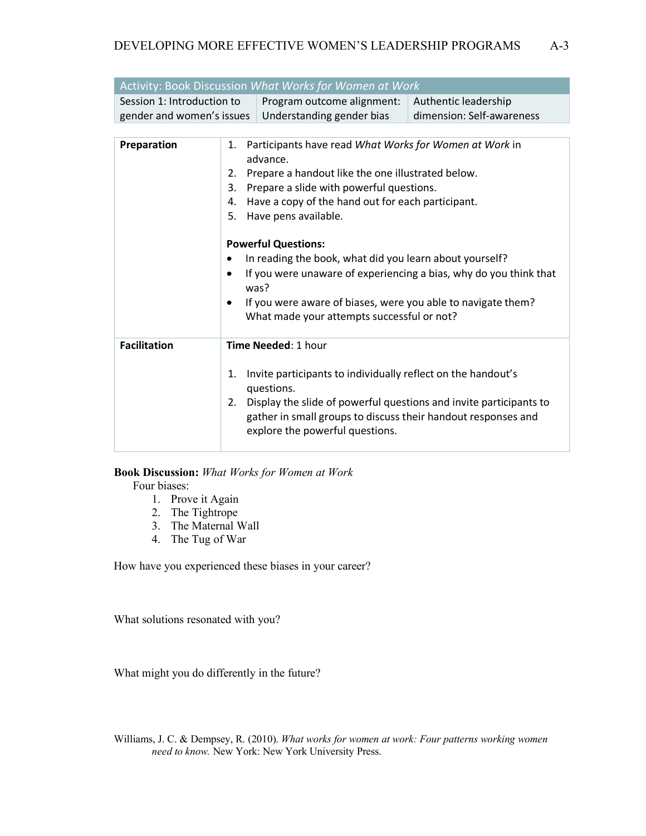| Activity: Book Discussion What Works for Women at Work  |                                                                                                                                                                                                                                                                                                                                                                                                                                                                                                                                  |                                                                                                                                                                                                                                                      |                                                   |
|---------------------------------------------------------|----------------------------------------------------------------------------------------------------------------------------------------------------------------------------------------------------------------------------------------------------------------------------------------------------------------------------------------------------------------------------------------------------------------------------------------------------------------------------------------------------------------------------------|------------------------------------------------------------------------------------------------------------------------------------------------------------------------------------------------------------------------------------------------------|---------------------------------------------------|
| Session 1: Introduction to<br>gender and women's issues |                                                                                                                                                                                                                                                                                                                                                                                                                                                                                                                                  | Program outcome alignment:<br>Understanding gender bias                                                                                                                                                                                              | Authentic leadership<br>dimension: Self-awareness |
|                                                         |                                                                                                                                                                                                                                                                                                                                                                                                                                                                                                                                  |                                                                                                                                                                                                                                                      |                                                   |
| Preparation                                             | 1. Participants have read What Works for Women at Work in<br>advance.<br>Prepare a handout like the one illustrated below.<br>2.<br>Prepare a slide with powerful questions.<br>3.<br>Have a copy of the hand out for each participant.<br>4.<br>5.<br>Have pens available.<br><b>Powerful Questions:</b><br>In reading the book, what did you learn about yourself?<br>٠<br>If you were unaware of experiencing a bias, why do you think that<br>٠<br>was?<br>If you were aware of biases, were you able to navigate them?<br>٠ |                                                                                                                                                                                                                                                      |                                                   |
|                                                         |                                                                                                                                                                                                                                                                                                                                                                                                                                                                                                                                  | What made your attempts successful or not?                                                                                                                                                                                                           |                                                   |
| <b>Facilitation</b>                                     | Time Needed: 1 hour                                                                                                                                                                                                                                                                                                                                                                                                                                                                                                              |                                                                                                                                                                                                                                                      |                                                   |
|                                                         | 1.<br>2.                                                                                                                                                                                                                                                                                                                                                                                                                                                                                                                         | Invite participants to individually reflect on the handout's<br>questions.<br>Display the slide of powerful questions and invite participants to<br>gather in small groups to discuss their handout responses and<br>explore the powerful questions. |                                                   |

# **Book Discussion:** *What Works for Women at Work*

Four biases:

- 1. Prove it Again
- 2. The Tightrope
- 3. The Maternal Wall
- 4. The Tug of War

How have you experienced these biases in your career?

What solutions resonated with you?

What might you do differently in the future?

Williams, J. C. & Dempsey, R. (2010). *What works for women at work: Four patterns working women need to know.* New York: New York University Press.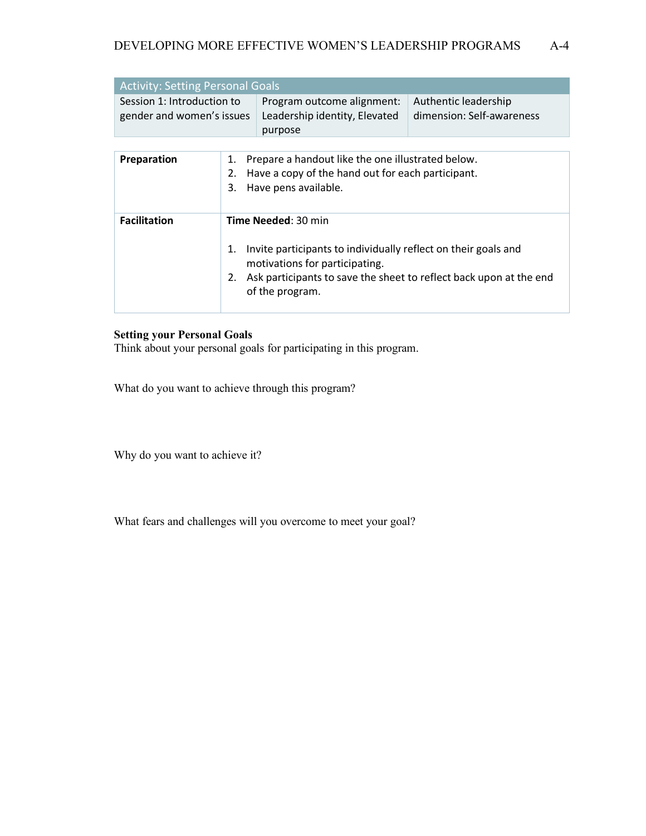| <b>Activity: Setting Personal Goals</b>                 |                                                                                               |                           |  |
|---------------------------------------------------------|-----------------------------------------------------------------------------------------------|---------------------------|--|
| Session 1: Introduction to<br>gender and women's issues | Program outcome alignment:   Authentic leadership<br>Leadership identity, Elevated<br>purpose | dimension: Self-awareness |  |

| Preparation         | Prepare a handout like the one illustrated below.<br>1.<br>Have a copy of the hand out for each participant.<br>2.<br>Have pens available.<br>3.                                                                          |
|---------------------|---------------------------------------------------------------------------------------------------------------------------------------------------------------------------------------------------------------------------|
| <b>Facilitation</b> | Time Needed: 30 min<br>Invite participants to individually reflect on their goals and<br>1.<br>motivations for participating.<br>2. Ask participants to save the sheet to reflect back upon at the end<br>of the program. |

### **Setting your Personal Goals**

Think about your personal goals for participating in this program.

What do you want to achieve through this program?

Why do you want to achieve it?

What fears and challenges will you overcome to meet your goal?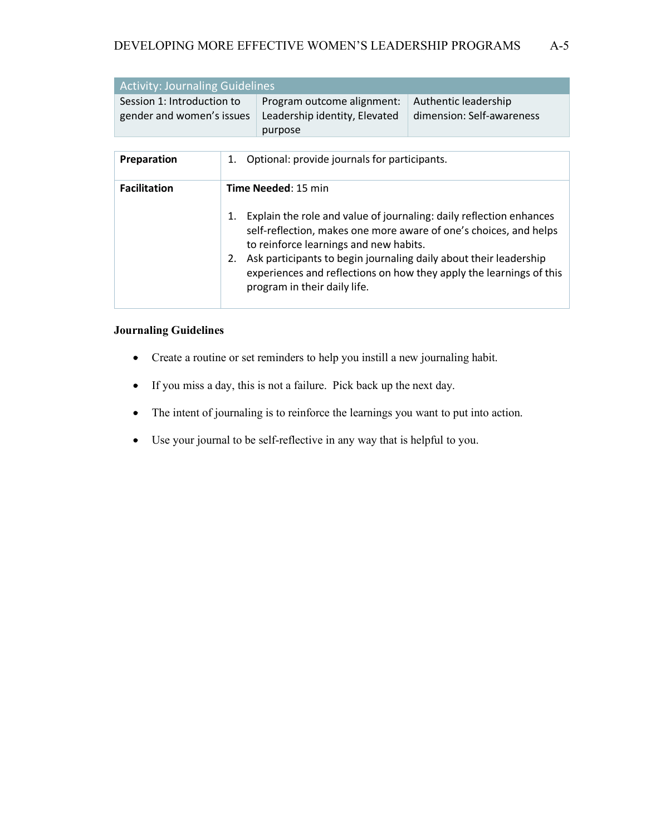| <b>Activity: Journaling Guidelines</b>                  |                                                                                    |                           |  |
|---------------------------------------------------------|------------------------------------------------------------------------------------|---------------------------|--|
| Session 1: Introduction to<br>gender and women's issues | Program outcome alignment:   Authentic leadership<br>Leadership identity, Elevated | dimension: Self-awareness |  |
|                                                         | purpose                                                                            |                           |  |

| <b>Preparation</b>  | Optional: provide journals for participants.<br>1.                                                                                                                                                                                                                                                                                                                                                       |
|---------------------|----------------------------------------------------------------------------------------------------------------------------------------------------------------------------------------------------------------------------------------------------------------------------------------------------------------------------------------------------------------------------------------------------------|
| <b>Facilitation</b> | <b>Time Needed: 15 min</b><br>Explain the role and value of journaling: daily reflection enhances<br>1.<br>self-reflection, makes one more aware of one's choices, and helps<br>to reinforce learnings and new habits.<br>Ask participants to begin journaling daily about their leadership<br>2.<br>experiences and reflections on how they apply the learnings of this<br>program in their daily life. |

### **Journaling Guidelines**

- Create a routine or set reminders to help you instill a new journaling habit.
- If you miss a day, this is not a failure. Pick back up the next day.
- The intent of journaling is to reinforce the learnings you want to put into action.
- Use your journal to be self-reflective in any way that is helpful to you.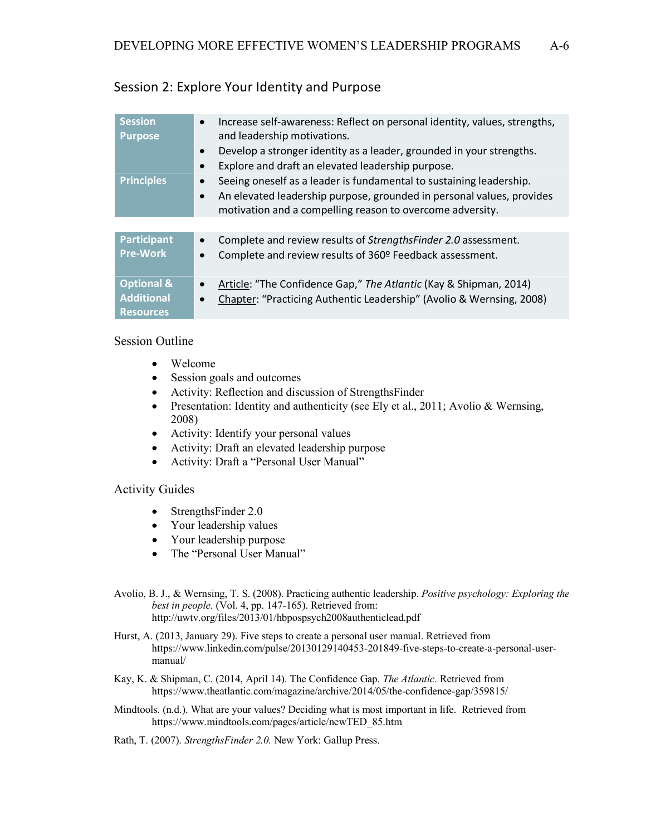| <b>Session</b><br><b>Purpose</b>                               | Increase self-awareness: Reflect on personal identity, values, strengths,<br>$\bullet$<br>and leadership motivations.<br>Develop a stronger identity as a leader, grounded in your strengths.<br>$\bullet$<br>Explore and draft an elevated leadership purpose.<br>$\bullet$ |
|----------------------------------------------------------------|------------------------------------------------------------------------------------------------------------------------------------------------------------------------------------------------------------------------------------------------------------------------------|
| <b>Principles</b>                                              | Seeing oneself as a leader is fundamental to sustaining leadership.<br>$\bullet$<br>An elevated leadership purpose, grounded in personal values, provides<br>$\bullet$<br>motivation and a compelling reason to overcome adversity.                                          |
|                                                                |                                                                                                                                                                                                                                                                              |
| <b>Participant</b><br><b>Pre-Work</b>                          | Complete and review results of StrengthsFinder 2.0 assessment.<br>$\bullet$<br>Complete and review results of 360º Feedback assessment.<br>$\bullet$                                                                                                                         |
| <b>Optional &amp;</b><br><b>Additional</b><br><b>Resources</b> | Article: "The Confidence Gap," The Atlantic (Kay & Shipman, 2014)<br>$\bullet$<br>Chapter: "Practicing Authentic Leadership" (Avolio & Wernsing, 2008)<br>$\bullet$                                                                                                          |

## Session 2: Explore Your Identity and Purpose

### Session Outline

- Welcome
- Session goals and outcomes
- Activity: Reflection and discussion of StrengthsFinder
- Presentation: Identity and authenticity (see Ely et al., 2011; Avolio & Wernsing, 2008)
- Activity: Identify your personal values
- Activity: Draft an elevated leadership purpose
- Activity: Draft a "Personal User Manual"

### Activity Guides

- StrengthsFinder 2.0
- Your leadership values
- Your leadership purpose
- The "Personal User Manual"

Avolio, B. J., & Wernsing, T. S. (2008). Practicing authentic leadership. *Positive psychology: Exploring the best in people.* (Vol. 4, pp. 147-165). Retrieved from: http://uwtv.org/files/2013/01/hbpospsych2008authenticlead.pdf

- Hurst, A. (2013, January 29). Five steps to create a personal user manual. Retrieved from https://www.linkedin.com/pulse/20130129140453-201849-five-steps-to-create-a-personal-usermanual/
- Kay, K. & Shipman, C. (2014, April 14). The Confidence Gap. *The Atlantic.* Retrieved from https://www.theatlantic.com/magazine/archive/2014/05/the-confidence-gap/359815/
- Mindtools. (n.d.). What are your values? Deciding what is most important in life. Retrieved from https://www.mindtools.com/pages/article/newTED\_85.htm

Rath, T. (2007). *StrengthsFinder 2.0.* New York: Gallup Press.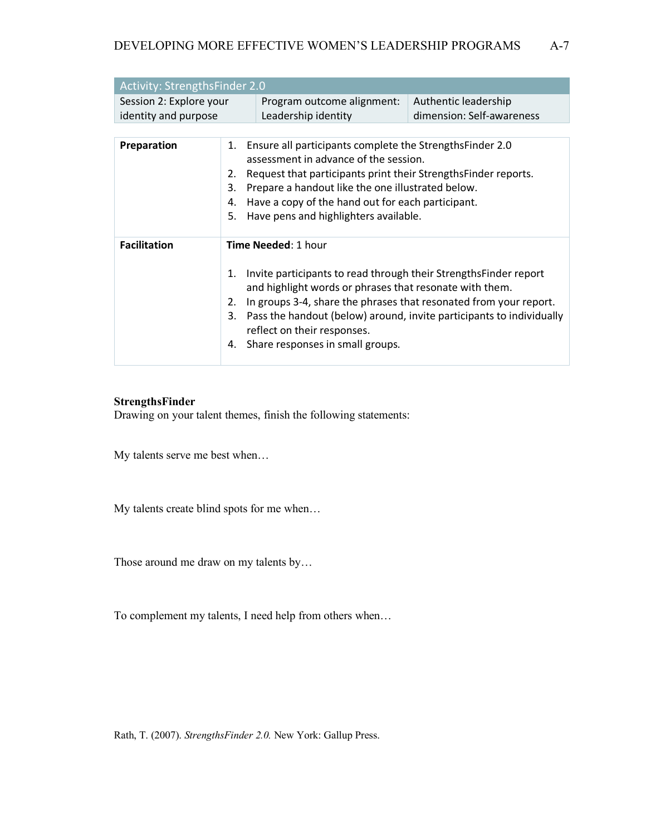| <b>Activity: StrengthsFinder 2.0</b>            |                                                                                                           |                                                                 |                                                   |  |
|-------------------------------------------------|-----------------------------------------------------------------------------------------------------------|-----------------------------------------------------------------|---------------------------------------------------|--|
| Session 2: Explore your<br>identity and purpose |                                                                                                           | Program outcome alignment:<br>Leadership identity               | Authentic leadership<br>dimension: Self-awareness |  |
|                                                 |                                                                                                           |                                                                 |                                                   |  |
| Preparation                                     |                                                                                                           | 1. Ensure all participants complete the StrengthsFinder 2.0     |                                                   |  |
|                                                 |                                                                                                           | assessment in advance of the session.                           |                                                   |  |
|                                                 | 2.                                                                                                        | Request that participants print their Strengths Finder reports. |                                                   |  |
|                                                 | 3.                                                                                                        | Prepare a handout like the one illustrated below.               |                                                   |  |
| 4.                                              |                                                                                                           | Have a copy of the hand out for each participant.               |                                                   |  |
|                                                 | 5.                                                                                                        | Have pens and highlighters available.                           |                                                   |  |
|                                                 |                                                                                                           |                                                                 |                                                   |  |
| <b>Facilitation</b>                             | <b>Time Needed: 1 hour</b>                                                                                |                                                                 |                                                   |  |
|                                                 |                                                                                                           |                                                                 |                                                   |  |
|                                                 | Invite participants to read through their Strengths Finder report<br>1.                                   |                                                                 |                                                   |  |
|                                                 |                                                                                                           | and highlight words or phrases that resonate with them.         |                                                   |  |
|                                                 | 2.                                                                                                        |                                                                 |                                                   |  |
|                                                 | In groups 3-4, share the phrases that resonated from your report.                                         |                                                                 |                                                   |  |
|                                                 | Pass the handout (below) around, invite participants to individually<br>3.<br>reflect on their responses. |                                                                 |                                                   |  |
|                                                 |                                                                                                           | 4. Share responses in small groups.                             |                                                   |  |
|                                                 |                                                                                                           |                                                                 |                                                   |  |

### **StrengthsFinder**

Drawing on your talent themes, finish the following statements:

My talents serve me best when…

My talents create blind spots for me when…

Those around me draw on my talents by…

To complement my talents, I need help from others when…

Rath, T. (2007). *StrengthsFinder 2.0.* New York: Gallup Press.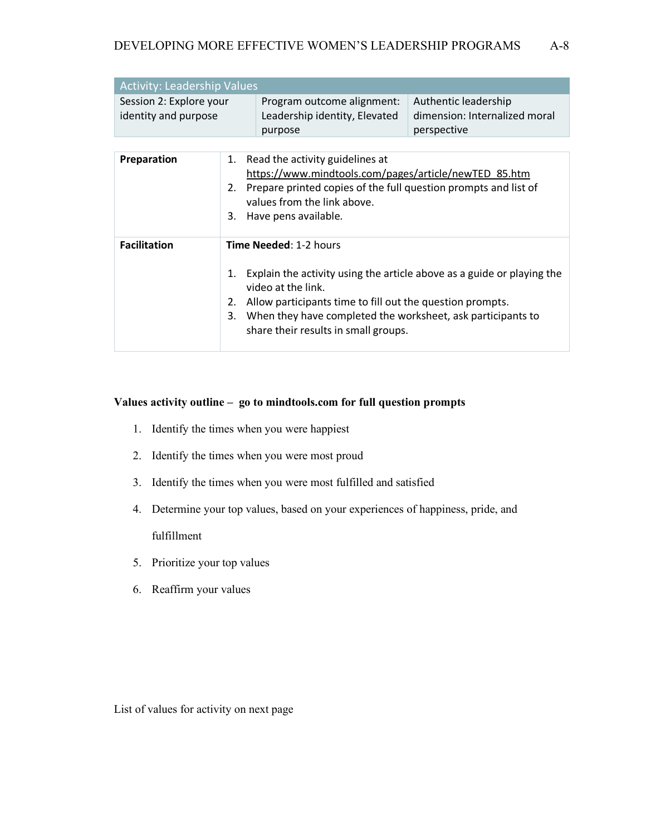| <b>Activity: Leadership Values</b>              |    |                                                                                             |                                                                      |  |
|-------------------------------------------------|----|---------------------------------------------------------------------------------------------|----------------------------------------------------------------------|--|
| Session 2: Explore your<br>identity and purpose |    | Program outcome alignment:<br>Leadership identity, Elevated<br>purpose                      | Authentic leadership<br>dimension: Internalized moral<br>perspective |  |
|                                                 |    |                                                                                             |                                                                      |  |
| Preparation                                     |    | 1. Read the activity guidelines at<br>https://www.mindtools.com/pages/article/newTED 85.htm |                                                                      |  |
|                                                 |    | 2. Prepare printed copies of the full question prompts and list of                          |                                                                      |  |
|                                                 |    | values from the link above.                                                                 |                                                                      |  |
|                                                 | 3. | Have pens available.                                                                        |                                                                      |  |

| <b>Facilitation</b> | <b>Time Needed: 1-2 hours</b>                                                                                                                                                                                                                                                      |
|---------------------|------------------------------------------------------------------------------------------------------------------------------------------------------------------------------------------------------------------------------------------------------------------------------------|
|                     | Explain the activity using the article above as a guide or playing the<br>1.<br>video at the link.<br>Allow participants time to fill out the question prompts.<br>2.<br>When they have completed the worksheet, ask participants to<br>3.<br>share their results in small groups. |

### **Values activity outline – go to mindtools.com for full question prompts**

- 1. Identify the times when you were happiest
- 2. Identify the times when you were most proud
- 3. Identify the times when you were most fulfilled and satisfied
- 4. Determine your top values, based on your experiences of happiness, pride, and fulfillment
- 5. Prioritize your top values
- 6. Reaffirm your values

List of values for activity on next page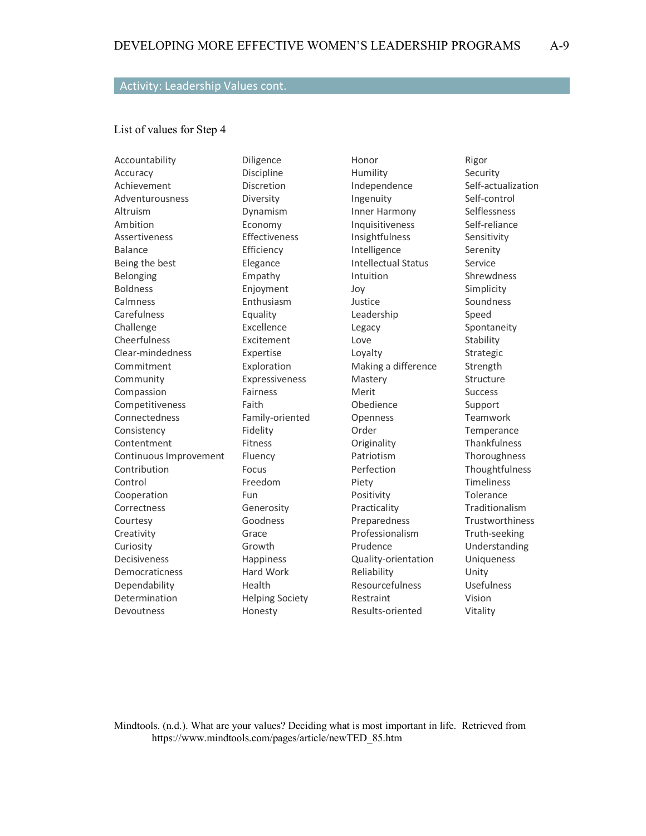### Activity: Leadership Values cont.

#### List of values for Step 4

Accountability Accuracy Achievement Adventurousness Altruism Ambition Assertiveness Balance Being the best Belonging Boldness Calmness **Carefulness** Challenge Cheerfulness Clear-mindedness Commitment Community Compassion Competitiveness Connectedness Consistency Contentment Continuous Improvement **Contribution** Control Cooperation **Correctness** Courtesy Creativity Curiosity Decisiveness Democraticness Dependability Determination Devoutness

Diligence Discipline Discretion Diversity Dynamism Economy Effectiveness Efficiency Elegance Empathy Enjoyment Enthusiasm Equality Excellence Excitement Expertise Exploration Expressiveness Fairness Faith Family-oriented Fidelity Fitness Fluency Focus Freedom Fun Generosity Goodness Grace Growth Happiness Hard Work Health Helping Society Honesty

Honor Humility Independence Ingenuity Inner Harmony Inquisitiveness Insightfulness Intelligence Intellectual Status Intuition Joy Justice Leadership Legacy Love Loyalty Making a difference Mastery Merit Obedience Openness Order **Originality** Patriotism Perfection Piety Positivity Practicality Preparedness Professionalism Prudence Quality-orientation Reliability Resourcefulness Restraint Results-oriented

Rigor Security Self-actualization Self-control Selflessness Self-reliance Sensitivity Serenity Service Shrewdness Simplicity Soundness Speed Spontaneity Stability Strategic Strength Structure Success Support Teamwork **Temperance Thankfulness** Thoroughness Thoughtfulness Timeliness **Tolerance** Traditionalism **Trustworthiness** Truth-seeking Understanding Uniqueness Unity Usefulness Vision Vitality

Mindtools. (n.d.). What are your values? Deciding what is most important in life. Retrieved from https://www.mindtools.com/pages/article/newTED\_85.htm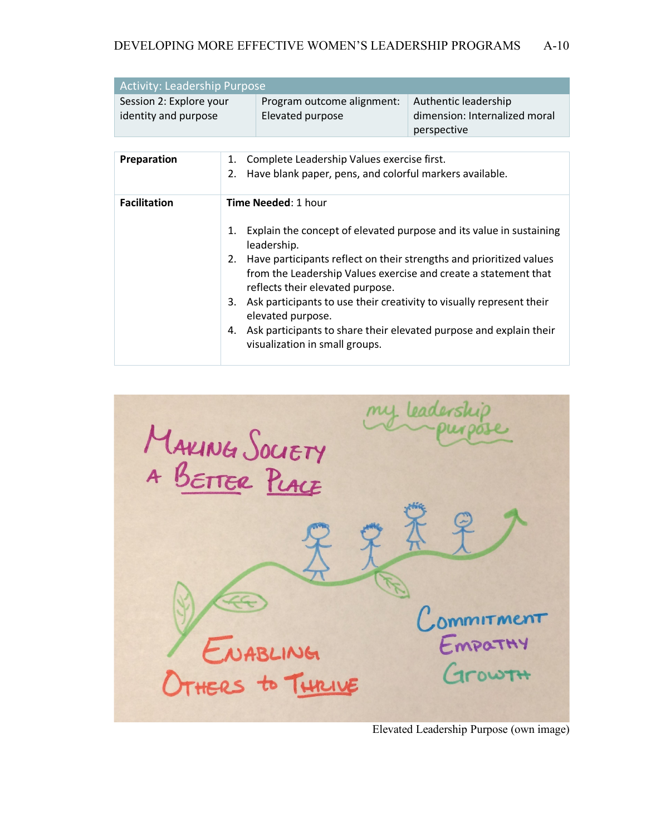| Activity: Leadership Purpose                    |                                                |                                                                      |  |
|-------------------------------------------------|------------------------------------------------|----------------------------------------------------------------------|--|
| Session 2: Explore your<br>identity and purpose | Program outcome alignment:<br>Elevated purpose | Authentic leadership<br>dimension: Internalized moral<br>perspective |  |

| <b>Facilitation</b><br><b>Time Needed: 1 hour</b><br>Explain the concept of elevated purpose and its value in sustaining<br>1.<br>leadership.<br>Have participants reflect on their strengths and prioritized values<br>2.<br>from the Leadership Values exercise and create a statement that<br>reflects their elevated purpose.<br>Ask participants to use their creativity to visually represent their<br>3. | <b>Preparation</b> | 1. Complete Leadership Values exercise first.<br>2. Have blank paper, pens, and colorful markers available. |
|-----------------------------------------------------------------------------------------------------------------------------------------------------------------------------------------------------------------------------------------------------------------------------------------------------------------------------------------------------------------------------------------------------------------|--------------------|-------------------------------------------------------------------------------------------------------------|
| Ask participants to share their elevated purpose and explain their<br>4.<br>visualization in small groups.                                                                                                                                                                                                                                                                                                      |                    | elevated purpose.                                                                                           |



Elevated Leadership Purpose (own image)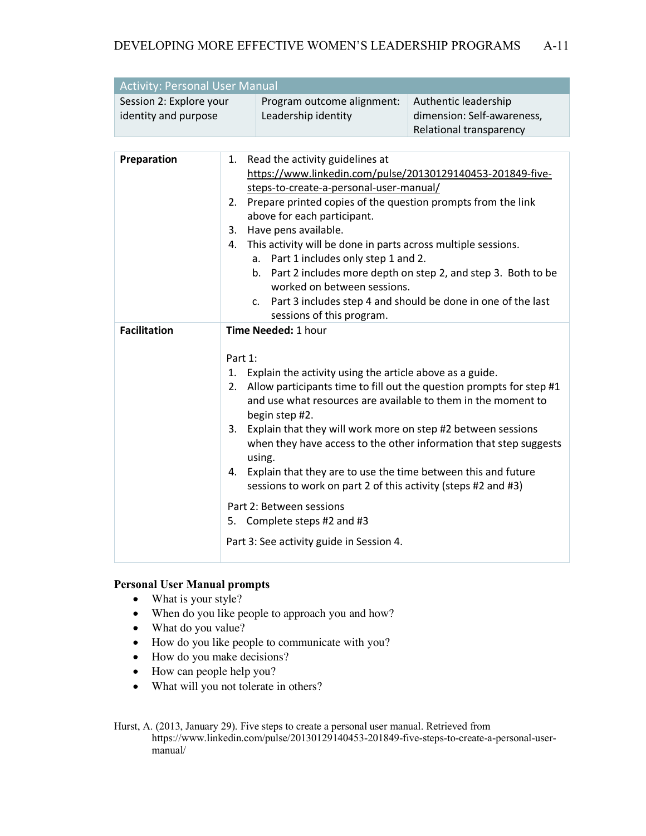| <b>Activity: Personal User Manual</b> |                            |                            |  |
|---------------------------------------|----------------------------|----------------------------|--|
| Session 2: Explore your               | Program outcome alignment: | Authentic leadership       |  |
| identity and purpose                  | Leadership identity        | dimension: Self-awareness, |  |
|                                       |                            | Relational transparency    |  |

| Preparation         | 1. Read the activity guidelines at<br>https://www.linkedin.com/pulse/20130129140453-201849-five-<br>steps-to-create-a-personal-user-manual/<br>Prepare printed copies of the question prompts from the link<br>2.<br>above for each participant.<br>Have pens available.<br>3.<br>This activity will be done in parts across multiple sessions.<br>4.<br>Part 1 includes only step 1 and 2.<br>а.<br>Part 2 includes more depth on step 2, and step 3. Both to be<br>b.<br>worked on between sessions.<br>c. Part 3 includes step 4 and should be done in one of the last<br>sessions of this program.                                      |
|---------------------|---------------------------------------------------------------------------------------------------------------------------------------------------------------------------------------------------------------------------------------------------------------------------------------------------------------------------------------------------------------------------------------------------------------------------------------------------------------------------------------------------------------------------------------------------------------------------------------------------------------------------------------------|
| <b>Facilitation</b> | Time Needed: 1 hour                                                                                                                                                                                                                                                                                                                                                                                                                                                                                                                                                                                                                         |
|                     | Part 1:<br>1. Explain the activity using the article above as a guide.<br>Allow participants time to fill out the question prompts for step #1<br>2.<br>and use what resources are available to them in the moment to<br>begin step #2.<br>Explain that they will work more on step #2 between sessions<br>3.<br>when they have access to the other information that step suggests<br>using.<br>Explain that they are to use the time between this and future<br>4.<br>sessions to work on part 2 of this activity (steps #2 and #3)<br>Part 2: Between sessions<br>5. Complete steps #2 and #3<br>Part 3: See activity guide in Session 4. |

### **Personal User Manual prompts**

- What is your style?
- When do you like people to approach you and how?
- What do you value?
- How do you like people to communicate with you?
- How do you make decisions?
- How can people help you?
- What will you not tolerate in others?

Hurst, A. (2013, January 29). Five steps to create a personal user manual. Retrieved from https://www.linkedin.com/pulse/20130129140453-201849-five-steps-to-create-a-personal-usermanual/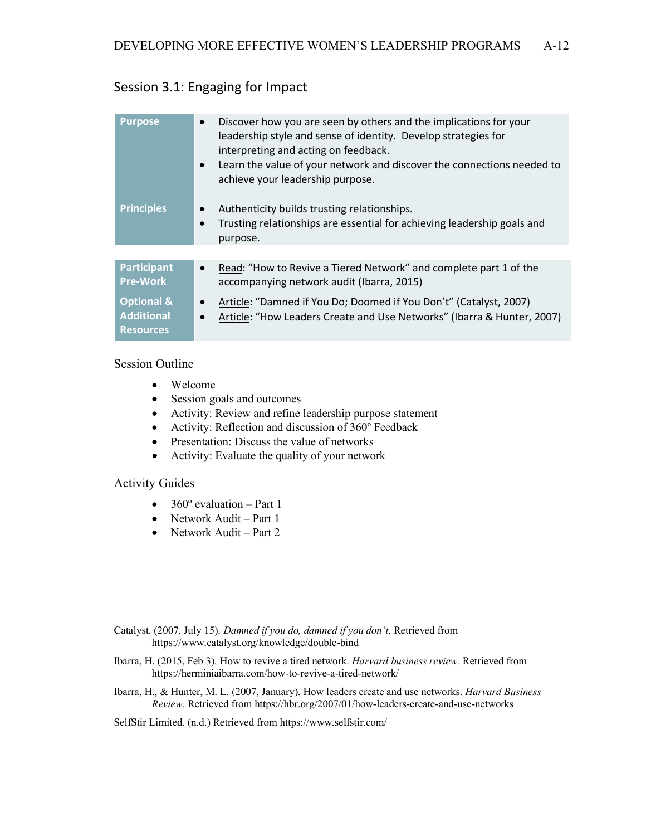## Session 3.1: Engaging for Impact

| <b>Purpose</b>                                                 | Discover how you are seen by others and the implications for your<br>$\bullet$<br>leadership style and sense of identity. Develop strategies for<br>interpreting and acting on feedback.<br>Learn the value of your network and discover the connections needed to<br>$\bullet$<br>achieve your leadership purpose. |
|----------------------------------------------------------------|---------------------------------------------------------------------------------------------------------------------------------------------------------------------------------------------------------------------------------------------------------------------------------------------------------------------|
| <b>Principles</b>                                              | Authenticity builds trusting relationships.<br>$\bullet$<br>Trusting relationships are essential for achieving leadership goals and<br>$\bullet$<br>purpose.                                                                                                                                                        |
|                                                                |                                                                                                                                                                                                                                                                                                                     |
| <b>Participant</b><br><b>Pre-Work</b>                          | Read: "How to Revive a Tiered Network" and complete part 1 of the<br>$\bullet$<br>accompanying network audit (Ibarra, 2015)                                                                                                                                                                                         |
| <b>Optional &amp;</b><br><b>Additional</b><br><b>Resources</b> | Article: "Damned if You Do; Doomed if You Don't" (Catalyst, 2007)<br>$\bullet$<br>Article: "How Leaders Create and Use Networks" (Ibarra & Hunter, 2007)<br>$\bullet$                                                                                                                                               |

### Session Outline

- Welcome
- Session goals and outcomes
- Activity: Review and refine leadership purpose statement
- Activity: Reflection and discussion of 360º Feedback
- Presentation: Discuss the value of networks
- Activity: Evaluate the quality of your network

### Activity Guides

- $360^\circ$  evaluation Part 1
- Network Audit Part 1
- Network Audit Part 2

Catalyst. (2007, July 15). *Damned if you do, damned if you don't*. Retrieved from https://www.catalyst.org/knowledge/double-bind

- Ibarra, H. (2015, Feb 3). How to revive a tired network. *Harvard business review.* Retrieved from https://herminiaibarra.com/how-to-revive-a-tired-network/
- Ibarra, H., & Hunter, M. L. (2007, January). How leaders create and use networks. *Harvard Business Review.* Retrieved from https://hbr.org/2007/01/how-leaders-create-and-use-networks

SelfStir Limited. (n.d.) Retrieved from https://www.selfstir.com/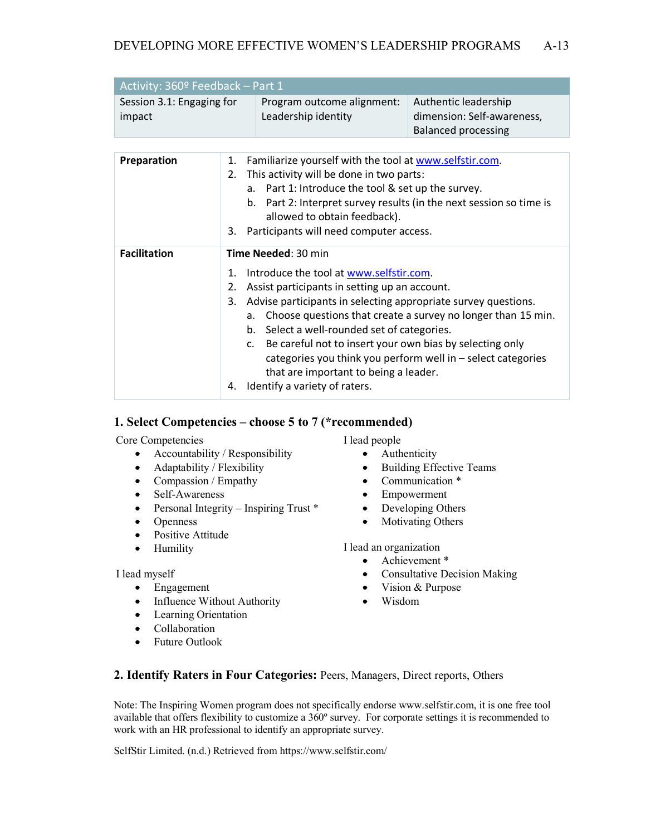| Activity: 360º Feedback - Part 1    |                                                   |                                                                                  |  |
|-------------------------------------|---------------------------------------------------|----------------------------------------------------------------------------------|--|
| Session 3.1: Engaging for<br>impact | Program outcome alignment:<br>Leadership identity | Authentic leadership<br>dimension: Self-awareness,<br><b>Balanced processing</b> |  |

| Preparation         | Familiarize yourself with the tool at www.selfstir.com.<br>1.<br>This activity will be done in two parts:<br>2.<br>Part 1: Introduce the tool & set up the survey.<br>a <sub>z</sub><br>b. Part 2: Interpret survey results (in the next session so time is<br>allowed to obtain feedback).<br>3. Participants will need computer access.                                                                                                                                                                                                           |
|---------------------|-----------------------------------------------------------------------------------------------------------------------------------------------------------------------------------------------------------------------------------------------------------------------------------------------------------------------------------------------------------------------------------------------------------------------------------------------------------------------------------------------------------------------------------------------------|
| <b>Facilitation</b> | <b>Time Needed: 30 min</b><br>Introduce the tool at www.selfstir.com.<br>1.<br>Assist participants in setting up an account.<br>2.<br>Advise participants in selecting appropriate survey questions.<br>3.<br>Choose questions that create a survey no longer than 15 min.<br>a.<br>b. Select a well-rounded set of categories.<br>Be careful not to insert your own bias by selecting only<br>C.<br>categories you think you perform well in $-$ select categories<br>that are important to being a leader.<br>Identify a variety of raters.<br>4. |

### **1. Select Competencies – choose 5 to 7 (\*recommended)**

Core Competencies

- Accountability / Responsibility
- Adaptability / Flexibility
- Compassion / Empathy
- Self-Awareness
- Personal Integrity Inspiring Trust \*
- Openness
- Positive Attitude
- Humility

I lead myself

- Engagement
- Influence Without Authority
- Learning Orientation
- Collaboration
- Future Outlook

I lead people

- Authenticity
- Building Effective Teams
- Communication \*
- Empowerment
- Developing Others
- Motivating Others

I lead an organization

- Achievement \*
- Consultative Decision Making
- Vision & Purpose
- Wisdom

### **2. Identify Raters in Four Categories:** Peers, Managers, Direct reports, Others

Note: The Inspiring Women program does not specifically endorse www.selfstir.com, it is one free tool available that offers flexibility to customize a 360º survey. For corporate settings it is recommended to work with an HR professional to identify an appropriate survey.

SelfStir Limited. (n.d.) Retrieved from https://www.selfstir.com/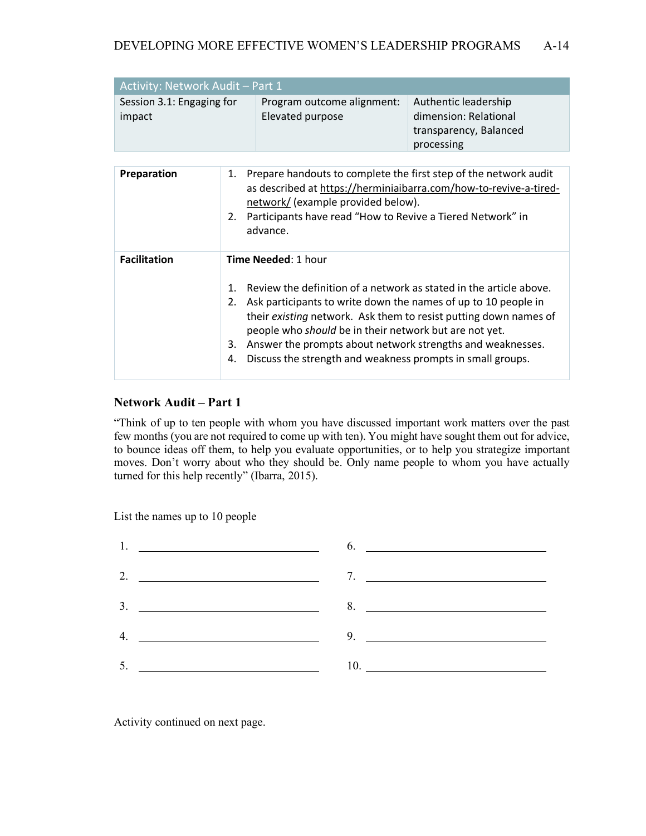| Activity: Network Audit – Part 1    |                                                |                                                                                       |  |
|-------------------------------------|------------------------------------------------|---------------------------------------------------------------------------------------|--|
| Session 3.1: Engaging for<br>impact | Program outcome alignment:<br>Elevated purpose | Authentic leadership<br>dimension: Relational<br>transparency, Balanced<br>processing |  |

| <b>Preparation</b>  | Prepare handouts to complete the first step of the network audit<br>1.<br>as described at https://herminiaibarra.com/how-to-revive-a-tired-<br>network/ (example provided below).<br>Participants have read "How to Revive a Tiered Network" in<br>2.<br>advance.                                                                                                                                                                                         |
|---------------------|-----------------------------------------------------------------------------------------------------------------------------------------------------------------------------------------------------------------------------------------------------------------------------------------------------------------------------------------------------------------------------------------------------------------------------------------------------------|
| <b>Facilitation</b> | <b>Time Needed: 1 hour</b><br>Review the definition of a network as stated in the article above.<br>$1_{-}$<br>Ask participants to write down the names of up to 10 people in<br>2.<br>their existing network. Ask them to resist putting down names of<br>people who should be in their network but are not yet.<br>Answer the prompts about network strengths and weaknesses.<br>3.<br>Discuss the strength and weakness prompts in small groups.<br>4. |

## **Network Audit – Part 1**

"Think of up to ten people with whom you have discussed important work matters over the past few months (you are not required to come up with ten). You might have sought them out for advice, to bounce ideas off them, to help you evaluate opportunities, or to help you strategize important moves. Don't worry about who they should be. Only name people to whom you have actually turned for this help recently" (Ibarra, 2015).

List the names up to 10 people



Activity continued on next page.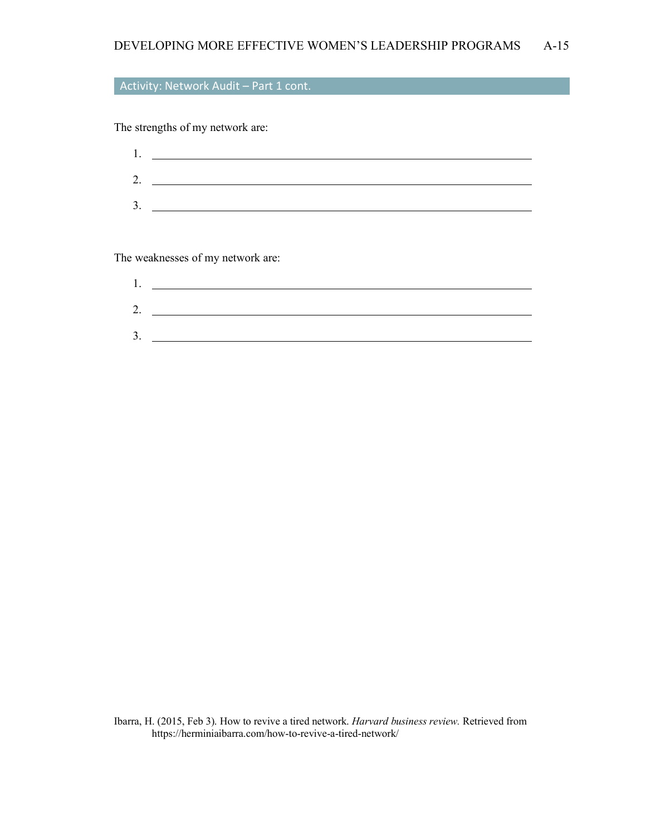## Activity: Network Audit – Part 1 cont.

The strengths of my network are:

| ī. |  |  |
|----|--|--|
| 2. |  |  |
| 3. |  |  |
|    |  |  |

The weaknesses of my network are:

Ibarra, H. (2015, Feb 3). How to revive a tired network. *Harvard business review.* Retrieved from https://herminiaibarra.com/how-to-revive-a-tired-network/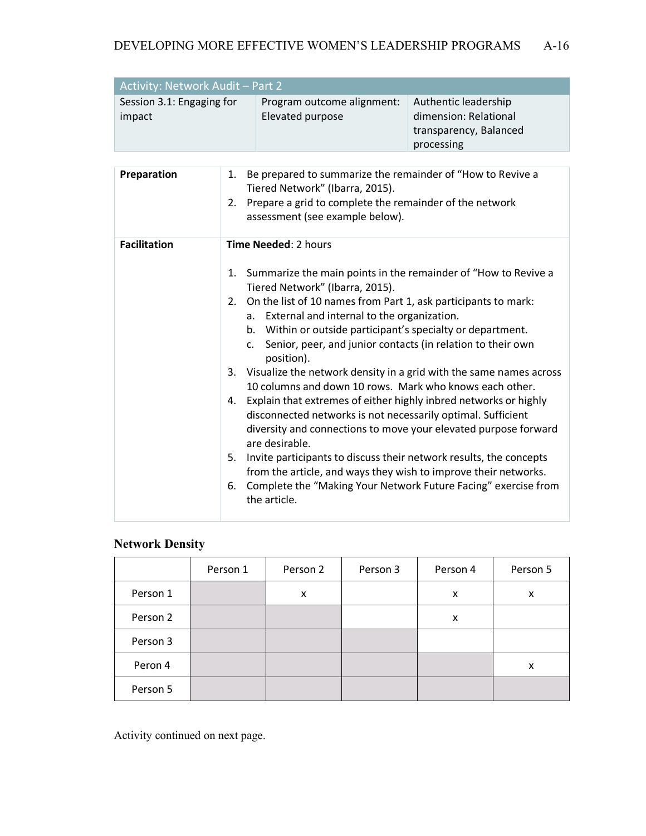| <b>Activity: Network Audit - Part 2</b> |                            |                        |  |
|-----------------------------------------|----------------------------|------------------------|--|
| Session 3.1: Engaging for               | Program outcome alignment: | Authentic leadership   |  |
| impact                                  | Elevated purpose           | dimension: Relational  |  |
|                                         |                            | transparency, Balanced |  |
|                                         |                            | processing             |  |

| Preparation         | Be prepared to summarize the remainder of "How to Revive a<br>1.<br>Tiered Network" (Ibarra, 2015).<br>Prepare a grid to complete the remainder of the network<br>2.<br>assessment (see example below).                                                                                                                                                                                                                                                                                                                                                                                                                                                                                                                                                                                                                                                                                                                                                                                         |
|---------------------|-------------------------------------------------------------------------------------------------------------------------------------------------------------------------------------------------------------------------------------------------------------------------------------------------------------------------------------------------------------------------------------------------------------------------------------------------------------------------------------------------------------------------------------------------------------------------------------------------------------------------------------------------------------------------------------------------------------------------------------------------------------------------------------------------------------------------------------------------------------------------------------------------------------------------------------------------------------------------------------------------|
| <b>Facilitation</b> | <b>Time Needed: 2 hours</b>                                                                                                                                                                                                                                                                                                                                                                                                                                                                                                                                                                                                                                                                                                                                                                                                                                                                                                                                                                     |
|                     | Summarize the main points in the remainder of "How to Revive a<br>1.<br>Tiered Network" (Ibarra, 2015).<br>On the list of 10 names from Part 1, ask participants to mark:<br>2.<br>External and internal to the organization.<br>а.<br>b. Within or outside participant's specialty or department.<br>Senior, peer, and junior contacts (in relation to their own<br>C.<br>position).<br>Visualize the network density in a grid with the same names across<br>3.<br>10 columns and down 10 rows. Mark who knows each other.<br>4. Explain that extremes of either highly inbred networks or highly<br>disconnected networks is not necessarily optimal. Sufficient<br>diversity and connections to move your elevated purpose forward<br>are desirable.<br>Invite participants to discuss their network results, the concepts<br>5.<br>from the article, and ways they wish to improve their networks.<br>Complete the "Making Your Network Future Facing" exercise from<br>6.<br>the article. |

## **Network Density**

|          | Person 1 | Person 2 | Person 3 | Person 4 | Person 5 |
|----------|----------|----------|----------|----------|----------|
| Person 1 |          | X        |          | x        | X        |
| Person 2 |          |          |          | x        |          |
| Person 3 |          |          |          |          |          |
| Peron 4  |          |          |          |          | x        |
| Person 5 |          |          |          |          |          |

Activity continued on next page.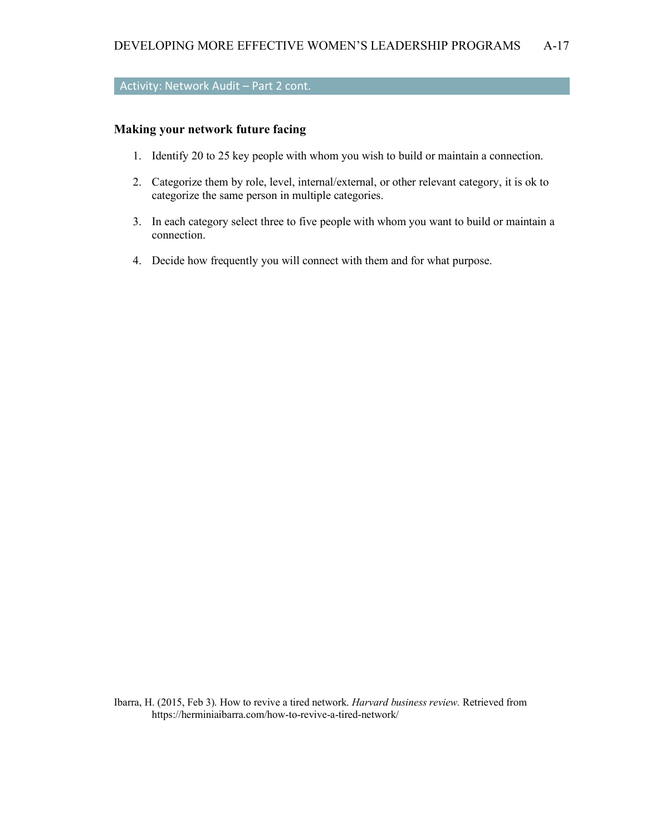## Activity: Network Audit – Part 2 cont.

### **Making your network future facing**

- 1. Identify 20 to 25 key people with whom you wish to build or maintain a connection.
- 2. Categorize them by role, level, internal/external, or other relevant category, it is ok to categorize the same person in multiple categories.
- 3. In each category select three to five people with whom you want to build or maintain a connection.
- 4. Decide how frequently you will connect with them and for what purpose.

Ibarra, H. (2015, Feb 3). How to revive a tired network. *Harvard business review.* Retrieved from https://herminiaibarra.com/how-to-revive-a-tired-network/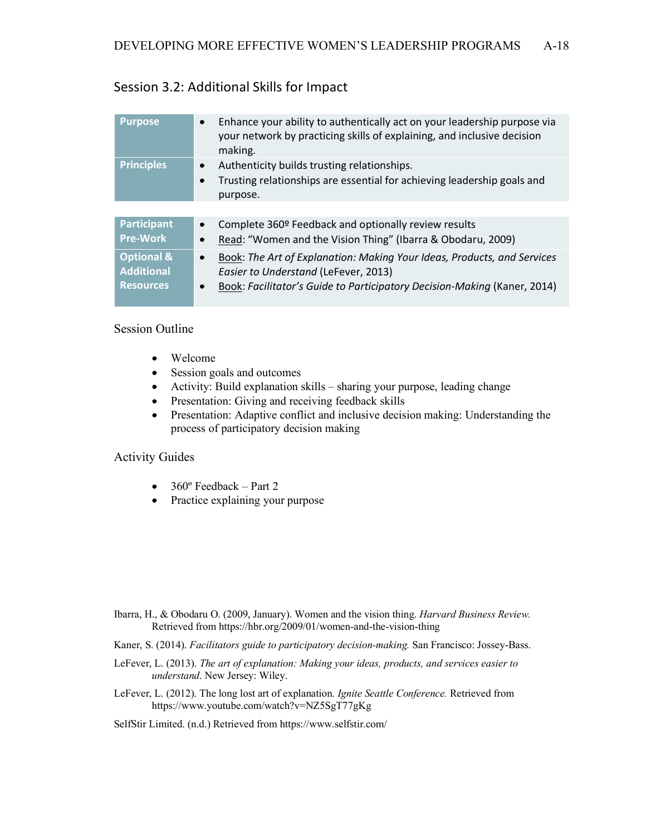## Session 3.2: Additional Skills for Impact

| <b>Purpose</b>                                                 | Enhance your ability to authentically act on your leadership purpose via<br>$\bullet$<br>your network by practicing skills of explaining, and inclusive decision<br>making.                                           |
|----------------------------------------------------------------|-----------------------------------------------------------------------------------------------------------------------------------------------------------------------------------------------------------------------|
| <b>Principles</b>                                              | Authenticity builds trusting relationships.<br>$\bullet$<br>Trusting relationships are essential for achieving leadership goals and<br>$\bullet$<br>purpose.                                                          |
|                                                                |                                                                                                                                                                                                                       |
| <b>Participant</b><br><b>Pre-Work</b>                          | Complete 360º Feedback and optionally review results<br>$\bullet$<br>Read: "Women and the Vision Thing" (Ibarra & Obodaru, 2009)<br>$\bullet$                                                                         |
| <b>Optional &amp;</b><br><b>Additional</b><br><b>Resources</b> | Book: The Art of Explanation: Making Your Ideas, Products, and Services<br>$\bullet$<br>Easier to Understand (LeFever, 2013)<br>Book: Facilitator's Guide to Participatory Decision-Making (Kaner, 2014)<br>$\bullet$ |

### Session Outline

- Welcome
- Session goals and outcomes
- Activity: Build explanation skills sharing your purpose, leading change
- Presentation: Giving and receiving feedback skills
- Presentation: Adaptive conflict and inclusive decision making: Understanding the process of participatory decision making

### Activity Guides

- $360^\circ$  Feedback Part 2
- Practice explaining your purpose

- Ibarra, H., & Obodaru O. (2009, January). Women and the vision thing. *Harvard Business Review.* Retrieved from https://hbr.org/2009/01/women-and-the-vision-thing
- Kaner, S. (2014). *Facilitators guide to participatory decision-making.* San Francisco: Jossey-Bass.
- LeFever, L. (2013). *The art of explanation: Making your ideas, products, and services easier to understand*. New Jersey: Wiley.
- LeFever, L. (2012). The long lost art of explanation. *Ignite Seattle Conference.* Retrieved from https://www.youtube.com/watch?v=NZ5SgT77gKg

SelfStir Limited. (n.d.) Retrieved from https://www.selfstir.com/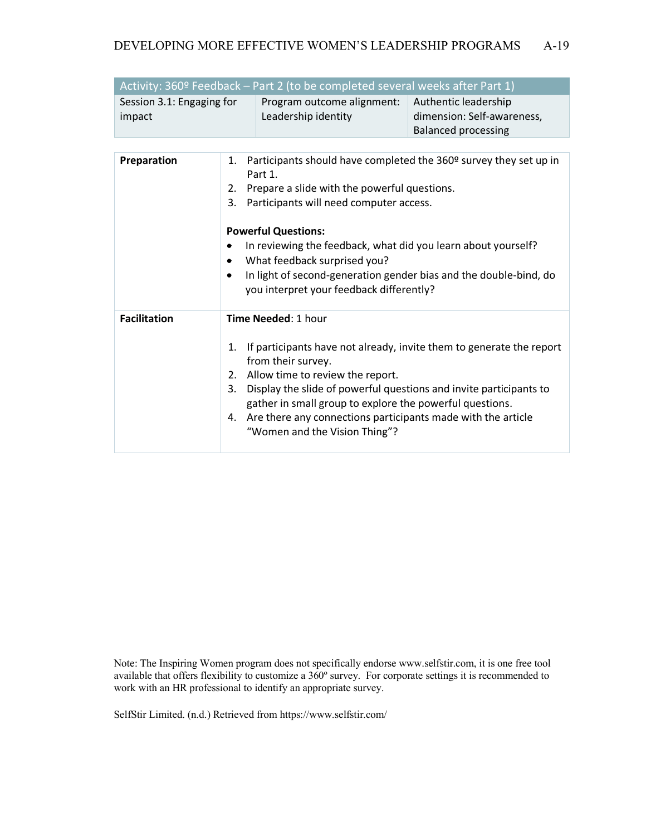| Activity: 360º Feedback - Part 2 (to be completed several weeks after Part 1) |                                                                                                  |                                                                                                                                                                                     |                                                                                  |
|-------------------------------------------------------------------------------|--------------------------------------------------------------------------------------------------|-------------------------------------------------------------------------------------------------------------------------------------------------------------------------------------|----------------------------------------------------------------------------------|
| Session 3.1: Engaging for<br>impact                                           |                                                                                                  | Program outcome alignment:<br>Leadership identity                                                                                                                                   | Authentic leadership<br>dimension: Self-awareness,<br><b>Balanced processing</b> |
|                                                                               |                                                                                                  |                                                                                                                                                                                     |                                                                                  |
| Preparation                                                                   | 1.<br>2.<br>3.                                                                                   | Participants should have completed the 360 <sup>o</sup> survey they set up in<br>Part 1.<br>Prepare a slide with the powerful questions.<br>Participants will need computer access. |                                                                                  |
|                                                                               |                                                                                                  |                                                                                                                                                                                     |                                                                                  |
|                                                                               |                                                                                                  | <b>Powerful Questions:</b>                                                                                                                                                          |                                                                                  |
|                                                                               |                                                                                                  | In reviewing the feedback, what did you learn about yourself?                                                                                                                       |                                                                                  |
|                                                                               | ٠                                                                                                | What feedback surprised you?                                                                                                                                                        |                                                                                  |
|                                                                               | ٠                                                                                                | In light of second-generation gender bias and the double-bind, do                                                                                                                   |                                                                                  |
|                                                                               |                                                                                                  | you interpret your feedback differently?                                                                                                                                            |                                                                                  |
| <b>Facilitation</b>                                                           |                                                                                                  | Time Needed: 1 hour                                                                                                                                                                 |                                                                                  |
|                                                                               | 1.                                                                                               | from their survey.                                                                                                                                                                  | If participants have not already, invite them to generate the report             |
|                                                                               |                                                                                                  | 2. Allow time to review the report.                                                                                                                                                 |                                                                                  |
|                                                                               | 3.                                                                                               | Display the slide of powerful questions and invite participants to<br>gather in small group to explore the powerful questions.                                                      |                                                                                  |
|                                                                               | 4. Are there any connections participants made with the article<br>"Women and the Vision Thing"? |                                                                                                                                                                                     |                                                                                  |

Note: The Inspiring Women program does not specifically endorse www.selfstir.com, it is one free tool available that offers flexibility to customize a 360º survey. For corporate settings it is recommended to work with an HR professional to identify an appropriate survey.

SelfStir Limited. (n.d.) Retrieved from https://www.selfstir.com/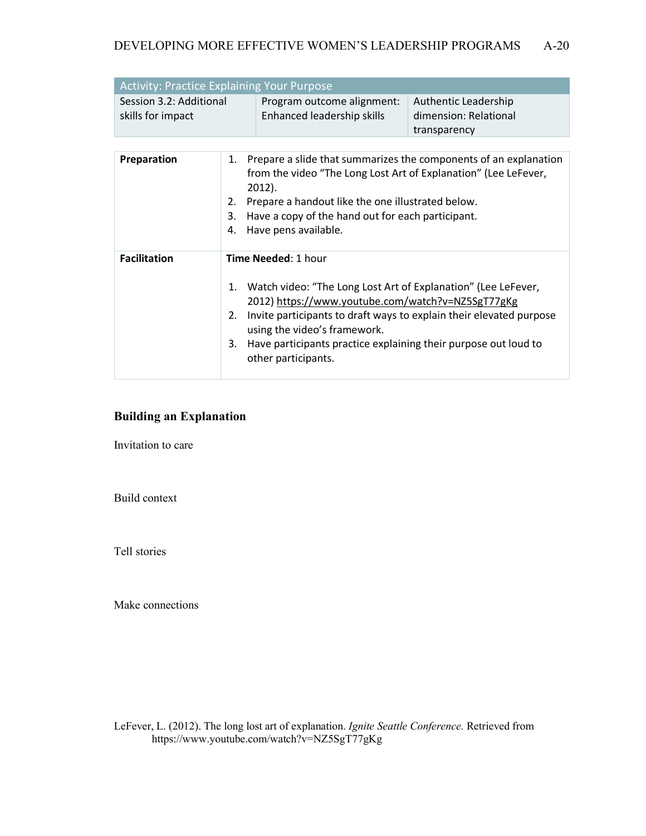| <b>Activity: Practice Explaining Your Purpose</b> |                            |                       |  |
|---------------------------------------------------|----------------------------|-----------------------|--|
| Session 3.2: Additional                           | Program outcome alignment: | Authentic Leadership  |  |
| skills for impact                                 | Enhanced leadership skills | dimension: Relational |  |
|                                                   |                            | transparency          |  |

| <b>Preparation</b>  | 1. Prepare a slide that summarizes the components of an explanation<br>from the video "The Long Lost Art of Explanation" (Lee LeFever,<br>2012).<br>Prepare a handout like the one illustrated below.<br>2.<br>Have a copy of the hand out for each participant.<br>3.<br>Have pens available.<br>4.                               |
|---------------------|------------------------------------------------------------------------------------------------------------------------------------------------------------------------------------------------------------------------------------------------------------------------------------------------------------------------------------|
| <b>Facilitation</b> | <b>Time Needed: 1 hour</b>                                                                                                                                                                                                                                                                                                         |
|                     | 1. Watch video: "The Long Lost Art of Explanation" (Lee LeFever,<br>2012) https://www.youtube.com/watch?v=NZ5SgT77gKg<br>Invite participants to draft ways to explain their elevated purpose<br>2.<br>using the video's framework.<br>Have participants practice explaining their purpose out loud to<br>3.<br>other participants. |

## **Building an Explanation**

Invitation to care

Build context

Tell stories

Make connections

LeFever, L. (2012). The long lost art of explanation. *Ignite Seattle Conference.* Retrieved from https://www.youtube.com/watch?v=NZ5SgT77gKg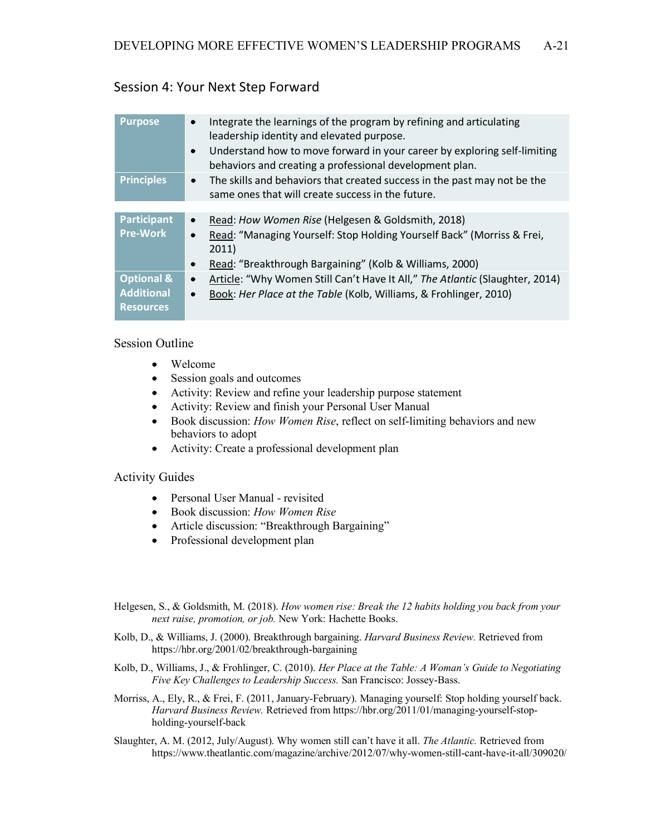## Session 4: Your Next Step Forward

| <b>Purpose</b>                                                 | Integrate the learnings of the program by refining and articulating<br>leadership identity and elevated purpose.<br>Understand how to move forward in your career by exploring self-limiting<br>behaviors and creating a professional development plan. |
|----------------------------------------------------------------|---------------------------------------------------------------------------------------------------------------------------------------------------------------------------------------------------------------------------------------------------------|
| <b>Principles</b>                                              | The skills and behaviors that created success in the past may not be the<br>$\bullet$<br>same ones that will create success in the future.                                                                                                              |
|                                                                |                                                                                                                                                                                                                                                         |
| <b>Participant</b><br><b>Pre-Work</b>                          | Read: How Women Rise (Helgesen & Goldsmith, 2018)<br>Read: "Managing Yourself: Stop Holding Yourself Back" (Morriss & Frei,<br>$\bullet$<br>2011)<br>Read: "Breakthrough Bargaining" (Kolb & Williams, 2000)<br>$\bullet$                               |
| <b>Optional &amp;</b><br><b>Additional</b><br><b>Resources</b> | Article: "Why Women Still Can't Have It All," The Atlantic (Slaughter, 2014)<br>$\bullet$<br>Book: Her Place at the Table (Kolb, Williams, & Frohlinger, 2010)                                                                                          |

### Session Outline

- Welcome
- Session goals and outcomes
- Activity: Review and refine your leadership purpose statement
- Activity: Review and finish your Personal User Manual
- Book discussion: *How Women Rise*, reflect on self-limiting behaviors and new behaviors to adopt
- Activity: Create a professional development plan

### Activity Guides

- Personal User Manual revisited
- Book discussion: *How Women Rise*
- Article discussion: "Breakthrough Bargaining"
- Professional development plan
- Helgesen, S., & Goldsmith, M. (2018). *How women rise: Break the 12 habits holding you back from your next raise, promotion, or job.* New York: Hachette Books.
- Kolb, D., & Williams, J. (2000). Breakthrough bargaining. *Harvard Business Review.* Retrieved from https://hbr.org/2001/02/breakthrough-bargaining
- Kolb, D., Williams, J., & Frohlinger, C. (2010). *Her Place at the Table: A Woman's Guide to Negotiating Five Key Challenges to Leadership Success.* San Francisco: Jossey-Bass.
- Morriss, A., Ely, R., & Frei, F. (2011, January-February). Managing yourself: Stop holding yourself back. *Harvard Business Review.* Retrieved from https://hbr.org/2011/01/managing-yourself-stopholding-yourself-back
- Slaughter, A. M. (2012, July/August). Why women still can't have it all. *The Atlantic.* Retrieved from https://www.theatlantic.com/magazine/archive/2012/07/why-women-still-cant-have-it-all/309020/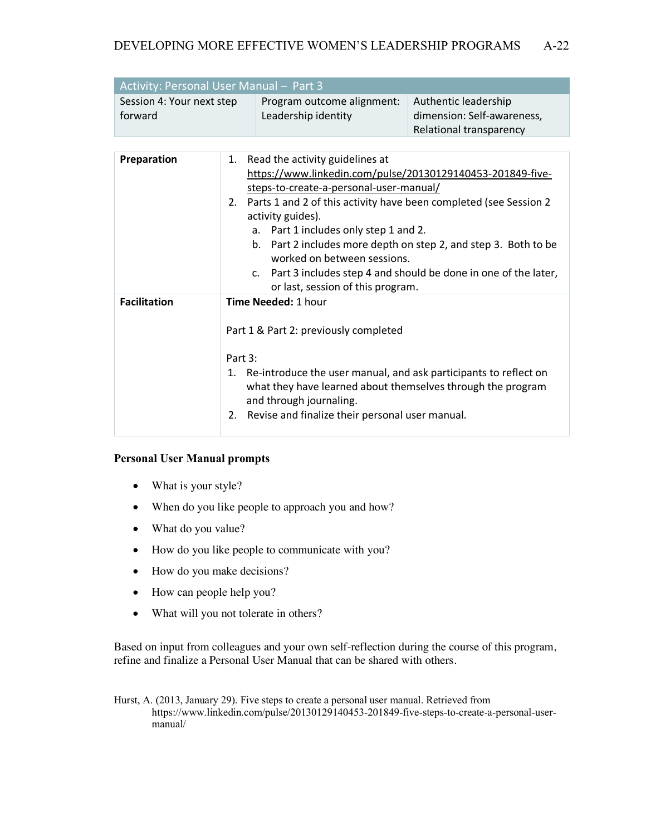| <b>Activity: Personal User Manual - Part 3</b> |                            |                            |  |
|------------------------------------------------|----------------------------|----------------------------|--|
| Session 4: Your next step                      | Program outcome alignment: | Authentic leadership       |  |
| forward                                        | Leadership identity        | dimension: Self-awareness, |  |
|                                                |                            | Relational transparency    |  |

| <b>Preparation</b><br>1. Read the activity guidelines at<br>https://www.linkedin.com/pulse/20130129140453-201849-five-<br>steps-to-create-a-personal-user-manual/<br>2. Parts 1 and 2 of this activity have been completed (see Session 2<br>activity guides).<br>a. Part 1 includes only step 1 and 2.<br>b. Part 2 includes more depth on step 2, and step 3. Both to be<br>worked on between sessions.<br>c. Part 3 includes step 4 and should be done in one of the later,<br>or last, session of this program.<br><b>Facilitation</b><br><b>Time Needed: 1 hour</b><br>Part 1 & Part 2: previously completed |  |
|-------------------------------------------------------------------------------------------------------------------------------------------------------------------------------------------------------------------------------------------------------------------------------------------------------------------------------------------------------------------------------------------------------------------------------------------------------------------------------------------------------------------------------------------------------------------------------------------------------------------|--|
|                                                                                                                                                                                                                                                                                                                                                                                                                                                                                                                                                                                                                   |  |
| Part $3:$<br>Re-introduce the user manual, and ask participants to reflect on<br>1.<br>what they have learned about themselves through the program<br>and through journaling.<br>2. Revise and finalize their personal user manual.                                                                                                                                                                                                                                                                                                                                                                               |  |

### **Personal User Manual prompts**

- What is your style?
- When do you like people to approach you and how?
- What do you value?
- How do you like people to communicate with you?
- How do you make decisions?
- How can people help you?
- What will you not tolerate in others?

Based on input from colleagues and your own self-reflection during the course of this program, refine and finalize a Personal User Manual that can be shared with others.

Hurst, A. (2013, January 29). Five steps to create a personal user manual. Retrieved from https://www.linkedin.com/pulse/20130129140453-201849-five-steps-to-create-a-personal-usermanual/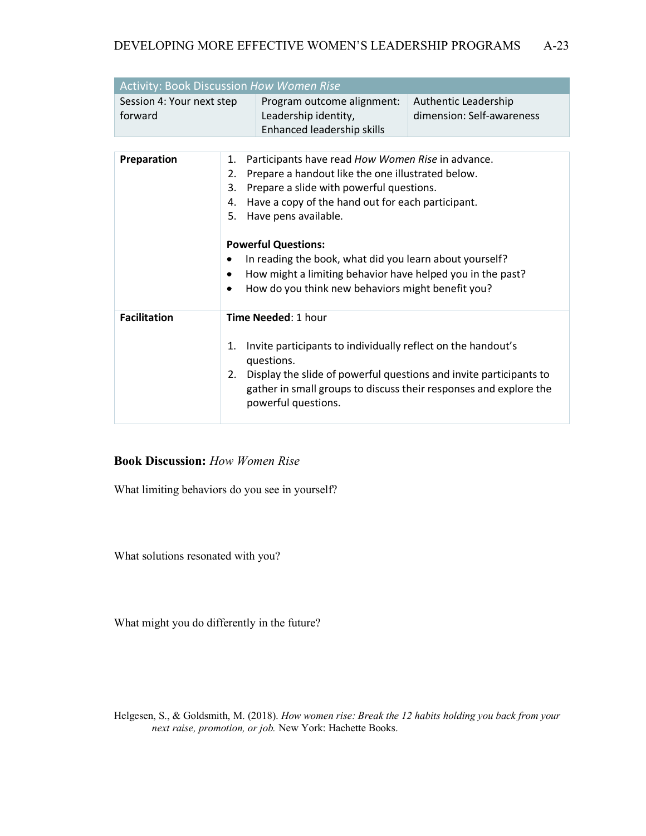| <b>Activity: Book Discussion How Women Rise</b> |                            |                                                                                  |                                                   |  |
|-------------------------------------------------|----------------------------|----------------------------------------------------------------------------------|---------------------------------------------------|--|
| Session 4: Your next step<br>forward            |                            | Program outcome alignment:<br>Leadership identity,<br>Enhanced leadership skills | Authentic Leadership<br>dimension: Self-awareness |  |
|                                                 |                            |                                                                                  |                                                   |  |
| Preparation                                     | 1.                         |                                                                                  | Participants have read How Women Rise in advance. |  |
|                                                 | 2.                         | Prepare a handout like the one illustrated below.                                |                                                   |  |
|                                                 | 3.                         | Prepare a slide with powerful questions.                                         |                                                   |  |
|                                                 | 4.                         | Have a copy of the hand out for each participant.                                |                                                   |  |
| 5.                                              |                            | Have pens available.                                                             |                                                   |  |
|                                                 |                            |                                                                                  |                                                   |  |
|                                                 | <b>Powerful Questions:</b> |                                                                                  |                                                   |  |
|                                                 |                            | In reading the book, what did you learn about yourself?                          |                                                   |  |
|                                                 | ٠                          | How might a limiting behavior have helped you in the past?                       |                                                   |  |
|                                                 | ٠                          | How do you think new behaviors might benefit you?                                |                                                   |  |
|                                                 |                            |                                                                                  |                                                   |  |
| <b>Facilitation</b>                             | Time Needed: 1 hour        |                                                                                  |                                                   |  |
|                                                 |                            |                                                                                  |                                                   |  |
|                                                 | 1.                         | Invite participants to individually reflect on the handout's                     |                                                   |  |
|                                                 | questions.                 |                                                                                  |                                                   |  |
|                                                 | 2.                         | Display the slide of powerful questions and invite participants to               |                                                   |  |
|                                                 |                            | gather in small groups to discuss their responses and explore the                |                                                   |  |
|                                                 |                            | powerful questions.                                                              |                                                   |  |
|                                                 |                            |                                                                                  |                                                   |  |

### **Book Discussion:** *How Women Rise*

What limiting behaviors do you see in yourself?

What solutions resonated with you?

What might you do differently in the future?

Helgesen, S., & Goldsmith, M. (2018). *How women rise: Break the 12 habits holding you back from your next raise, promotion, or job.* New York: Hachette Books.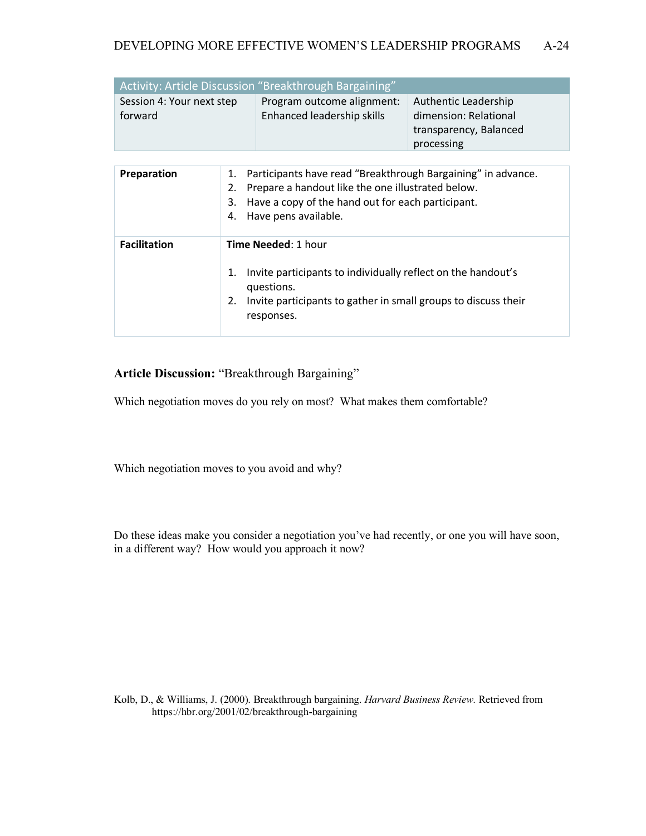| Activity: Article Discussion "Breakthrough Bargaining" |                            |                        |  |
|--------------------------------------------------------|----------------------------|------------------------|--|
| Session 4: Your next step                              | Program outcome alignment: | Authentic Leadership   |  |
| forward                                                | Enhanced leadership skills | dimension: Relational  |  |
|                                                        |                            | transparency, Balanced |  |
|                                                        |                            | processing             |  |

| Preparation         | 1. Participants have read "Breakthrough Bargaining" in advance.<br>Prepare a handout like the one illustrated below.<br>2.<br>Have a copy of the hand out for each participant.<br>3.<br>Have pens available.<br>4. |  |  |
|---------------------|---------------------------------------------------------------------------------------------------------------------------------------------------------------------------------------------------------------------|--|--|
| <b>Facilitation</b> | <b>Time Needed: 1 hour</b>                                                                                                                                                                                          |  |  |
|                     | Invite participants to individually reflect on the handout's<br>1.<br>questions.<br>Invite participants to gather in small groups to discuss their<br>2.<br>responses.                                              |  |  |

**Article Discussion:** "Breakthrough Bargaining"

Which negotiation moves do you rely on most? What makes them comfortable?

Which negotiation moves to you avoid and why?

Do these ideas make you consider a negotiation you've had recently, or one you will have soon, in a different way? How would you approach it now?

Kolb, D., & Williams, J. (2000). Breakthrough bargaining. *Harvard Business Review.* Retrieved from https://hbr.org/2001/02/breakthrough-bargaining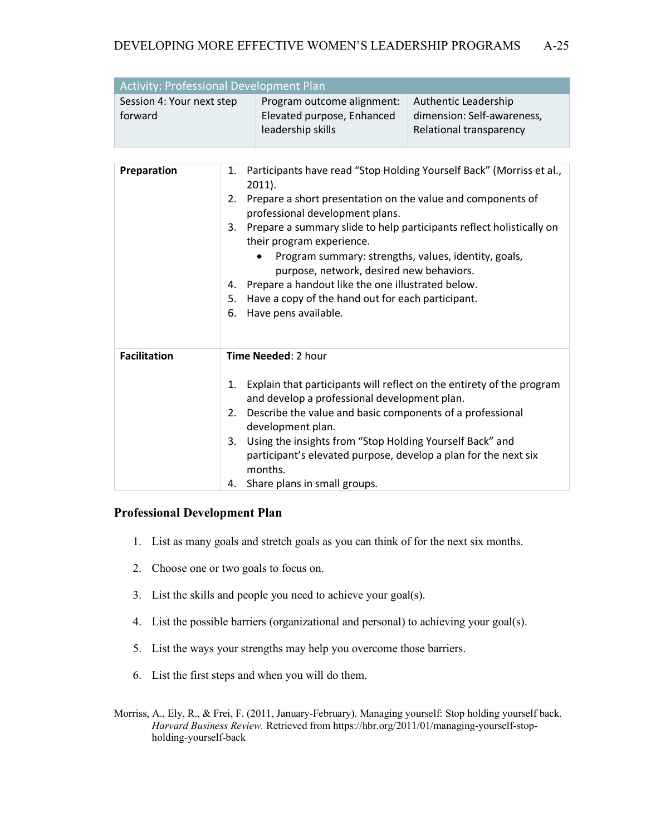| <b>Activity: Professional Development Plan</b> |                            |                                                                                                                                                                                                                                                                                                                                                                                                                                                                                                                                   |                                                                               |
|------------------------------------------------|----------------------------|-----------------------------------------------------------------------------------------------------------------------------------------------------------------------------------------------------------------------------------------------------------------------------------------------------------------------------------------------------------------------------------------------------------------------------------------------------------------------------------------------------------------------------------|-------------------------------------------------------------------------------|
| Session 4: Your next step<br>forward           |                            | Program outcome alignment:<br>Elevated purpose, Enhanced<br>leadership skills                                                                                                                                                                                                                                                                                                                                                                                                                                                     | Authentic Leadership<br>dimension: Self-awareness,<br>Relational transparency |
|                                                |                            |                                                                                                                                                                                                                                                                                                                                                                                                                                                                                                                                   |                                                                               |
| Preparation                                    | 1.<br>2.<br>4.<br>5.<br>6. | Participants have read "Stop Holding Yourself Back" (Morriss et al.,<br>$2011$ ).<br>Prepare a short presentation on the value and components of<br>professional development plans.<br>3. Prepare a summary slide to help participants reflect holistically on<br>their program experience.<br>Program summary: strengths, values, identity, goals,<br>purpose, network, desired new behaviors.<br>Prepare a handout like the one illustrated below.<br>Have a copy of the hand out for each participant.<br>Have pens available. |                                                                               |
| <b>Facilitation</b>                            | 2.<br>3.<br>4.             | <b>Time Needed: 2 hour</b><br>1. Explain that participants will reflect on the entirety of the program<br>and develop a professional development plan.<br>Describe the value and basic components of a professional<br>development plan.<br>Using the insights from "Stop Holding Yourself Back" and<br>participant's elevated purpose, develop a plan for the next six<br>months.<br>Share plans in small groups.                                                                                                                |                                                                               |

### **Professional Development Plan**

- 1. List as many goals and stretch goals as you can think of for the next six months.
- 2. Choose one or two goals to focus on.
- 3. List the skills and people you need to achieve your goal(s).
- 4. List the possible barriers (organizational and personal) to achieving your goal(s).
- 5. List the ways your strengths may help you overcome those barriers.
- 6. List the first steps and when you will do them.
- Morriss, A., Ely, R., & Frei, F. (2011, January-February). Managing yourself: Stop holding yourself back. *Harvard Business Review.* Retrieved from https://hbr.org/2011/01/managing-yourself-stopholding-yourself-back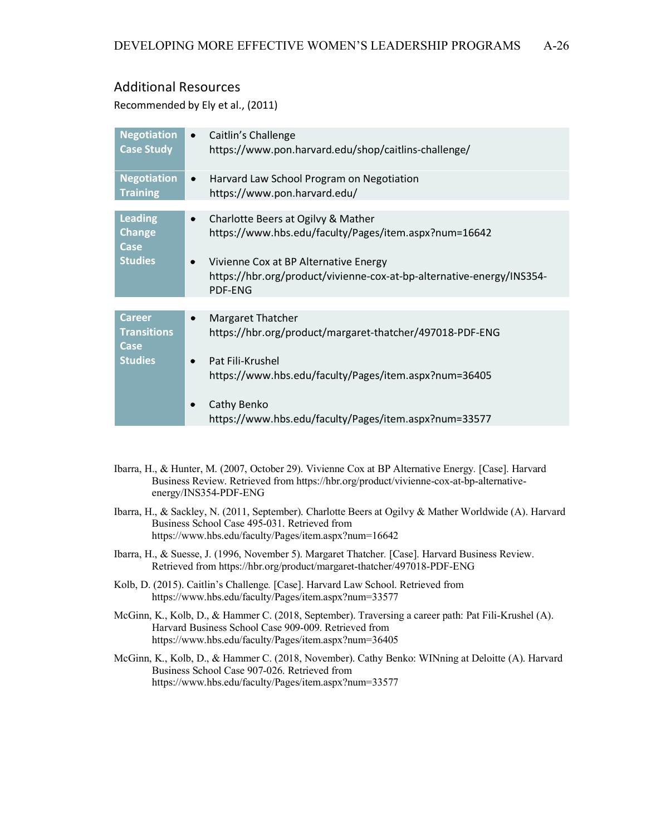## Additional Resources

Recommended by Ely et al., (2011)

| <b>Negotiation</b><br><b>Case Study</b>                       | Caitlin's Challenge<br>$\bullet$<br>https://www.pon.harvard.edu/shop/caitlins-challenge/                                                                                                                                                                  |
|---------------------------------------------------------------|-----------------------------------------------------------------------------------------------------------------------------------------------------------------------------------------------------------------------------------------------------------|
| <b>Negotiation</b><br><b>Training</b>                         | Harvard Law School Program on Negotiation<br>$\bullet$<br>https://www.pon.harvard.edu/                                                                                                                                                                    |
| <b>Leading</b><br><b>Change</b><br>Case<br><b>Studies</b>     | Charlotte Beers at Ogilvy & Mather<br>$\bullet$<br>https://www.hbs.edu/faculty/Pages/item.aspx?num=16642<br>Vivienne Cox at BP Alternative Energy<br>$\bullet$<br>https://hbr.org/product/vivienne-cox-at-bp-alternative-energy/INS354-<br><b>PDF-ENG</b> |
|                                                               |                                                                                                                                                                                                                                                           |
| <b>Career</b><br><b>Transitions</b><br>Case<br><b>Studies</b> | <b>Margaret Thatcher</b><br>$\bullet$<br>https://hbr.org/product/margaret-thatcher/497018-PDF-ENG<br>Pat Fili-Krushel<br>$\bullet$                                                                                                                        |
|                                                               | https://www.hbs.edu/faculty/Pages/item.aspx?num=36405<br>Cathy Benko<br>https://www.hbs.edu/faculty/Pages/item.aspx?num=33577                                                                                                                             |

- Ibarra, H., & Hunter, M. (2007, October 29). Vivienne Cox at BP Alternative Energy*.* [Case]. Harvard Business Review. Retrieved from https://hbr.org/product/vivienne-cox-at-bp-alternativeenergy/INS354-PDF-ENG
- Ibarra, H., & Sackley, N. (2011, September). Charlotte Beers at Ogilvy & Mather Worldwide (A). Harvard Business School Case 495-031. Retrieved from https://www.hbs.edu/faculty/Pages/item.aspx?num=16642
- Ibarra, H., & Suesse, J. (1996, November 5). Margaret Thatcher*.* [Case]. Harvard Business Review. Retrieved from https://hbr.org/product/margaret-thatcher/497018-PDF-ENG
- Kolb, D. (2015). Caitlin's Challenge*.* [Case]. Harvard Law School. Retrieved from https://www.hbs.edu/faculty/Pages/item.aspx?num=33577
- McGinn, K., Kolb, D., & Hammer C. (2018, September). Traversing a career path: Pat Fili-Krushel (A). Harvard Business School Case 909-009. Retrieved from https://www.hbs.edu/faculty/Pages/item.aspx?num=36405
- McGinn, K., Kolb, D., & Hammer C. (2018, November). Cathy Benko: WINning at Deloitte (A). Harvard Business School Case 907-026. Retrieved from https://www.hbs.edu/faculty/Pages/item.aspx?num=33577